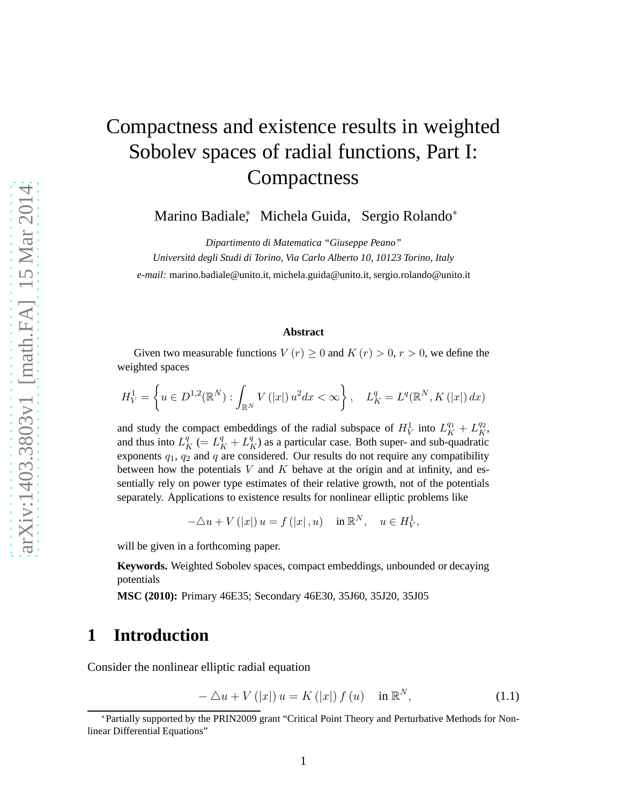# Compactness and existence results in weighted Sobolev spaces of radial functions, Part I: **Compactness**

Marino Badiale<sup>∗</sup> , Michela Guida, Sergio Rolando<sup>∗</sup>

*Dipartimento di Matematica "Giuseppe Peano" Universita degli Studi di Torino, Via Carlo Alberto 10, 10123 Torino, I ` taly e-mail:* marino.badiale@unito.it, michela.guida@unito.it, sergio.rolando@unito.it

#### **Abstract**

Given two measurable functions  $V(r) \geq 0$  and  $K(r) > 0$ ,  $r > 0$ , we define the weighted spaces

$$
H_V^1 = \left\{ u \in D^{1,2}(\mathbb{R}^N) : \int_{\mathbb{R}^N} V(|x|) u^2 dx < \infty \right\}, \quad L_K^q = L^q(\mathbb{R}^N, K(|x|) dx)
$$

and study the compact embeddings of the radial subspace of  $H_V^1$  into  $L_K^{q_1} + L_K^{q_2}$ , and thus into  $L_K^q$  (=  $L_K^q$  +  $L_K^q$ ) as a particular case. Both super- and sub-quadratic exponents  $q_1$ ,  $q_2$  and  $q$  are considered. Our results do not require any compatibility between how the potentials  $V$  and  $K$  behave at the origin and at infinity, and essentially rely on power type estimates of their relative growth, not of the potentials separately. Applications to existence results for nonlinear elliptic problems like

 $-\triangle u + V(|x|) u = f(|x|, u) \text{ in } \mathbb{R}^N, \quad u \in H_V^1,$ 

will be given in a forthcoming paper.

**Keywords.** Weighted Sobolev spaces, compact embeddings, unbounded or decaying potentials

**MSC (2010):** Primary 46E35; Secondary 46E30, 35J60, 35J20, 35J05

## **1 Introduction**

Consider the nonlinear elliptic radial equation

<span id="page-0-0"></span>
$$
-\Delta u + V(|x|)u = K(|x|) f(u) \quad \text{in } \mathbb{R}^N,
$$
\n(1.1)

<sup>∗</sup>Partially supported by the PRIN2009 grant "Critical Point Theory and Perturbative Methods for Nonlinear Differential Equations"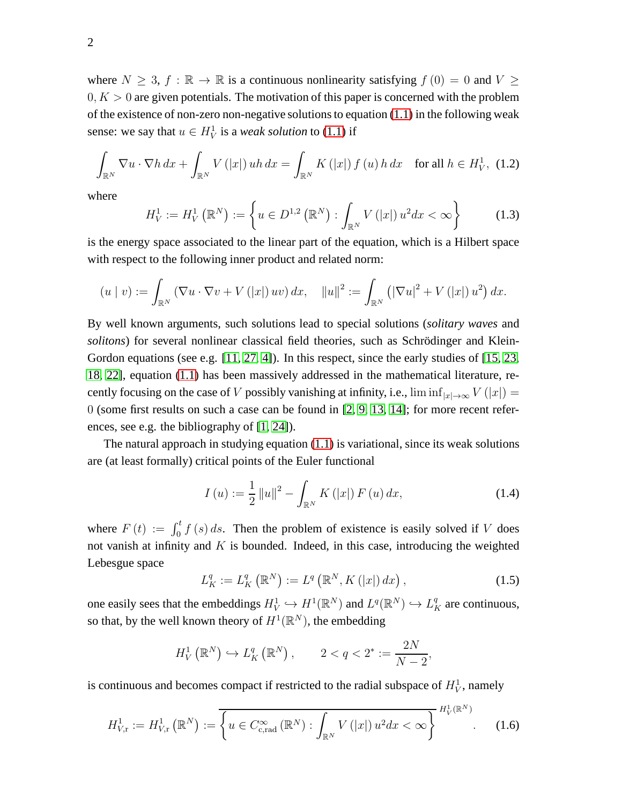where  $N \geq 3$ ,  $f : \mathbb{R} \to \mathbb{R}$  is a continuous nonlinearity satisfying  $f(0) = 0$  and  $V \geq$  $0, K > 0$  are given potentials. The motivation of this paper is concerned with the problem of the existence of non-zero non-negative solutions to equation  $(1.1)$  in the following weak sense: we say that  $u \in H_V^1$  is a *weak solution* to [\(1.1\)](#page-0-0) if

<span id="page-1-0"></span>
$$
\int_{\mathbb{R}^N} \nabla u \cdot \nabla h \, dx + \int_{\mathbb{R}^N} V(|x|) \, uh \, dx = \int_{\mathbb{R}^N} K(|x|) \, f(u) \, h \, dx \quad \text{for all } h \in H_V^1, \tag{1.2}
$$

where

<span id="page-1-1"></span>
$$
H_V^1 := H_V^1(\mathbb{R}^N) := \left\{ u \in D^{1,2}(\mathbb{R}^N) : \int_{\mathbb{R}^N} V(|x|) u^2 dx < \infty \right\} \tag{1.3}
$$

is the energy space associated to the linear part of the equation, which is a Hilbert space with respect to the following inner product and related norm:

$$
(u \mid v) := \int_{\mathbb{R}^N} (\nabla u \cdot \nabla v + V(|x|) uv) dx, \quad ||u||^2 := \int_{\mathbb{R}^N} (|\nabla u|^2 + V(|x|) u^2) dx.
$$

By well known arguments, such solutions lead to special solutions (*solitary waves* and *solitons*) for several nonlinear classical field theories, such as Schrödinger and Klein-Gordon equations (see e.g.  $[11, 27, 4]$  $[11, 27, 4]$  $[11, 27, 4]$ ). In this respect, since the early studies of  $[15, 23, 4]$  $[15, 23, 4]$  $[15, 23, 4]$ [18,](#page-40-2) [22\]](#page-41-2), equation [\(1.1\)](#page-0-0) has been massively addressed in the mathematical literature, recently focusing on the case of V possibly vanishing at infinity, i.e.,  $\liminf_{|x|\to\infty} V(|x|) =$ 0 (some first results on such a case can be found in [\[2,](#page-39-1) [9,](#page-40-3) [13,](#page-40-4) 14]; for more recent references, see e.g. the bibliography of [\[1,](#page-39-2) [24\]](#page-41-3)).

The natural approach in studying equation  $(1.1)$  is variational, since its weak solutions are (at least formally) critical points of the Euler functional

$$
I(u) := \frac{1}{2} ||u||^2 - \int_{\mathbb{R}^N} K(|x|) F(u) dx,
$$
\n(1.4)

where  $F(t) := \int_0^t f(s) ds$ . Then the problem of existence is easily solved if V does not vanish at infinity and  $K$  is bounded. Indeed, in this case, introducing the weighted Lebesgue space

<span id="page-1-3"></span>
$$
L_K^q := L_K^q\left(\mathbb{R}^N\right) := L^q\left(\mathbb{R}^N, K\left(|x|\right)dx\right),\tag{1.5}
$$

one easily sees that the embeddings  $H_V^1 \hookrightarrow H^1(\mathbb{R}^N)$  and  $L^q(\mathbb{R}^N) \hookrightarrow L_K^q$  are continuous, so that, by the well known theory of  $H^1(\mathbb{R}^N)$ , the embedding

$$
H_V^1\left(\mathbb{R}^N\right) \hookrightarrow L_K^q\left(\mathbb{R}^N\right), \qquad 2 < q < 2^* := \frac{2N}{N-2},
$$

is continuous and becomes compact if restricted to the radial subspace of  $H_V^1$ , namely

<span id="page-1-2"></span>
$$
H_{V,\mathbf{r}}^1 := H_{V,\mathbf{r}}^1\left(\mathbb{R}^N\right) := \overline{\left\{u \in C_{c,\text{rad}}^{\infty}\left(\mathbb{R}^N\right) : \int_{\mathbb{R}^N} V\left(|x|\right) u^2 dx < \infty\right\}} \xrightarrow{H_V^1(\mathbb{R}^N)} \tag{1.6}
$$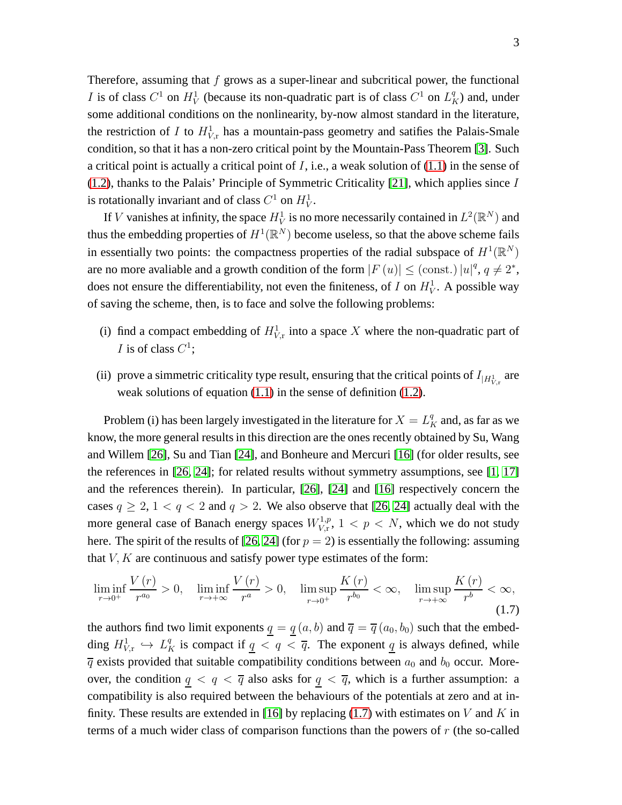Therefore, assuming that  $f$  grows as a super-linear and subcritical power, the functional I is of class  $C^1$  on  $H_V^1$  (because its non-quadratic part is of class  $C^1$  on  $L_K^q$ ) and, under some additional conditions on the nonlinearity, by-now almost standard in the literature, the restriction of I to  $H^1_{V,r}$  has a mountain-pass geometry and satifies the Palais-Smale condition, so that it has a non-zero critical point by the Mountain-Pass Theorem [\[3\]](#page-39-3). Such a critical point is actually a critical point of  $I$ , i.e., a weak solution of  $(1.1)$  in the sense of [\(1.2\)](#page-1-0), thanks to the Palais' Principle of Symmetric Criticality [\[21\]](#page-41-4), which applies since I is rotationally invariant and of class  $C^1$  on  $H_V^1$ .

If V vanishes at infinity, the space  $H_V^1$  is no more necessarily contained in  $L^2(\mathbb{R}^N)$  and thus the embedding properties of  $H^1(\mathbb{R}^N)$  become useless, so that the above scheme fails in essentially two points: the compactness properties of the radial subspace of  $H^1(\mathbb{R}^N)$ are no more avaliable and a growth condition of the form  $|F(u)| \leq (const.) |u|^q, q \neq 2^*$ , does not ensure the differentiability, not even the finiteness, of I on  $H_V^1$ . A possible way of saving the scheme, then, is to face and solve the following problems:

- (i) find a compact embedding of  $H^1_{V,\text{r}}$  into a space X where the non-quadratic part of *I* is of class  $C^1$ ;
- (ii) prove a simmetric criticality type result, ensuring that the critical points of  $I_{|H_{V,\text{r}}^1}$  are weak solutions of equation [\(1.1\)](#page-0-0) in the sense of definition [\(1.2\)](#page-1-0).

Problem (i) has been largely investigated in the literature for  $X = L_K^q$  and, as far as we know, the more general results in this direction are the ones recently obtained by Su, Wang and Willem [26], Su and Tian [\[24\]](#page-41-3), and Bonheure and Mercuri [\[16\]](#page-40-5) (for older results, see the references in [26, [24\]](#page-41-3); for related results without symmetry assumptions, see [\[1,](#page-39-2) [17\]](#page-40-6) and the references therein). In particular, [26], [\[24\]](#page-41-3) and [\[16\]](#page-40-5) respectively concern the cases  $q \ge 2$ ,  $1 < q < 2$  and  $q > 2$ . We also observe that [26, [24\]](#page-41-3) actually deal with the more general case of Banach energy spaces  $W_{V_r}^{1,p}$  $V_{V,\mathrm{r}}^{1,p}$ ,  $1 < p < N$ , which we do not study here. The spirit of the results of [26, [24\]](#page-41-3) (for  $p = 2$ ) is essentially the following: assuming that  $V, K$  are continuous and satisfy power type estimates of the form:

<span id="page-2-0"></span>
$$
\liminf_{r \to 0^+} \frac{V(r)}{r^{a_0}} > 0, \quad \liminf_{r \to +\infty} \frac{V(r)}{r^a} > 0, \quad \limsup_{r \to 0^+} \frac{K(r)}{r^{b_0}} < \infty, \quad \limsup_{r \to +\infty} \frac{K(r)}{r^b} < \infty,
$$
\n(1.7)

the authors find two limit exponents  $q = q(a, b)$  and  $\overline{q} = \overline{q}(a_0, b_0)$  such that the embedding  $H^1_{V,\text{r}} \hookrightarrow L_K^q$  is compact if  $q < q < \overline{q}$ . The exponent  $\overline{q}$  is always defined, while  $\overline{q}$  exists provided that suitable compatibility conditions between  $a_0$  and  $b_0$  occur. Moreover, the condition  $q < q < \overline{q}$  also asks for  $q < \overline{q}$ , which is a further assumption: a compatibility is also required between the behaviours of the potentials at zero and at in-finity. These results are extended in [\[16\]](#page-40-5) by replacing [\(1.7\)](#page-2-0) with estimates on V and K in terms of a much wider class of comparison functions than the powers of  $r$  (the so-called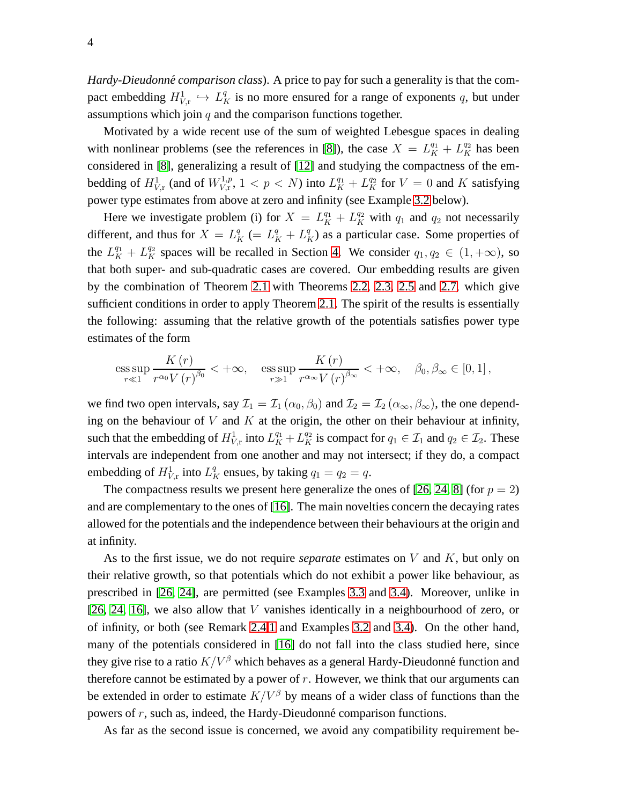*Hardy-Dieudonné comparison class*). A price to pay for such a generality is that the compact embedding  $H^1_{V,\text{r}} \hookrightarrow L_K^q$  is no more ensured for a range of exponents q, but under assumptions which join  $q$  and the comparison functions together.

Motivated by a wide recent use of the sum of weighted Lebesgue spaces in dealing with nonlinear problems (see the references in [\[8\]](#page-40-7)), the case  $X = L_K^{q_1} + L_K^{q_2}$  has been considered in [\[8\]](#page-40-7), generalizing a result of [\[12\]](#page-40-8) and studying the compactness of the embedding of  $H^1_{V,\text{r}}$  (and of  $W^{1,p}_{V,\text{r}}$  $U_{V,r}^{1,p}, 1 < p < N$ ) into  $L_K^{q_1} + L_K^{q_2}$  for  $V = 0$  and  $K$  satisfying power type estimates from above at zero and infinity (see Example [3.2](#page-13-0) below).

Here we investigate problem (i) for  $X = L_K^{q_1} + L_K^{q_2}$  with  $q_1$  and  $q_2$  not necessarily different, and thus for  $X = L_K^q (= L_K^q + L_K^q)$  as a particular case. Some properties of the  $L_K^{q_1} + L_K^{q_2}$  spaces will be recalled in Section [4.](#page-18-0) We consider  $q_1, q_2 \in (1, +\infty)$ , so that both super- and sub-quadratic cases are covered. Our embedding results are given by the combination of Theorem [2.1](#page-6-0) with Theorems [2.2,](#page-7-0) [2.3,](#page-7-1) [2.5](#page-8-0) and [2.7,](#page-11-0) which give sufficient conditions in order to apply Theorem [2.1.](#page-6-0) The spirit of the results is essentially the following: assuming that the relative growth of the potentials satisfies power type estimates of the form

ess sup 
$$
\frac{K(r)}{r^{\alpha_0}V(r)^{\beta_0}}
$$
 < + $\infty$ , ess sup  $\frac{K(r)}{r^{\alpha_\infty}V(r)^{\beta_\infty}}$  < + $\infty$ ,  $\beta_0, \beta_\infty \in [0, 1]$ ,

we find two open intervals, say  $\mathcal{I}_1 = \mathcal{I}_1(\alpha_0, \beta_0)$  and  $\mathcal{I}_2 = \mathcal{I}_2(\alpha_\infty, \beta_\infty)$ , the one depending on the behaviour of  $V$  and  $K$  at the origin, the other on their behaviour at infinity, such that the embedding of  $H^1_{V,\text{r}}$  into  $L_K^{q_1} + L_K^{q_2}$  is compact for  $q_1 \in \mathcal{I}_1$  and  $q_2 \in \mathcal{I}_2$ . These intervals are independent from one another and may not intersect; if they do, a compact embedding of  $H^1_{V,\text{r}}$  into  $L_K^q$  ensues, by taking  $q_1 = q_2 = q$ .

The compactness results we present here generalize the ones of [26, [24,](#page-41-3) [8\]](#page-40-7) (for  $p = 2$ ) and are complementary to the ones of [\[16\]](#page-40-5). The main novelties concern the decaying rates allowed for the potentials and the independence between their behaviours at the origin and at infinity.

As to the first issue, we do not require *separate* estimates on V and K, but only on their relative growth, so that potentials which do not exhibit a power like behaviour, as prescribed in [26, [24\]](#page-41-3), are permitted (see Examples [3.3](#page-14-0) and [3.4\)](#page-14-1). Moreover, unlike in [26, [24,](#page-41-3) [16\]](#page-40-5), we also allow that  $V$  vanishes identically in a neighbourhood of zero, or of infinity, or both (see Remark [2.4](#page-8-1)[.1](#page-8-2) and Examples [3.2](#page-13-0) and [3.4\)](#page-14-1). On the other hand, many of the potentials considered in [\[16\]](#page-40-5) do not fall into the class studied here, since they give rise to a ratio  $K/V^{\beta}$  which behaves as a general Hardy-Dieudonné function and therefore cannot be estimated by a power of  $r$ . However, we think that our arguments can be extended in order to estimate  $K/V^{\beta}$  by means of a wider class of functions than the powers of  $r$ , such as, indeed, the Hardy-Dieudonné comparison functions.

As far as the second issue is concerned, we avoid any compatibility requirement be-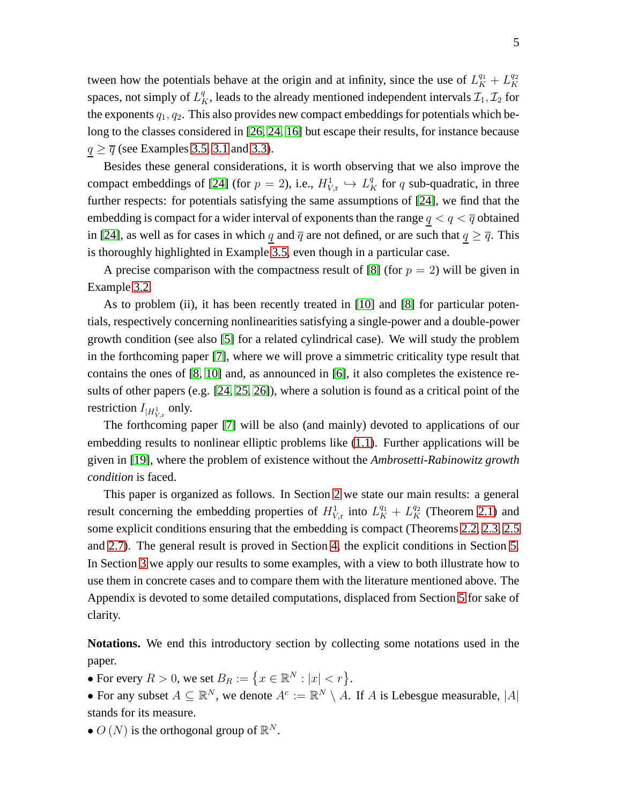tween how the potentials behave at the origin and at infinity, since the use of  $L_K^{q_1} + L_K^{q_2}$ K spaces, not simply of  $L_K^q$ , leads to the already mentioned independent intervals  $\mathcal{I}_1, \mathcal{I}_2$  for the exponents  $q_1, q_2$ . This also provides new compact embeddings for potentials which belong to the classes considered in [26, [24,](#page-41-3) [16\]](#page-40-5) but escape their results, for instance because  $q \geq \overline{q}$  (see Examples [3.5,](#page-16-0) [3.1](#page-12-0) and [3.3\)](#page-14-0).

Besides these general considerations, it is worth observing that we also improve the compact embeddings of [\[24\]](#page-41-3) (for  $p = 2$ ), i.e.,  $H^1_{V,r} \hookrightarrow L^q_K$  for q sub-quadratic, in three further respects: for potentials satisfying the same assumptions of [\[24\]](#page-41-3), we find that the embedding is compact for a wider interval of exponents than the range  $q < q < \overline{q}$  obtained in [\[24\]](#page-41-3), as well as for cases in which q and  $\overline{q}$  are not defined, or are such that  $q \geq \overline{q}$ . This is thoroughly highlighted in Example [3.5,](#page-16-0) even though in a particular case.

A precise comparison with the compactness result of [\[8\]](#page-40-7) (for  $p = 2$ ) will be given in Example [3.2.](#page-13-0)

As to problem (ii), it has been recently treated in [\[10\]](#page-40-9) and [\[8\]](#page-40-7) for particular potentials, respectively concerning nonlinearities satisfying a single-power and a double-power growth condition (see also [\[5\]](#page-39-4) for a related cylindrical case). We will study the problem in the forthcoming paper [\[7\]](#page-39-5), where we will prove a simmetric criticality type result that contains the ones of [\[8,](#page-40-7) [10\]](#page-40-9) and, as announced in [\[6\]](#page-39-6), it also completes the existence results of other papers (e.g. [\[24,](#page-41-3) 25, 26]), where a solution is found as a critical point of the restriction  $I_{|H_{V,\text{r}}^1}$  only.

The forthcoming paper [\[7\]](#page-39-5) will be also (and mainly) devoted to applications of our embedding results to nonlinear elliptic problems like [\(1.1\)](#page-0-0). Further applications will be given in [\[19\]](#page-40-10), where the problem of existence without the *Ambrosetti-Rabinowitz growth condition* is faced.

This paper is organized as follows. In Section [2](#page-5-0) we state our main results: a general result concerning the embedding properties of  $H_{V,\text{r}}^1$  into  $L_K^{q_1} + L_K^{q_2}$  (Theorem [2.1\)](#page-6-0) and some explicit conditions ensuring that the embedding is compact (Theorems [2.2,](#page-7-0) [2.3,](#page-7-1) [2.5](#page-8-0) and [2.7\)](#page-11-0). The general result is proved in Section [4,](#page-18-0) the explicit conditions in Section [5.](#page-22-0) In Section [3](#page-12-1) we apply our results to some examples, with a view to both illustrate how to use them in concrete cases and to compare them with the literature mentioned above. The Appendix is devoted to some detailed computations, displaced from Section [5](#page-22-0) for sake of clarity.

**Notations.** We end this introductory section by collecting some notations used in the paper.

• For every  $R > 0$ , we set  $B_R := \{x \in \mathbb{R}^N : |x| < r\}.$ 

• For any subset  $A \subseteq \mathbb{R}^N$ , we denote  $A^c := \mathbb{R}^N \setminus A$ . If A is Lebesgue measurable,  $|A|$ stands for its measure.

•  $O(N)$  is the orthogonal group of  $\mathbb{R}^N$ .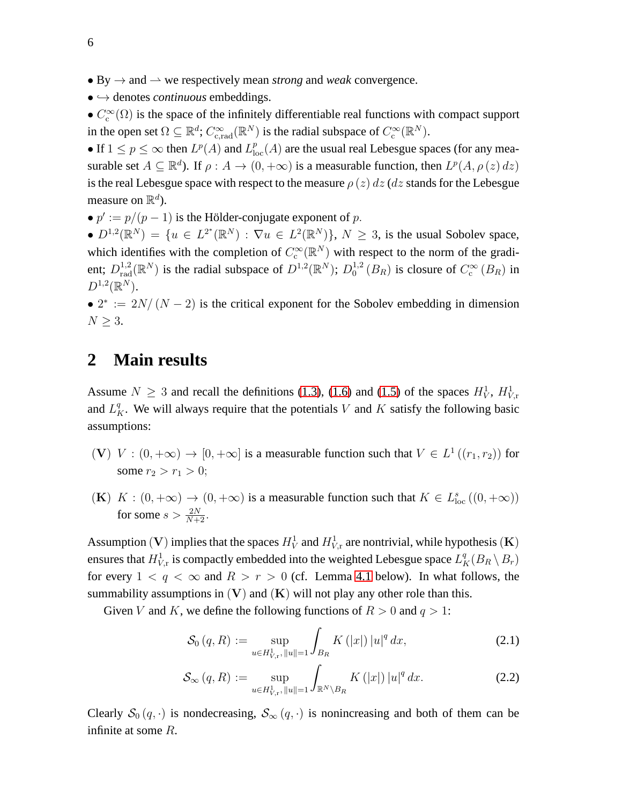- By  $\rightarrow$  and  $\rightarrow$  we respectively mean *strong* and *weak* convergence.
- $\bullet \hookrightarrow$  denotes *continuous* embeddings.

•  $C_c^{\infty}(\Omega)$  is the space of the infinitely differentiable real functions with compact support in the open set  $\Omega \subseteq \mathbb{R}^d$ ;  $C_{c,rad}^{\infty}(\mathbb{R}^N)$  is the radial subspace of  $C_c^{\infty}(\mathbb{R}^N)$ .

• If  $1 \le p \le \infty$  then  $L^p(A)$  and  $L^p_{loc}(A)$  are the usual real Lebesgue spaces (for any measurable set  $A \subseteq \mathbb{R}^d$ ). If  $\rho: A \to (0, +\infty)$  is a measurable function, then  $L^p(A, \rho(z) dz)$ is the real Lebesgue space with respect to the measure  $\rho(z) dz$  (dz stands for the Lebesgue measure on  $\mathbb{R}^d$ ).

•  $p' := p/(p-1)$  is the Hölder-conjugate exponent of p.

•  $D^{1,2}(\mathbb{R}^N) = \{u \in L^{2^*}(\mathbb{R}^N) : \nabla u \in L^2(\mathbb{R}^N)\}, N \geq 3$ , is the usual Sobolev space, which identifies with the completion of  $C_c^{\infty}(\mathbb{R}^N)$  with respect to the norm of the gradient;  $D_{\text{rad}}^{1,2}(\mathbb{R}^N)$  is the radial subspace of  $D^{1,2}(\mathbb{R}^N)$ ;  $D_0^{1,2}$  $^{1,2}_0(B_R)$  is closure of  $C_c^{\infty}(B_R)$  in  $D^{1,2}(\mathbb{R}^N)$ .

•  $2^* := 2N/(N-2)$  is the critical exponent for the Sobolev embedding in dimension  $N \geq 3$ .

### <span id="page-5-0"></span>**2 Main results**

Assume  $N \geq 3$  and recall the definitions [\(1.3\)](#page-1-1), [\(1.6\)](#page-1-2) and [\(1.5\)](#page-1-3) of the spaces  $H_V^1$ ,  $H_{V,r}^1$ and  $L_K^q$ . We will always require that the potentials V and K satisfy the following basic assumptions:

- (V)  $V : (0, +\infty) \to [0, +\infty]$  is a measurable function such that  $V \in L^1((r_1, r_2))$  for some  $r_2 > r_1 > 0$ ;
- (K)  $K : (0, +\infty) \to (0, +\infty)$  is a measurable function such that  $K \in L^s_{loc}((0, +\infty))$ for some  $s > \frac{2N}{N+2}$ .

Assumption (V) implies that the spaces  $H_V^1$  and  $H_{V,r}^1$  are nontrivial, while hypothesis (K) ensures that  $H^1_{V,\text{r}}$  is compactly embedded into the weighted Lebesgue space  $L^q_K(B_R \setminus B_r)$ for every  $1 < q < \infty$  and  $R > r > 0$  (cf. Lemma [4.1](#page-18-1) below). In what follows, the summability assumptions in  $(V)$  and  $(K)$  will not play any other role than this.

Given V and K, we define the following functions of  $R > 0$  and  $q > 1$ :

<span id="page-5-1"></span>
$$
\mathcal{S}_0(q, R) := \sup_{u \in H^1_{V, r}, \|u\| = 1} \int_{B_R} K(|x|) |u|^q dx, \tag{2.1}
$$

$$
\mathcal{S}_{\infty}(q, R) := \sup_{u \in H_{V, r}^1, \|u\| = 1} \int_{\mathbb{R}^N \setminus B_R} K(|x|) |u|^q dx.
$$
 (2.2)

Clearly  $S_0(q, \cdot)$  is nondecreasing,  $S_\infty(q, \cdot)$  is nonincreasing and both of them can be infinite at some R.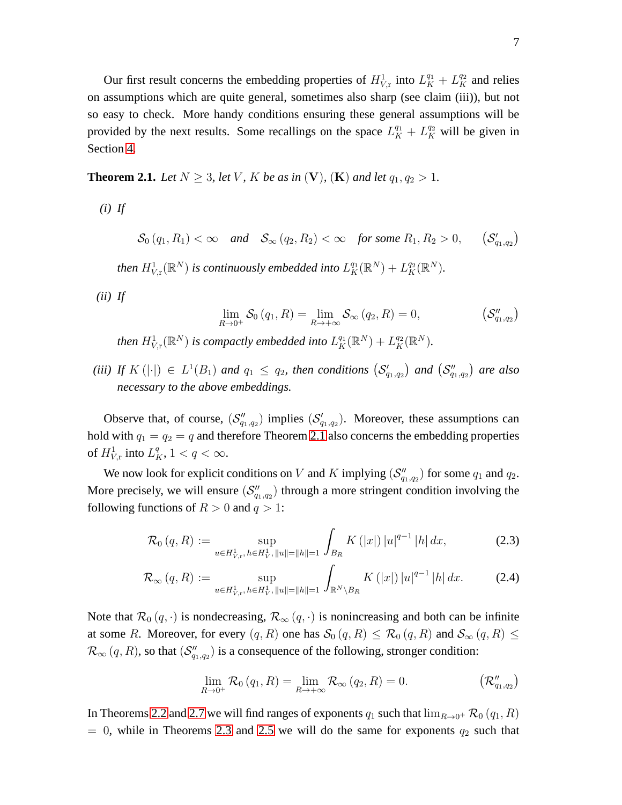Our first result concerns the embedding properties of  $H^1_{V,r}$  into  $L^{q_1}_K + L^{q_2}_K$  and relies on assumptions which are quite general, sometimes also sharp (see claim (iii)), but not so easy to check. More handy conditions ensuring these general assumptions will be provided by the next results. Some recallings on the space  $L_K^{q_1} + L_K^{q_2}$  will be given in Section [4.](#page-18-0)

<span id="page-6-0"></span>**Theorem 2.1.** *Let*  $N \geq 3$ *, let*  $V$ *,*  $K$  *be as in*  $(V)$ *,*  $(K)$  *and let*  $q_1, q_2 > 1$ *.* 

*(i) If*

 $\mathcal{S}_0(q_1, R_1) < \infty$  *and*  $\mathcal{S}_{\infty}(q_2, R_2) < \infty$  *for some*  $R_1, R_2 > 0$ ,  $\left( \mathcal{S}_{q_{1},q_{2}}^{\prime}\right)$ 

then  $H^1_{V,\mathrm{r}}(\mathbb{R}^N)$  is continuously embedded into  $L^{q_1}_K(\mathbb{R}^N)+L^{q_2}_K(\mathbb{R}^N)$ .

*(ii) If*

$$
\lim_{R \to 0^+} \mathcal{S}_0(q_1, R) = \lim_{R \to +\infty} \mathcal{S}_{\infty}(q_2, R) = 0, \qquad (\mathcal{S}_{q_1, q_2}^{\prime\prime})
$$

then  $H^1_{V,\mathrm{r}}(\mathbb{R}^N)$  is compactly embedded into  $L^{q_1}_K(\mathbb{R}^N) + L^{q_2}_K(\mathbb{R}^N)$ .

(*iii*) If  $K(|\cdot|) \in L^1(B_1)$  and  $q_1 \le q_2$ , then conditions  $(S'_{q_1,q_2})$  and  $(S''_{q_1,q_2})$  are also *necessary to the above embeddings.*

Observe that, of course,  $(S'_{q_1,q_2})$  implies  $(S'_{q_1,q_2})$ . Moreover, these assumptions can hold with  $q_1 = q_2 = q$  and therefore Theorem [2.1](#page-6-0) also concerns the embedding properties of  $H^1_{V,\text{r}}$  into  $L_K^q, 1 < q < \infty$ .

We now look for explicit conditions on V and K implying  $(\mathcal{S}_{q_1,q_2}^{\prime\prime})$  for some  $q_1$  and  $q_2$ . More precisely, we will ensure  $(\mathcal{S}_{q_1,q_2}^{\prime\prime})$  through a more stringent condition involving the following functions of  $R > 0$  and  $q > 1$ :

<span id="page-6-1"></span>
$$
\mathcal{R}_0(q, R) := \sup_{u \in H^1_{V, r}, h \in H^1_V, \|u\| = \|h\| = 1} \int_{B_R} K(|x|) |u|^{q-1} |h| dx, \tag{2.3}
$$

$$
\mathcal{R}_{\infty}(q, R) := \sup_{u \in H_{V, r}^1, \, h \in H_V^1, \, \|u\| = \|h\| = 1} \int_{\mathbb{R}^N \setminus B_R} K(|x|) |u|^{q-1} |h| dx. \tag{2.4}
$$

Note that  $\mathcal{R}_0(q, \cdot)$  is nondecreasing,  $\mathcal{R}_{\infty}(q, \cdot)$  is nonincreasing and both can be infinite at some R. Moreover, for every  $(q, R)$  one has  $\mathcal{S}_0(q, R) \leq \mathcal{R}_0(q, R)$  and  $\mathcal{S}_{\infty}(q, R) \leq$  $\mathcal{R}_{\infty}(q, R)$ , so that  $(\mathcal{S}_{q_1,q_2}^{\prime\prime})$  is a consequence of the following, stronger condition:

$$
\lim_{R \to 0^+} \mathcal{R}_0(q_1, R) = \lim_{R \to +\infty} \mathcal{R}_{\infty}(q_2, R) = 0.
$$
  $(\mathcal{R}_{q_1, q_2}^{\prime\prime})$ 

In Theorems [2.2](#page-7-0) and [2.7](#page-11-0) we will find ranges of exponents  $q_1$  such that  $\lim_{R\to 0^+} \mathcal{R}_0(q_1, R)$  $= 0$ , while in Theorems [2.3](#page-7-1) and [2.5](#page-8-0) we will do the same for exponents  $q_2$  such that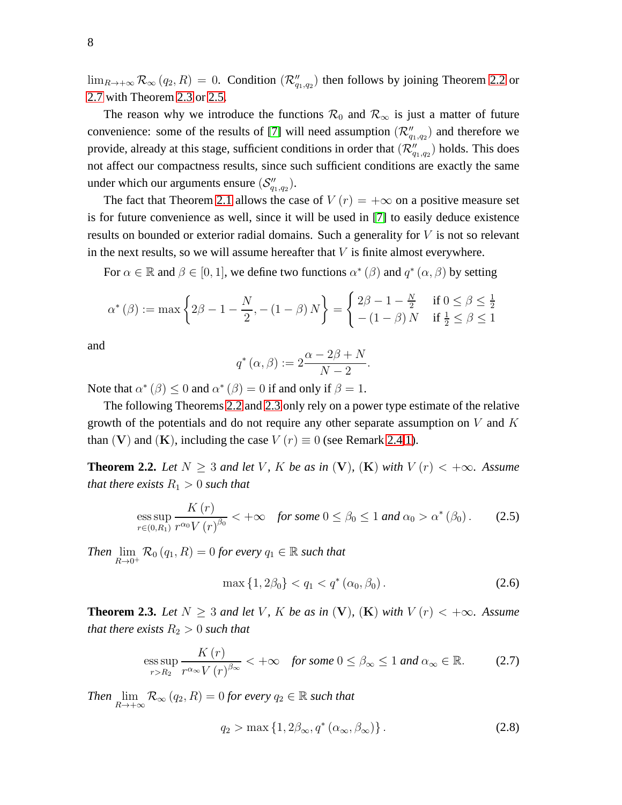$\lim_{R\to+\infty} \mathcal{R}_{\infty}(q_2, R) = 0$ . Condition  $(\mathcal{R}_{q_1,q_2}^{"})$  then follows by joining Theorem [2.2](#page-7-0) or [2.7](#page-11-0) with Theorem [2.3](#page-7-1) or [2.5.](#page-8-0)

The reason why we introduce the functions  $\mathcal{R}_0$  and  $\mathcal{R}_{\infty}$  is just a matter of future convenience: some of the results of [\[7\]](#page-39-5) will need assumption  $(\mathcal{R}_{q_1,q_2}^{"})$  and therefore we provide, already at this stage, sufficient conditions in order that  $(\mathcal{R}''_{q_1,q_2})$  holds. This does not affect our compactness results, since such sufficient conditions are exactly the same under which our arguments ensure  $(\mathcal{S}''_{q_1,q_2})$ .

The fact that Theorem [2.1](#page-6-0) allows the case of  $V(r) = +\infty$  on a positive measure set is for future convenience as well, since it will be used in [\[7\]](#page-39-5) to easily deduce existence results on bounded or exterior radial domains. Such a generality for  $V$  is not so relevant in the next results, so we will assume hereafter that  $V$  is finite almost everywhere.

For  $\alpha \in \mathbb{R}$  and  $\beta \in [0, 1]$ , we define two functions  $\alpha^* (\beta)$  and  $q^* (\alpha, \beta)$  by setting

$$
\alpha^*(\beta) := \max\left\{2\beta - 1 - \frac{N}{2}, -(1 - \beta)N\right\} = \begin{cases} 2\beta - 1 - \frac{N}{2} & \text{if } 0 \le \beta \le \frac{1}{2} \\ -(1 - \beta)N & \text{if } \frac{1}{2} \le \beta \le 1 \end{cases}
$$

and

$$
q^*(\alpha,\beta) := 2\frac{\alpha - 2\beta + N}{N - 2}.
$$

Note that  $\alpha^*(\beta) \leq 0$  and  $\alpha^*(\beta) = 0$  if and only if  $\beta = 1$ .

The following Theorems [2.2](#page-7-0) and [2.3](#page-7-1) only rely on a power type estimate of the relative growth of the potentials and do not require any other separate assumption on  $V$  and  $K$ than (V) and (K), including the case  $V(r) \equiv 0$  (see Remark [2.4](#page-8-1)[.1\)](#page-8-2).

<span id="page-7-0"></span>**Theorem 2.2.** Let  $N \geq 3$  and let V, K be as in (V), (K) with  $V(r) < +\infty$ . Assume *that there exists*  $R_1 > 0$  *such that* 

<span id="page-7-3"></span>
$$
\underset{r\in(0,R_1)}{\text{ess sup}}\frac{K\left(r\right)}{r^{\alpha_0}V\left(r\right)^{\beta_0}}<+\infty\quad\text{for some }0\leq\beta_0\leq 1\text{ and }\alpha_0>\alpha^*\left(\beta_0\right). \tag{2.5}
$$

*Then*  $\lim_{R\to 0^+} \mathcal{R}_0(q_1, R) = 0$  *for every*  $q_1 \in \mathbb{R}$  *such that* 

<span id="page-7-4"></span>
$$
\max\{1, 2\beta_0\} < q_1 < q^* \left(\alpha_0, \beta_0\right). \tag{2.6}
$$

<span id="page-7-1"></span>**Theorem 2.3.** Let  $N \geq 3$  and let V, K be as in (V), (K) with  $V(r) < +\infty$ . Assume *that there exists*  $R_2 > 0$  *such that* 

<span id="page-7-2"></span>
$$
\underset{r>R_2}{\operatorname{ess\,sup}}\,\frac{K\left(r\right)}{r^{\alpha_{\infty}}V\left(r\right)^{\beta_{\infty}}} < +\infty \quad \text{for some } 0 \leq \beta_{\infty} \leq 1 \text{ and } \alpha_{\infty} \in \mathbb{R}. \tag{2.7}
$$

*Then*  $\lim_{R\to+\infty} \mathcal{R}_{\infty}(q_2, R) = 0$  *for every*  $q_2 \in \mathbb{R}$  *such that* 

<span id="page-7-5"></span>
$$
q_2 > \max\left\{1, 2\beta_\infty, q^*(\alpha_\infty, \beta_\infty)\right\}.
$$
 (2.8)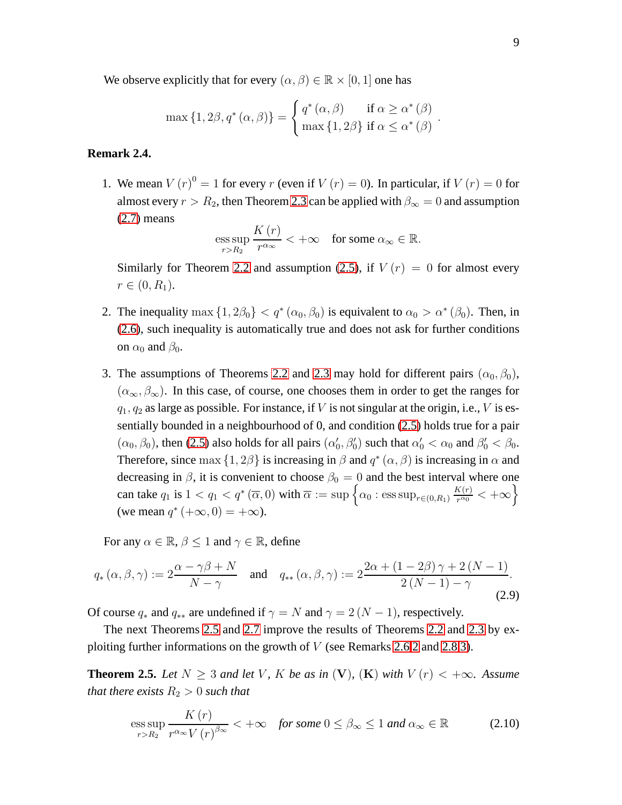We observe explicitly that for every  $(\alpha, \beta) \in \mathbb{R} \times [0, 1]$  one has

$$
\max\left\{1,2\beta,q^*(\alpha,\beta)\right\} = \begin{cases} q^*(\alpha,\beta) & \text{if } \alpha \ge \alpha^*(\beta) \\ \max\left\{1,2\beta\right\} & \text{if } \alpha \le \alpha^*(\beta) \end{cases}.
$$

#### <span id="page-8-2"></span><span id="page-8-1"></span>**Remark 2.4.**

1. We mean  $V(r)^0 = 1$  for every r (even if  $V(r) = 0$ ). In particular, if  $V(r) = 0$  for almost every  $r > R_2$ , then Theorem [2.3](#page-7-1) can be applied with  $\beta_{\infty} = 0$  and assumption [\(2.7\)](#page-7-2) means

$$
\underset{r>R_2}{\operatorname{ess\,sup}}\frac{K\left(r\right)}{r^{\alpha_{\infty}}}<+\infty\quad\text{for some }\alpha_{\infty}\in\mathbb{R}.
$$

Similarly for Theorem [2.2](#page-7-0) and assumption [\(2.5\)](#page-7-3), if  $V(r) = 0$  for almost every  $r \in (0, R_1).$ 

- 2. The inequality max  $\{1, 2\beta_0\} < q^*$   $(\alpha_0, \beta_0)$  is equivalent to  $\alpha_0 > \alpha^*$   $(\beta_0)$ . Then, in [\(2.6\)](#page-7-4), such inequality is automatically true and does not ask for further conditions on  $\alpha_0$  and  $\beta_0$ .
- <span id="page-8-5"></span>3. The assumptions of Theorems [2.2](#page-7-0) and [2.3](#page-7-1) may hold for different pairs  $(\alpha_0, \beta_0)$ ,  $(\alpha_{\infty}, \beta_{\infty})$ . In this case, of course, one chooses them in order to get the ranges for  $q_1, q_2$  as large as possible. For instance, if V is not singular at the origin, i.e., V is essentially bounded in a neighbourhood of 0, and condition [\(2.5\)](#page-7-3) holds true for a pair  $(\alpha_0, \beta_0)$ , then [\(2.5\)](#page-7-3) also holds for all pairs  $(\alpha'_0, \beta'_0)$  such that  $\alpha'_0 < \alpha_0$  and  $\beta'_0 < \beta_0$ . Therefore, since  $\max\{1, 2\beta\}$  is increasing in  $\beta$  and  $q^*(\alpha, \beta)$  is increasing in  $\alpha$  and decreasing in  $\beta$ , it is convenient to choose  $\beta_0 = 0$  and the best interval where one can take  $q_1$  is  $1 < q_1 < q^* (\overline{\alpha}, 0)$  with  $\overline{\alpha} := \sup \left\{ \alpha_0 : \text{ess sup}_{r \in (0, R_1)} \frac{K(r)}{r^{\alpha_0}} \right\}$  $\frac{K(r)}{r^{\alpha_0}} < +\infty$ (we mean  $q^*$  (+ $\infty$ , 0) = + $\infty$ ).

For any  $\alpha \in \mathbb{R}, \beta \leq 1$  and  $\gamma \in \mathbb{R}$ , define

<span id="page-8-4"></span>
$$
q_{*}(\alpha,\beta,\gamma) := 2\frac{\alpha-\gamma\beta+N}{N-\gamma} \quad \text{and} \quad q_{**}(\alpha,\beta,\gamma) := 2\frac{2\alpha+(1-2\beta)\gamma+2(N-1)}{2(N-1)-\gamma}.
$$
\n(2.9)

Of course  $q_*$  and  $q_{**}$  are undefined if  $\gamma = N$  and  $\gamma = 2(N - 1)$ , respectively.

The next Theorems [2.5](#page-8-0) and [2.7](#page-11-0) improve the results of Theorems [2.2](#page-7-0) and [2.3](#page-7-1) by exploiting further informations on the growth of V (see Remarks [2.6](#page-9-0)[.2](#page-9-1) and [2.8](#page-11-1)[.3\)](#page-12-2).

<span id="page-8-0"></span>**Theorem 2.5.** *Let*  $N \geq 3$  *and let* V, K *be as in* (V), (K) *with*  $V(r) < +\infty$ *. Assume that there exists*  $R_2 > 0$  *such that* 

<span id="page-8-3"></span>
$$
\underset{r>R_2}{\text{ess sup}} \frac{K(r)}{r^{\alpha_{\infty}}V(r)^{\beta_{\infty}}} < +\infty \quad \text{for some } 0 \leq \beta_{\infty} \leq 1 \text{ and } \alpha_{\infty} \in \mathbb{R} \tag{2.10}
$$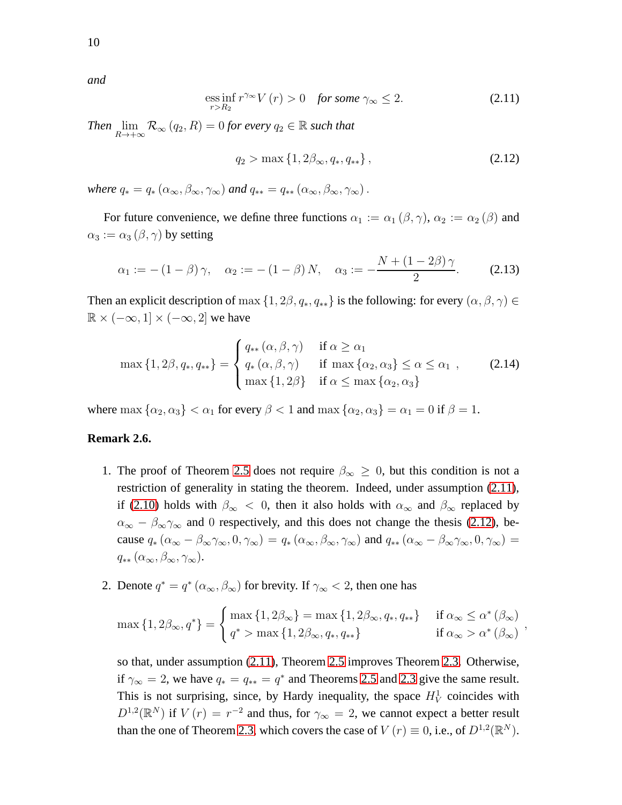*and*

10

<span id="page-9-2"></span>
$$
\underset{r>R_2}{\operatorname{ess\,inf}}\,r^{\gamma_{\infty}}V(r) > 0 \quad \text{for some } \gamma_{\infty} \le 2. \tag{2.11}
$$

*Then*  $\lim_{R\to+\infty} \mathcal{R}_{\infty}(q_2, R) = 0$  *for every*  $q_2 \in \mathbb{R}$  *such that* 

<span id="page-9-3"></span>
$$
q_2 > \max\left\{1, 2\beta_\infty, q_{\ast}, q_{\ast\ast}\right\},\tag{2.12}
$$

*where*  $q_* = q_* (\alpha_\infty, \beta_\infty, \gamma_\infty)$  *and*  $q_{**} = q_{**} (\alpha_\infty, \beta_\infty, \gamma_\infty)$ .

For future convenience, we define three functions  $\alpha_1 := \alpha_1 (\beta, \gamma)$ ,  $\alpha_2 := \alpha_2 (\beta)$  and  $\alpha_3 := \alpha_3 (\beta, \gamma)$  by setting

<span id="page-9-5"></span>
$$
\alpha_1 := -(1 - \beta)\gamma, \quad \alpha_2 := -(1 - \beta) N, \quad \alpha_3 := -\frac{N + (1 - 2\beta)\gamma}{2}.
$$
 (2.13)

Then an explicit description of max  $\{1, 2\beta, q_*, q_{**}\}\$  is the following: for every  $(\alpha, \beta, \gamma) \in$  $\mathbb{R} \times (-\infty, 1] \times (-\infty, 2]$  we have

<span id="page-9-4"></span>
$$
\max\left\{1,2\beta,q_*,q_{**}\right\} = \begin{cases} q_{**}(\alpha,\beta,\gamma) & \text{if } \alpha \geq \alpha_1 \\ q_*(\alpha,\beta,\gamma) & \text{if } \max\left\{\alpha_2,\alpha_3\right\} \leq \alpha \leq \alpha_1 \\ \max\left\{1,2\beta\right\} & \text{if } \alpha \leq \max\left\{\alpha_2,\alpha_3\right\} \end{cases}
$$
 (2.14)

where max  $\{\alpha_2, \alpha_3\} < \alpha_1$  for every  $\beta < 1$  and max  $\{\alpha_2, \alpha_3\} = \alpha_1 = 0$  if  $\beta = 1$ .

#### <span id="page-9-6"></span><span id="page-9-0"></span>**Remark 2.6.**

- 1. The proof of Theorem [2.5](#page-8-0) does not require  $\beta_{\infty} \geq 0$ , but this condition is not a restriction of generality in stating the theorem. Indeed, under assumption [\(2.11\)](#page-9-2), if [\(2.10\)](#page-8-3) holds with  $\beta_{\infty} < 0$ , then it also holds with  $\alpha_{\infty}$  and  $\beta_{\infty}$  replaced by  $\alpha_{\infty} - \beta_{\infty} \gamma_{\infty}$  and 0 respectively, and this does not change the thesis [\(2.12\)](#page-9-3), because  $q_*(\alpha_\infty - \beta_\infty \gamma_\infty, 0, \gamma_\infty) = q_*(\alpha_\infty, \beta_\infty, \gamma_\infty)$  and  $q_{**}(\alpha_\infty - \beta_\infty \gamma_\infty, 0, \gamma_\infty) =$  $q_{**}(\alpha_{\infty},\beta_{\infty},\gamma_{\infty}).$
- <span id="page-9-1"></span>2. Denote  $q^* = q^* (\alpha_\infty, \beta_\infty)$  for brevity. If  $\gamma_\infty < 2$ , then one has

$$
\max\left\{1,2\beta_{\infty},q^*\right\} = \begin{cases} \max\left\{1,2\beta_{\infty}\right\} = \max\left\{1,2\beta_{\infty},q_*,q_{**}\right\} & \text{if } \alpha_{\infty} \leq \alpha^*(\beta_{\infty})\\ q^* > \max\left\{1,2\beta_{\infty},q_*,q_{**}\right\} & \text{if } \alpha_{\infty} > \alpha^*(\beta_{\infty}) \end{cases},
$$

so that, under assumption [\(2.11\)](#page-9-2), Theorem [2.5](#page-8-0) improves Theorem [2.3.](#page-7-1) Otherwise, if  $\gamma_{\infty} = 2$ , we have  $q_* = q_{**} = q^*$  and Theorems [2.5](#page-8-0) and [2.3](#page-7-1) give the same result. This is not surprising, since, by Hardy inequality, the space  $H_V^1$  coincides with  $D^{1,2}(\mathbb{R}^N)$  if  $V(r) = r^{-2}$  and thus, for  $\gamma_\infty = 2$ , we cannot expect a better result than the one of Theorem [2.3,](#page-7-1) which covers the case of  $V(r) \equiv 0$ , i.e., of  $D^{1,2}(\mathbb{R}^N)$ .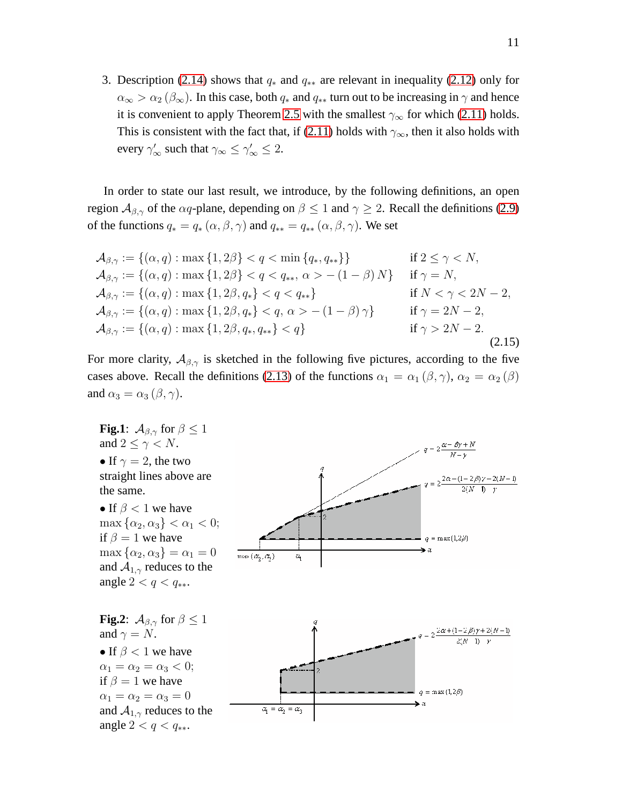<span id="page-10-0"></span>3. Description [\(2.14\)](#page-9-4) shows that  $q_*$  and  $q_{**}$  are relevant in inequality [\(2.12\)](#page-9-3) only for  $\alpha_{\infty} > \alpha_2 (\beta_{\infty})$ . In this case, both  $q_*$  and  $q_{**}$  turn out to be increasing in  $\gamma$  and hence it is convenient to apply Theorem [2.5](#page-8-0) with the smallest  $\gamma_{\infty}$  for which [\(2.11\)](#page-9-2) holds. This is consistent with the fact that, if [\(2.11\)](#page-9-2) holds with  $\gamma_{\infty}$ , then it also holds with every  $\gamma'_{\infty}$  such that  $\gamma_{\infty} \leq \gamma'_{\infty} \leq 2$ .

In order to state our last result, we introduce, by the following definitions, an open region  $A_{\beta,\gamma}$  of the  $\alpha q$ -plane, depending on  $\beta \leq 1$  and  $\gamma \geq 2$ . Recall the definitions [\(2.9\)](#page-8-4) of the functions  $q_* = q_*(\alpha, \beta, \gamma)$  and  $q_{**} = q_{**}(\alpha, \beta, \gamma)$ . We set

<span id="page-10-1"></span>
$$
\mathcal{A}_{\beta,\gamma} := \{(\alpha, q) : \max\{1, 2\beta\} < q < \min\{q_*, q_{**}\}\} \qquad \text{if } 2 \leq \gamma < N,
$$
\n
$$
\mathcal{A}_{\beta,\gamma} := \{(\alpha, q) : \max\{1, 2\beta\} < q < q_{**}, \alpha > -(1 - \beta)N\} \qquad \text{if } \gamma = N,
$$
\n
$$
\mathcal{A}_{\beta,\gamma} := \{(\alpha, q) : \max\{1, 2\beta, q_*\} < q < q_{**}\} \qquad \text{if } N < \gamma < 2N - 2,
$$
\n
$$
\mathcal{A}_{\beta,\gamma} := \{(\alpha, q) : \max\{1, 2\beta, q_*\} < q, \alpha > -(1 - \beta)\gamma\} \qquad \text{if } \gamma = 2N - 2,
$$
\n
$$
\mathcal{A}_{\beta,\gamma} := \{(\alpha, q) : \max\{1, 2\beta, q_*, q_{**}\} < q\} \qquad \text{if } \gamma > 2N - 2.
$$
\n
$$
\text{(2.15)}
$$

For more clarity,  $A_{\beta,\gamma}$  is sketched in the following five pictures, according to the five cases above. Recall the definitions [\(2.13\)](#page-9-5) of the functions  $\alpha_1 = \alpha_1 (\beta, \gamma)$ ,  $\alpha_2 = \alpha_2 (\beta)$ and  $\alpha_3 = \alpha_3 (\beta, \gamma)$ .

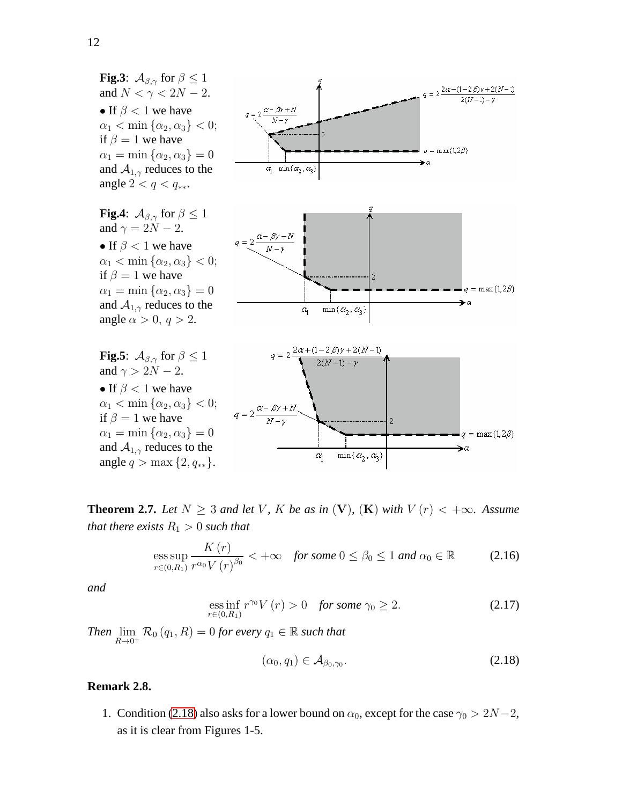

<span id="page-11-0"></span>**Theorem 2.7.** *Let*  $N \geq 3$  *and let* V, K *be as in* (V), (K) *with*  $V(r) < +\infty$ *. Assume that there exists*  $R_1 > 0$  *such that* 

<span id="page-11-4"></span>
$$
\underset{r\in(0,R_1)}{\operatorname{ess\,sup}}\frac{K\left(r\right)}{r^{\alpha_0}V\left(r\right)^{\beta_0}}<+\infty\quad\text{for some }0\leq\beta_0\leq 1\text{ and }\alpha_0\in\mathbb{R}\tag{2.16}
$$

*and*

<span id="page-11-3"></span>
$$
\underset{r\in(0,R_1)}{\text{ess inf}}\,r^{\gamma_0}V(r) > 0 \quad \text{for some } \gamma_0 \ge 2. \tag{2.17}
$$

*Then*  $\lim_{R\to 0^+} \mathcal{R}_0(q_1, R) = 0$  *for every*  $q_1 \in \mathbb{R}$  *such that* 

<span id="page-11-2"></span>
$$
(\alpha_0, q_1) \in \mathcal{A}_{\beta_0, \gamma_0}.\tag{2.18}
$$

#### <span id="page-11-1"></span>**Remark 2.8.**

1. Condition [\(2.18\)](#page-11-2) also asks for a lower bound on  $\alpha_0$ , except for the case  $\gamma_0 > 2N-2$ , as it is clear from Figures 1-5.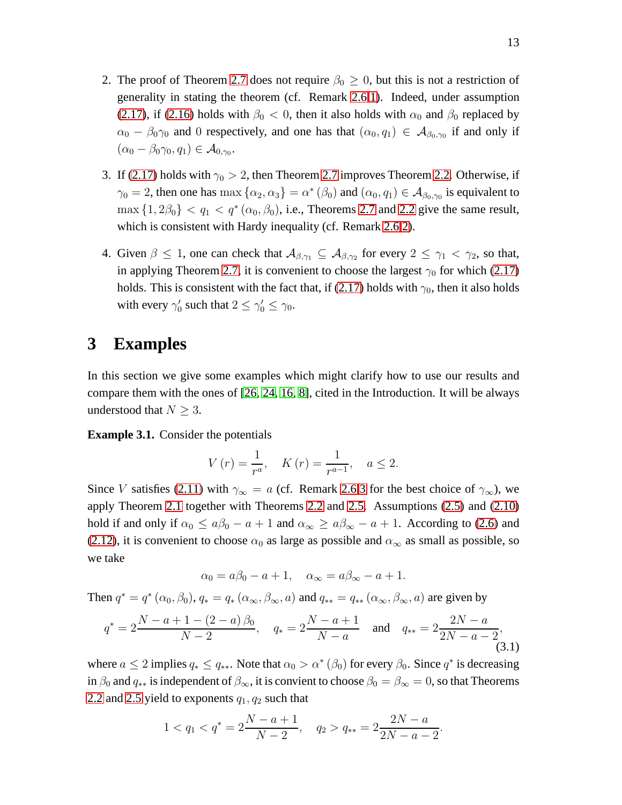- 2. The proof of Theorem [2.7](#page-11-0) does not require  $\beta_0 \geq 0$ , but this is not a restriction of generality in stating the theorem (cf. Remark [2.6](#page-9-0)[.1\)](#page-9-6). Indeed, under assumption [\(2.17\)](#page-11-3), if [\(2.16\)](#page-11-4) holds with  $\beta_0 < 0$ , then it also holds with  $\alpha_0$  and  $\beta_0$  replaced by  $\alpha_0 - \beta_0 \gamma_0$  and 0 respectively, and one has that  $(\alpha_0, q_1) \in A_{\beta_0, \gamma_0}$  if and only if  $(\alpha_0 - \beta_0 \gamma_0, q_1) \in \mathcal{A}_{0,\gamma_0}.$
- <span id="page-12-2"></span>3. If [\(2.17\)](#page-11-3) holds with  $\gamma_0 > 2$ , then Theorem [2.7](#page-11-0) improves Theorem [2.2.](#page-7-0) Otherwise, if  $\gamma_0 = 2$ , then one has max  $\{\alpha_2, \alpha_3\} = \alpha^* (\beta_0)$  and  $(\alpha_0, q_1) \in A_{\beta_0, \gamma_0}$  is equivalent to  $\max\{1, 2\beta_0\} < q_1 < q^*(\alpha_0, \beta_0)$ , i.e., Theorems [2.7](#page-11-0) and [2.2](#page-7-0) give the same result, which is consistent with Hardy inequality (cf. Remark [2.6](#page-9-0)[.2\)](#page-9-1).
- <span id="page-12-4"></span>4. Given  $\beta \le 1$ , one can check that  $A_{\beta,\gamma_1} \subseteq A_{\beta,\gamma_2}$  for every  $2 \le \gamma_1 < \gamma_2$ , so that, in applying Theorem [2.7,](#page-11-0) it is convenient to choose the largest  $\gamma_0$  for which [\(2.17\)](#page-11-3) holds. This is consistent with the fact that, if [\(2.17\)](#page-11-3) holds with  $\gamma_0$ , then it also holds with every  $\gamma'_0$  such that  $2 \le \gamma'_0 \le \gamma_0$ .

### <span id="page-12-1"></span>**3 Examples**

In this section we give some examples which might clarify how to use our results and compare them with the ones of [26, [24,](#page-41-3) [16,](#page-40-5) [8\]](#page-40-7), cited in the Introduction. It will be always understood that  $N \geq 3$ .

<span id="page-12-0"></span>**Example 3.1.** Consider the potentials

$$
V(r) = \frac{1}{r^a}, \quad K(r) = \frac{1}{r^{a-1}}, \quad a \le 2.
$$

Since V satisfies [\(2.11\)](#page-9-2) with  $\gamma_{\infty} = a$  (cf. Remark [2.6](#page-9-0)[.3](#page-10-0) for the best choice of  $\gamma_{\infty}$ ), we apply Theorem [2.1](#page-6-0) together with Theorems [2.2](#page-7-0) and [2.5.](#page-8-0) Assumptions [\(2.5\)](#page-7-3) and [\(2.10\)](#page-8-3) hold if and only if  $\alpha_0 \le a\beta_0 - a + 1$  and  $\alpha_\infty \ge a\beta_\infty - a + 1$ . According to [\(2.6\)](#page-7-4) and [\(2.12\)](#page-9-3), it is convenient to choose  $\alpha_0$  as large as possible and  $\alpha_\infty$  as small as possible, so we take

$$
\alpha_0 = a\beta_0 - a + 1, \quad \alpha_{\infty} = a\beta_{\infty} - a + 1.
$$

Then  $q^* = q^* (\alpha_0, \beta_0)$ ,  $q_* = q_* (\alpha_\infty, \beta_\infty, a)$  and  $q_{**} = q_{**} (\alpha_\infty, \beta_\infty, a)$  are given by

<span id="page-12-3"></span>
$$
q^* = 2\frac{N - a + 1 - (2 - a)\beta_0}{N - 2}, \quad q_* = 2\frac{N - a + 1}{N - a} \quad \text{and} \quad q_{**} = 2\frac{2N - a}{2N - a - 2},\tag{3.1}
$$

where  $a \le 2$  implies  $q_* \le q_{**}$ . Note that  $\alpha_0 > \alpha^* (\beta_0)$  for every  $\beta_0$ . Since  $q^*$  is decreasing in  $\beta_0$  and  $q_{**}$  is independent of  $\beta_{\infty}$ , it is convient to choose  $\beta_0 = \beta_{\infty} = 0$ , so that Theorems [2.2](#page-7-0) and [2.5](#page-8-0) yield to exponents  $q_1, q_2$  such that

$$
1 < q_1 < q^* = 2\frac{N-a+1}{N-2}, \quad q_2 > q_{**} = 2\frac{2N-a}{2N-a-2}.
$$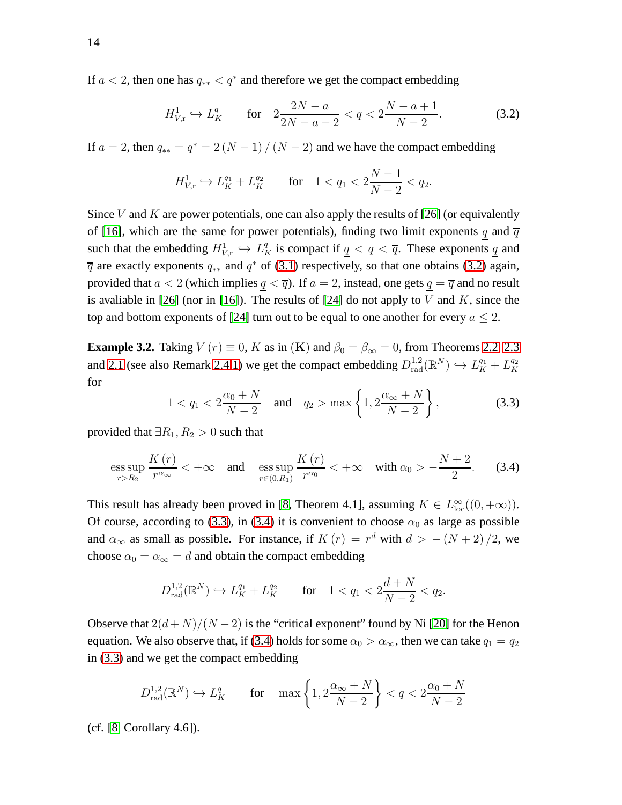If  $a < 2$ , then one has  $q_{**} < q^*$  and therefore we get the compact embedding

<span id="page-13-1"></span>
$$
H_{V,\mathrm{r}}^1 \hookrightarrow L_K^q \qquad \text{for} \quad 2\frac{2N-a}{2N-a-2} < q < 2\frac{N-a+1}{N-2}.\tag{3.2}
$$

If  $a = 2$ , then  $q_{**} = q^* = 2(N - 1)/(N - 2)$  and we have the compact embedding

$$
H_{V,\mathbf{r}}^1 \hookrightarrow L_K^{q_1} + L_K^{q_2} \qquad \text{for} \quad 1 < q_1 < 2\frac{N-1}{N-2} < q_2.
$$

Since V and K are power potentials, one can also apply the results of [26] (or equivalently of [\[16\]](#page-40-5), which are the same for power potentials), finding two limit exponents q and  $\overline{q}$ such that the embedding  $H^1_{V,\mathbf{r}} \hookrightarrow L_K^q$  is compact if  $q < q < \overline{q}$ . These exponents  $q$  and  $\overline{q}$  are exactly exponents  $q_{**}$  and  $q^*$  of [\(3.1\)](#page-12-3) respectively, so that one obtains [\(3.2\)](#page-13-1) again, provided that  $a < 2$  (which implies  $q < \overline{q}$ ). If  $a = 2$ , instead, one gets  $q = \overline{q}$  and no result is avaliable in [26] (nor in [\[16\]](#page-40-5)). The results of [\[24\]](#page-41-3) do not apply to  $V$  and  $K$ , since the top and bottom exponents of [\[24\]](#page-41-3) turn out to be equal to one another for every  $a \leq 2$ .

<span id="page-13-0"></span>**Example 3.2.** Taking  $V(r) \equiv 0$ , K as in (K) and  $\beta_0 = \beta_\infty = 0$ , from Theorems [2.2,](#page-7-0) [2.3](#page-7-1) and [2.1](#page-6-0) (see also Remark [2.4.](#page-8-1)[1\)](#page-8-2) we get the compact embedding  $D_{rad}^{1,2}(\mathbb{R}^N) \hookrightarrow L_K^{q_1} + L_K^{q_2}$ K for

<span id="page-13-2"></span>
$$
1 < q_1 < 2\frac{\alpha_0 + N}{N - 2} \quad \text{and} \quad q_2 > \max\left\{1, 2\frac{\alpha_{\infty} + N}{N - 2}\right\},\tag{3.3}
$$

provided that  $\exists R_1, R_2 > 0$  such that

<span id="page-13-3"></span>
$$
\underset{r>R_2}{\operatorname{ess\,sup}}\,\frac{K\left(r\right)}{r^{\alpha_{\infty}}}<+\infty\quad\text{and}\quad\underset{r\in\left(0,R_1\right)}{\operatorname{ess\,sup}}\,\frac{K\left(r\right)}{r^{\alpha_0}}<+\infty\quad\text{with}\ \alpha_0>-\frac{N+2}{2}.\tag{3.4}
$$

This result has already been proved in [\[8,](#page-40-7) Theorem 4.1], assuming  $K \in L^{\infty}_{loc}((0, +\infty))$ . Of course, according to [\(3.3\)](#page-13-2), in [\(3.4\)](#page-13-3) it is convenient to choose  $\alpha_0$  as large as possible and  $\alpha_{\infty}$  as small as possible. For instance, if  $K(r) = r^d$  with  $d > -(N+2)/2$ , we choose  $\alpha_0 = \alpha_{\infty} = d$  and obtain the compact embedding

$$
D_{\text{rad}}^{1,2}(\mathbb{R}^N) \hookrightarrow L_K^{q_1} + L_K^{q_2} \qquad \text{for} \quad 1 < q_1 < 2\frac{d+N}{N-2} < q_2.
$$

Observe that  $2(d+N)/(N-2)$  is the "critical exponent" found by Ni [\[20\]](#page-40-11) for the Henon equation. We also observe that, if [\(3.4\)](#page-13-3) holds for some  $\alpha_0 > \alpha_\infty$ , then we can take  $q_1 = q_2$ in [\(3.3\)](#page-13-2) and we get the compact embedding

$$
D_{\text{rad}}^{1,2}(\mathbb{R}^N) \hookrightarrow L_K^q \qquad \text{for} \quad \max\left\{1, 2\frac{\alpha_\infty + N}{N - 2}\right\} < q < 2\frac{\alpha_0 + N}{N - 2}
$$

(cf. [\[8,](#page-40-7) Corollary 4.6]).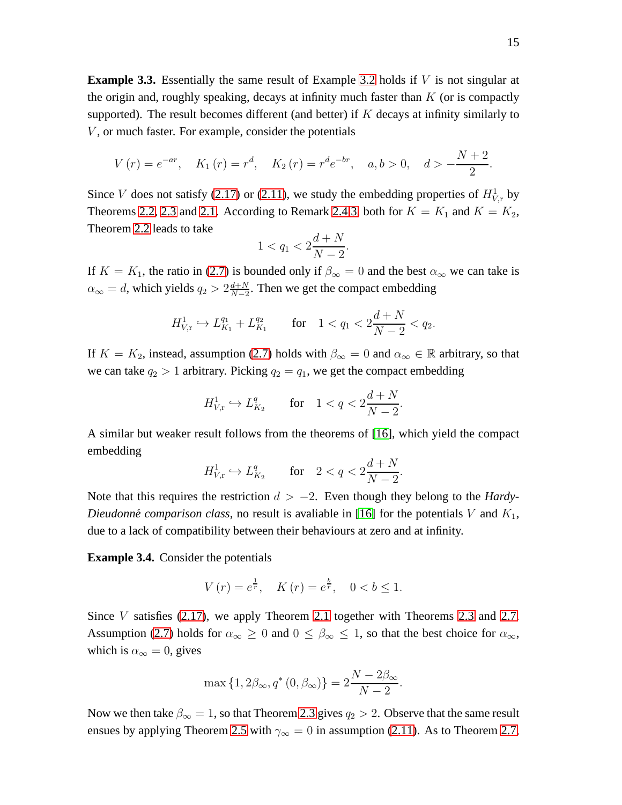<span id="page-14-0"></span>**Example 3.3.** Essentially the same result of Example [3.2](#page-13-0) holds if V is not singular at the origin and, roughly speaking, decays at infinity much faster than  $K$  (or is compactly supported). The result becomes different (and better) if  $K$  decays at infinity similarly to  $V$ , or much faster. For example, consider the potentials

$$
V(r) = e^{-ar}, \quad K_1(r) = r^d, \quad K_2(r) = r^d e^{-br}, \quad a, b > 0, \quad d > -\frac{N+2}{2}
$$

Since V does not satisfy [\(2.17\)](#page-11-3) or [\(2.11\)](#page-9-2), we study the embedding properties of  $H^1_{V,r}$  by Theorems [2.2,](#page-7-0) [2.3](#page-7-1) and [2.1.](#page-6-0) According to Remark [2.4](#page-8-1)[.3,](#page-8-5) both for  $K = K_1$  and  $K = K_2$ , Theorem [2.2](#page-7-0) leads to take

$$
1 < q_1 < 2\frac{d+N}{N-2}.
$$

If  $K = K_1$ , the ratio in [\(2.7\)](#page-7-2) is bounded only if  $\beta_{\infty} = 0$  and the best  $\alpha_{\infty}$  we can take is  $\alpha_{\infty} = d$ , which yields  $q_2 > 2 \frac{d+N}{N-2}$  $\frac{d+N}{N-2}$ . Then we get the compact embedding

$$
H_{V,\mathrm{r}}^1 \hookrightarrow L_{K_1}^{q_1} + L_{K_1}^{q_2} \qquad \text{for} \quad 1 < q_1 < 2\frac{d+N}{N-2} < q_2.
$$

If  $K = K_2$ , instead, assumption [\(2.7\)](#page-7-2) holds with  $\beta_{\infty} = 0$  and  $\alpha_{\infty} \in \mathbb{R}$  arbitrary, so that we can take  $q_2 > 1$  arbitrary. Picking  $q_2 = q_1$ , we get the compact embedding

$$
H_{V,r}^1 \hookrightarrow L_{K_2}^q
$$
 for  $1 < q < 2\frac{d+N}{N-2}$ .

A similar but weaker result follows from the theorems of [\[16\]](#page-40-5), which yield the compact embedding

$$
H_{V,r}^1 \hookrightarrow L_{K_2}^q
$$
 for  $2 < q < 2\frac{d+N}{N-2}$ .

Note that this requires the restriction  $d > -2$ . Even though they belong to the *Hardy*-*Dieudonné comparison class,* no result is avaliable in [\[16\]](#page-40-5) for the potentials V and  $K_1$ , due to a lack of compatibility between their behaviours at zero and at infinity.

<span id="page-14-1"></span>**Example 3.4.** Consider the potentials

$$
V(r) = e^{\frac{1}{r}}, \quad K(r) = e^{\frac{b}{r}}, \quad 0 < b \le 1.
$$

Since  $V$  satisfies [\(2.17\)](#page-11-3), we apply Theorem [2.1](#page-6-0) together with Theorems [2.3](#page-7-1) and [2.7.](#page-11-0) Assumption [\(2.7\)](#page-7-2) holds for  $\alpha_{\infty} \ge 0$  and  $0 \le \beta_{\infty} \le 1$ , so that the best choice for  $\alpha_{\infty}$ , which is  $\alpha_{\infty} = 0$ , gives

$$
\max\{1, 2\beta_{\infty}, q^*(0, \beta_{\infty})\} = 2\frac{N - 2\beta_{\infty}}{N - 2}.
$$

Now we then take  $\beta_{\infty} = 1$ , so that Theorem [2.3](#page-7-1) gives  $q_2 > 2$ . Observe that the same result ensues by applying Theorem [2.5](#page-8-0) with  $\gamma_{\infty} = 0$  in assumption [\(2.11\)](#page-9-2). As to Theorem [2.7,](#page-11-0)

.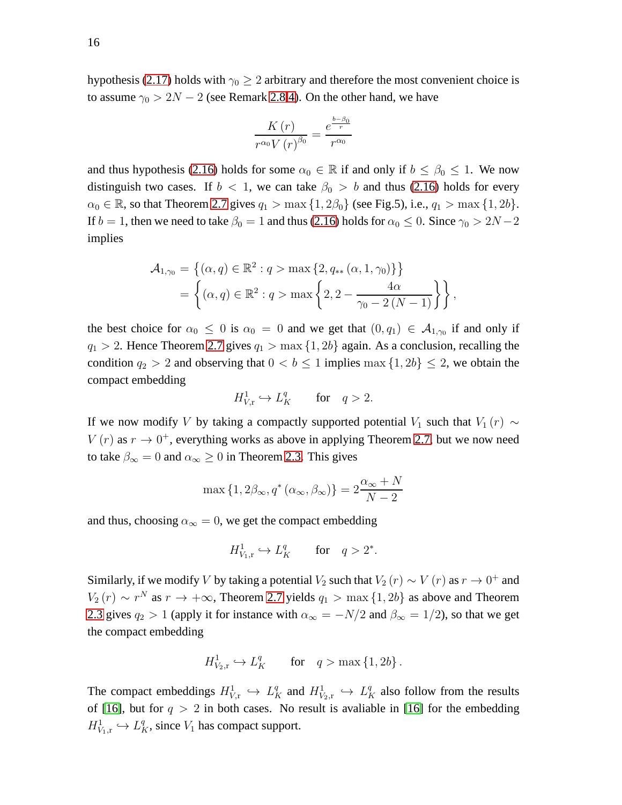hypothesis [\(2.17\)](#page-11-3) holds with  $\gamma_0 \geq 2$  arbitrary and therefore the most convenient choice is to assume  $\gamma_0 > 2N - 2$  (see Remark [2.8](#page-11-1)[.4\)](#page-12-4). On the other hand, we have

$$
\frac{K\left(r\right)}{r^{\alpha_0}V\left(r\right)^{\beta_0}} = \frac{e^{\frac{b-\beta_0}{r}}}{r^{\alpha_0}}
$$

and thus hypothesis [\(2.16\)](#page-11-4) holds for some  $\alpha_0 \in \mathbb{R}$  if and only if  $b \leq \beta_0 \leq 1$ . We now distinguish two cases. If  $b < 1$ , we can take  $\beta_0 > b$  and thus [\(2.16\)](#page-11-4) holds for every  $\alpha_0 \in \mathbb{R}$ , so that Theorem [2.7](#page-11-0) gives  $q_1 > \max\{1, 2\beta_0\}$  (see Fig.5), i.e.,  $q_1 > \max\{1, 2b\}$ . If  $b = 1$ , then we need to take  $\beta_0 = 1$  and thus [\(2.16\)](#page-11-4) holds for  $\alpha_0 \le 0$ . Since  $\gamma_0 > 2N - 2$ implies

$$
\mathcal{A}_{1,\gamma_0} = \{ (\alpha, q) \in \mathbb{R}^2 : q > \max \{ 2, q_{**} (\alpha, 1, \gamma_0) \} \} \n= \left\{ (\alpha, q) \in \mathbb{R}^2 : q > \max \left\{ 2, 2 - \frac{4\alpha}{\gamma_0 - 2(N - 1)} \right\} \right\},
$$

the best choice for  $\alpha_0 \leq 0$  is  $\alpha_0 = 0$  and we get that  $(0, q_1) \in A_{1, \gamma_0}$  if and only if  $q_1 > 2$ . Hence Theorem [2.7](#page-11-0) gives  $q_1 > \max\{1, 2b\}$  again. As a conclusion, recalling the condition  $q_2 > 2$  and observing that  $0 < b \le 1$  implies max  $\{1, 2b\} \le 2$ , we obtain the compact embedding

$$
H^1_{V,\mathbf{r}} \hookrightarrow L^q_K \qquad \text{for} \quad q > 2.
$$

If we now modify V by taking a compactly supported potential  $V_1$  such that  $V_1(r) \sim$  $V(r)$  as  $r \to 0^+$ , everything works as above in applying Theorem [2.7,](#page-11-0) but we now need to take  $\beta_{\infty} = 0$  and  $\alpha_{\infty} \ge 0$  in Theorem [2.3.](#page-7-1) This gives

$$
\max\left\{1, 2\beta_{\infty}, q^*(\alpha_{\infty}, \beta_{\infty})\right\} = 2\frac{\alpha_{\infty} + N}{N - 2}
$$

and thus, choosing  $\alpha_{\infty} = 0$ , we get the compact embedding

$$
H^1_{V_1,r} \hookrightarrow L_K^q \qquad \text{for} \quad q > 2^*.
$$

Similarly, if we modify V by taking a potential  $V_2$  such that  $V_2(r) \sim V(r)$  as  $r \to 0^+$  and  $V_2(r) \sim r^N$  as  $r \to +\infty$ , Theorem [2.7](#page-11-0) yields  $q_1 > \max\{1, 2b\}$  as above and Theorem [2.3](#page-7-1) gives  $q_2 > 1$  (apply it for instance with  $\alpha_{\infty} = -N/2$  and  $\beta_{\infty} = 1/2$ ), so that we get the compact embedding

$$
H^1_{V_2,r} \hookrightarrow L_K^q \qquad \text{for} \quad q > \max\left\{1, 2b\right\}.
$$

The compact embeddings  $H^1_{V_x} \hookrightarrow L_K^q$  and  $H^1_{V_2,r} \hookrightarrow L_K^q$  also follow from the results of [\[16\]](#page-40-5), but for  $q > 2$  in both cases. No result is avaliable in [16] for the embedding  $H^1_{V_1,r} \hookrightarrow L_K^q$ , since  $V_1$  has compact support.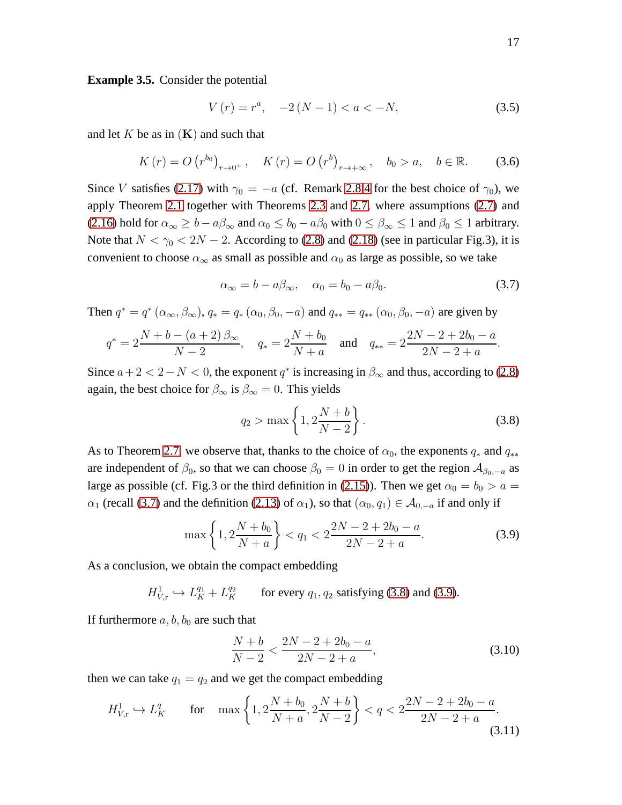<span id="page-16-0"></span>**Example 3.5.** Consider the potential

<span id="page-16-4"></span>
$$
V(r) = r^{a}, \quad -2(N - 1) < a < -N,\tag{3.5}
$$

and let K be as in  $(K)$  and such that

<span id="page-16-5"></span>
$$
K(r) = O(r^{b_0})_{r \to 0^+}, \quad K(r) = O(r^{b})_{r \to +\infty}, \quad b_0 > a, \quad b \in \mathbb{R}.
$$
 (3.6)

Since V satisfies [\(2.17\)](#page-11-3) with  $\gamma_0 = -a$  (cf. Remark [2.8.](#page-11-1)[4](#page-12-4) for the best choice of  $\gamma_0$ ), we apply Theorem [2.1](#page-6-0) together with Theorems [2.3](#page-7-1) and [2.7,](#page-11-0) where assumptions [\(2.7\)](#page-7-2) and [\(2.16\)](#page-11-4) hold for  $\alpha_{\infty} \ge b - a\beta_{\infty}$  and  $\alpha_0 \le b_0 - a\beta_0$  with  $0 \le \beta_{\infty} \le 1$  and  $\beta_0 \le 1$  arbitrary. Note that  $N < \gamma_0 < 2N - 2$ . According to [\(2.8\)](#page-7-5) and [\(2.18\)](#page-11-2) (see in particular Fig.3), it is convenient to choose  $\alpha_{\infty}$  as small as possible and  $\alpha_0$  as large as possible, so we take

<span id="page-16-1"></span>
$$
\alpha_{\infty} = b - a\beta_{\infty}, \quad \alpha_0 = b_0 - a\beta_0. \tag{3.7}
$$

Then  $q^* = q^* (\alpha_\infty, \beta_\infty), q_* = q_* (\alpha_0, \beta_0, -a)$  and  $q_{**} = q_{**} (\alpha_0, \beta_0, -a)$  are given by

$$
q^* = 2\frac{N+b-(a+2)\beta_{\infty}}{N-2}
$$
,  $q_* = 2\frac{N+b_0}{N+a}$  and  $q_{**} = 2\frac{2N-2+2b_0-a}{2N-2+a}$ .

Since  $a+2 < 2-N < 0$ , the exponent  $q^*$  is increasing in  $\beta_{\infty}$  and thus, according to [\(2.8\)](#page-7-5) again, the best choice for  $\beta_{\infty}$  is  $\beta_{\infty} = 0$ . This yields

<span id="page-16-2"></span>
$$
q_2 > \max\left\{1, 2\frac{N+b}{N-2}\right\}.
$$
 (3.8)

As to Theorem [2.7,](#page-11-0) we observe that, thanks to the choice of  $\alpha_0$ , the exponents  $q_*$  and  $q_{**}$ are independent of  $\beta_0$ , so that we can choose  $\beta_0 = 0$  in order to get the region  $\mathcal{A}_{\beta_0,-a}$  as large as possible (cf. Fig.3 or the third definition in [\(2.15\)](#page-10-1)). Then we get  $\alpha_0 = b_0 > a$  $\alpha_1$  (recall [\(3.7\)](#page-16-1) and the definition [\(2.13\)](#page-9-5) of  $\alpha_1$ ), so that  $(\alpha_0, q_1) \in A_{0,-a}$  if and only if

<span id="page-16-3"></span>
$$
\max\left\{1, 2\frac{N+b_0}{N+a}\right\} < q_1 < 2\frac{2N-2+2b_0-a}{2N-2+a}.\tag{3.9}
$$

As a conclusion, we obtain the compact embedding

$$
H_{V,\mathrm{r}}^1 \hookrightarrow L_K^{q_1} + L_K^{q_2} \qquad \text{for every } q_1, q_2 \text{ satisfying (3.8) and (3.9).}
$$

If furthermore  $a, b, b_0$  are such that

<span id="page-16-6"></span>
$$
\frac{N+b}{N-2} < \frac{2N-2+2b_0-a}{2N-2+a},\tag{3.10}
$$

then we can take  $q_1 = q_2$  and we get the compact embedding

<span id="page-16-7"></span>
$$
H_{V,\mathbf{r}}^1 \hookrightarrow L_K^q \qquad \text{for} \quad \max\left\{1, 2\frac{N+b_0}{N+a}, 2\frac{N+b}{N-2}\right\} < q < 2\frac{2N-2+2b_0-a}{2N-2+a}.\tag{3.11}
$$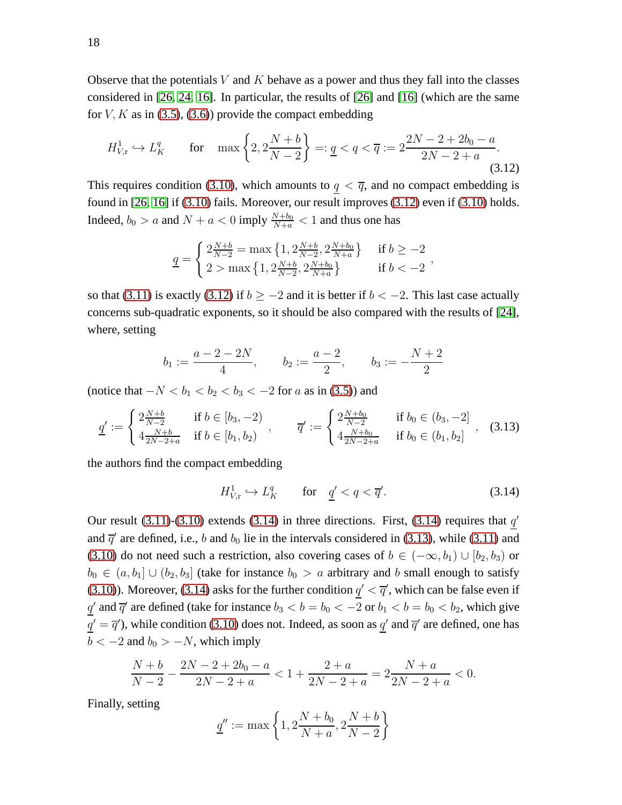Observe that the potentials V and K behave as a power and thus they fall into the classes considered in [26, [24,](#page-41-3) [16\]](#page-40-5). In particular, the results of [26] and [\[16\]](#page-40-5) (which are the same for  $V, K$  as in [\(3.5\)](#page-16-4), [\(3.6\)](#page-16-5)) provide the compact embedding

<span id="page-17-0"></span>
$$
H_{V,\mathbf{r}}^1 \hookrightarrow L_K^q \qquad \text{for} \quad \max\left\{2, 2\frac{N+b}{N-2}\right\} =: \underline{q} < q < \overline{q} := 2\frac{2N-2+2b_0-a}{2N-2+a}.\tag{3.12}
$$

This requires condition [\(3.10\)](#page-16-6), which amounts to  $q < \overline{q}$ , and no compact embedding is found in [26, [16\]](#page-40-5) if [\(3.10\)](#page-16-6) fails. Moreover, our result improves [\(3.12\)](#page-17-0) even if [\(3.10\)](#page-16-6) holds. Indeed,  $b_0 > a$  and  $N + a < 0$  imply  $\frac{N + b_0}{N + a} < 1$  and thus one has

$$
\underline{q} = \begin{cases} 2\frac{N+b}{N-2} = \max\left\{1, 2\frac{N+b}{N-2}, 2\frac{N+b_0}{N+a}\right\} & \text{if } b \ge -2\\ 2 > \max\left\{1, 2\frac{N+b}{N-2}, 2\frac{N+b_0}{N+a}\right\} & \text{if } b < -2 \end{cases}
$$

so that [\(3.11\)](#page-16-7) is exactly [\(3.12\)](#page-17-0) if  $b \ge -2$  and it is better if  $b < -2$ . This last case actually concerns sub-quadratic exponents, so it should be also compared with the results of [\[24\]](#page-41-3), where, setting

$$
b_1 := \frac{a-2-2N}{4}, \qquad b_2 := \frac{a-2}{2}, \qquad b_3 := -\frac{N+2}{2}
$$

(notice that  $-N < b_1 < b_2 < b_3 < -2$  for a as in [\(3.5\)](#page-16-4)) and

<span id="page-17-2"></span>
$$
\underline{q'} := \begin{cases} 2\frac{N+b}{N-2} & \text{if } b \in [b_3, -2) \\ 4\frac{N+b}{2N-2+a} & \text{if } b \in [b_1, b_2) \end{cases}, \qquad \overline{q'} := \begin{cases} 2\frac{N+b_0}{N-2} & \text{if } b_0 \in (b_3, -2] \\ 4\frac{N+b_0}{2N-2+a} & \text{if } b_0 \in (b_1, b_2] \end{cases}, \tag{3.13}
$$

the authors find the compact embedding

<span id="page-17-1"></span>
$$
H_{V,\mathbf{r}}^1 \hookrightarrow L_K^q \qquad \text{for} \quad \underline{q}' < q < \overline{q}'.\tag{3.14}
$$

Our result [\(3.11\)](#page-16-7)-[\(3.10\)](#page-16-6) extends [\(3.14\)](#page-17-1) in three directions. First, [\(3.14\)](#page-17-1) requires that  $q'$ and  $\bar{q}'$  are defined, i.e., b and  $b_0$  lie in the intervals considered in [\(3.13\)](#page-17-2), while [\(3.11\)](#page-16-7) and [\(3.10\)](#page-16-6) do not need such a restriction, also covering cases of  $b \in (-\infty, b_1) \cup [b_2, b_3)$  or  $b_0 \in (a, b_1] \cup (b_2, b_3]$  (take for instance  $b_0 > a$  arbitrary and b small enough to satisfy [\(3.10\)](#page-16-6)). Moreover, [\(3.14\)](#page-17-1) asks for the further condition  $q' < \overline{q}'$ , which can be false even if  $\underline{q}'$  and  $\overline{q}'$  are defined (take for instance  $b_3 < b = b_0 < -2$  or  $b_1 < b = b_0 < b_2$ , which give  $q' = \overline{q}'$ ), while condition [\(3.10\)](#page-16-6) does not. Indeed, as soon as  $q'$  and  $\overline{q}'$  are defined, one has  $b < -2$  and  $b_0 > -N$ , which imply

$$
\frac{N+b}{N-2} - \frac{2N-2+2b_0-a}{2N-2+a} < 1 + \frac{2+a}{2N-2+a} = 2\frac{N+a}{2N-2+a} < 0.
$$

Finally, setting

$$
\underline{q}'' := \max\left\{1, 2\frac{N+b_0}{N+a}, 2\frac{N+b}{N-2}\right\}
$$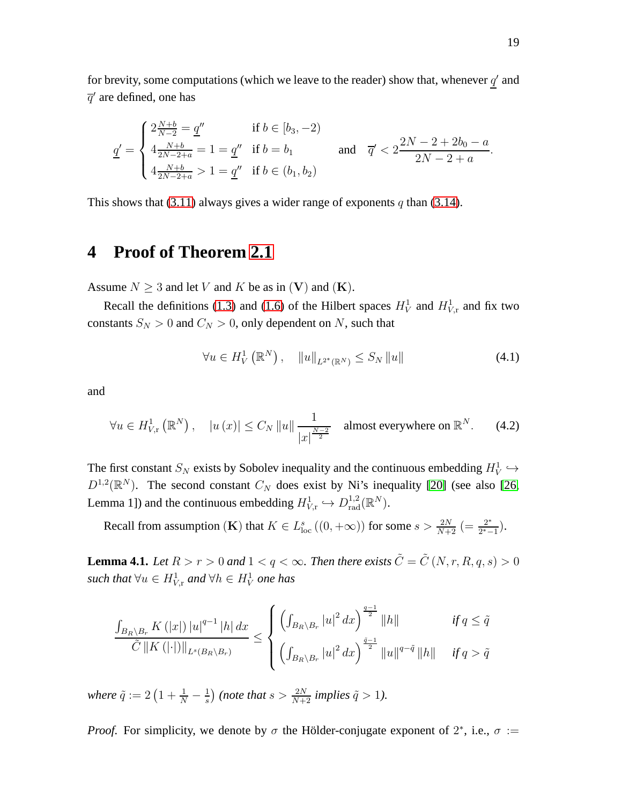for brevity, some computations (which we leave to the reader) show that, whenever  $q'$  and  $\overline{q}^{\prime}$  are defined, one has

$$
\underline{q'} = \begin{cases} 2\frac{N+b}{N-2} = \underline{q''} & \text{if } b \in [b_3, -2) \\ 4\frac{N+b}{2N-2+a} = 1 = \underline{q''} & \text{if } b = b_1 \\ 4\frac{N+b}{2N-2+a} > 1 = \underline{q''} \quad \text{if } b \in (b_1, b_2) \end{cases} \quad \text{and} \quad \overline{q'} < 2\frac{2N-2+2b_0-a}{2N-2+a}.
$$

This shows that [\(3.11\)](#page-16-7) always gives a wider range of exponents q than [\(3.14\)](#page-17-1).

### <span id="page-18-0"></span>**4 Proof of Theorem [2.1](#page-6-0)**

Assume  $N \geq 3$  and let V and K be as in (V) and (K).

Recall the definitions [\(1.3\)](#page-1-1) and [\(1.6\)](#page-1-2) of the Hilbert spaces  $H_V^1$  and  $H_{V,r}^1$  and fix two constants  $S_N > 0$  and  $C_N > 0$ , only dependent on N, such that

<span id="page-18-3"></span>
$$
\forall u \in H_V^1(\mathbb{R}^N), \quad \|u\|_{L^{2^*}(\mathbb{R}^N)} \le S_N \|u\| \tag{4.1}
$$

and

<span id="page-18-2"></span>
$$
\forall u \in H_{V,\mathrm{r}}^1\left(\mathbb{R}^N\right), \quad |u\left(x\right)| \le C_N \left\|u\right\| \frac{1}{\left|x\right|^{\frac{N-2}{2}}} \quad \text{almost everywhere on } \mathbb{R}^N. \tag{4.2}
$$

The first constant  $S_N$  exists by Sobolev inequality and the continuous embedding  $H_V^1 \hookrightarrow$  $D^{1,2}(\mathbb{R}^N)$ . The second constant  $C_N$  does exist by Ni's inequality [\[20\]](#page-40-11) (see also [26, Lemma 1]) and the continuous embedding  $H^1_{V,r} \hookrightarrow D_{rad}^{1,2}(\mathbb{R}^N)$ .

Recall from assumption (K) that  $K \in L^s_{loc}((0, +\infty))$  for some  $s > \frac{2N}{N+2}$  (=  $\frac{2^*}{2^*-2}$  $\frac{2^*}{2^*-1}$ ).

<span id="page-18-1"></span>**Lemma 4.1.** *Let*  $R > r > 0$  *and*  $1 < q < \infty$ *. Then there exists*  $\tilde{C} = \tilde{C}(N, r, R, q, s) > 0$  $\mathit{such that} \ \forall u \in H^1_{V,r} \ and \ \forall h \in H^1_V \ one \ has$ 

$$
\frac{\int_{B_R\setminus B_r} K(|x|) |u|^{q-1} |h| dx}{\tilde{C} \|K(|\cdot|) \|_{L^s(B_R\setminus B_r)}} \leq \begin{cases} \left( \int_{B_R\setminus B_r} |u|^2 dx \right)^{\frac{q-1}{2}} \|h\| & \text{if } q \leq \tilde{q} \\ \left( \int_{B_R\setminus B_r} |u|^2 dx \right)^{\frac{\tilde{q}-1}{2}} \|u\|^{q-\tilde{q}} \|h\| & \text{if } q > \tilde{q} \end{cases}
$$

where  $\tilde{q} := 2\left(1 + \frac{1}{N} - \frac{1}{s}\right)$  $\frac{1}{s}$ ) (note that  $s > \frac{2N}{N+2}$  implies  $\tilde{q} > 1$ ).

*Proof.* For simplicity, we denote by  $\sigma$  the Hölder-conjugate exponent of  $2^*$ , i.e.,  $\sigma :=$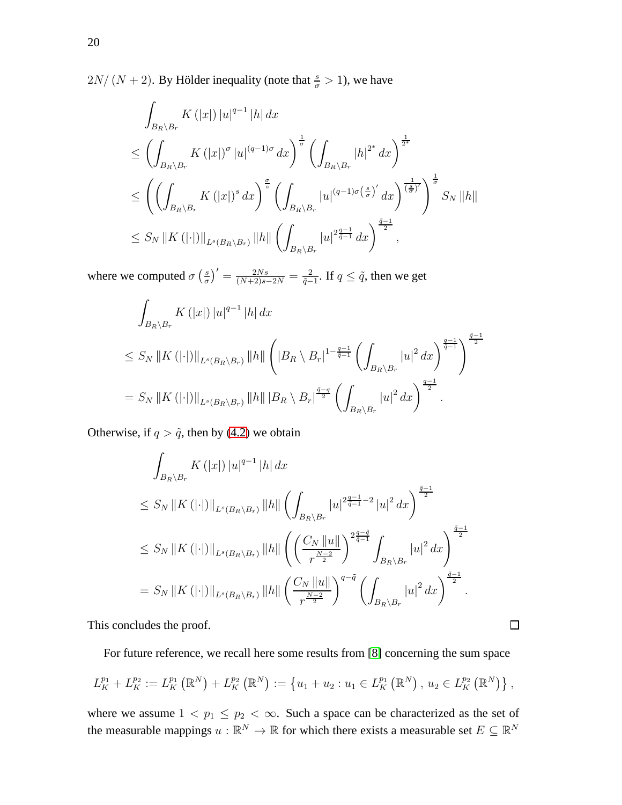$2N/(N+2)$ . By Hölder inequality (note that  $\frac{s}{\sigma} > 1$ ), we have

$$
\int_{B_R \setminus B_r} K(|x|) |u|^{q-1} |h| dx
$$
\n
$$
\leq \left( \int_{B_R \setminus B_r} K(|x|)^{\sigma} |u|^{(q-1)\sigma} dx \right)^{\frac{1}{\sigma}} \left( \int_{B_R \setminus B_r} |h|^{2^*} dx \right)^{\frac{1}{2^*}}
$$
\n
$$
\leq \left( \left( \int_{B_R \setminus B_r} K(|x|)^s dx \right)^{\frac{\sigma}{s}} \left( \int_{B_R \setminus B_r} |u|^{(q-1)\sigma(\frac{s}{\sigma})'} dx \right)^{\frac{1}{(\frac{s}{\sigma})'}} \right)^{\frac{1}{\sigma}} S_N ||h||
$$
\n
$$
\leq S_N ||K(|\cdot|) ||_{L^s(B_R \setminus B_r)} ||h|| \left( \int_{B_R \setminus B_r} |u|^{2\frac{q-1}{q-1}} dx \right)^{\frac{\tilde{q}-1}{2}},
$$

where we computed  $\sigma\left(\frac{s}{\sigma}\right)$  $\left(\frac{s}{\sigma}\right)' = \frac{2Ns}{(N+2)s-2N} = \frac{2}{\tilde{q}-1}$  $\frac{2}{\tilde{q}-1}$ . If  $q \leq \tilde{q}$ , then we get

$$
\int_{B_R \setminus B_r} K(|x|) |u|^{q-1} |h| dx
$$
\n
$$
\leq S_N ||K(||\cdot||)||_{L^s(B_R \setminus B_r)} ||h|| \left( |B_R \setminus B_r|^{1-\frac{q-1}{\tilde{q}-1}} \left( \int_{B_R \setminus B_r} |u|^2 dx \right)^{\frac{q-1}{\tilde{q}-1}} \right)^{\frac{\tilde{q}-1}{2}}
$$
\n
$$
= S_N ||K(||\cdot||)||_{L^s(B_R \setminus B_r)} ||h|| ||B_R \setminus B_r|^{\frac{\tilde{q}-q}{2}} \left( \int_{B_R \setminus B_r} |u|^2 dx \right)^{\frac{q-1}{2}}.
$$

Otherwise, if  $q > \tilde{q}$ , then by [\(4.2\)](#page-18-2) we obtain

$$
\int_{B_R \setminus B_r} K(|x|) |u|^{q-1} |h| dx
$$
\n
$$
\leq S_N ||K(||\cdot||)||_{L^s(B_R \setminus B_r)} ||h|| \left( \int_{B_R \setminus B_r} |u|^{2\frac{q-1}{q-1}-2} |u|^2 dx \right)^{\frac{\tilde{q}-1}{2}}
$$
\n
$$
\leq S_N ||K(||\cdot||)||_{L^s(B_R \setminus B_r)} ||h|| \left( \left( \frac{C_N ||u||}{r^{\frac{N-2}{2}}} \right)^{\frac{q- \tilde{q}}{\tilde{q}-1}} \int_{B_R \setminus B_r} |u|^2 dx \right)^{\frac{\tilde{q}-1}{2}}
$$
\n
$$
= S_N ||K(||\cdot||)||_{L^s(B_R \setminus B_r)} ||h|| \left( \frac{C_N ||u||}{r^{\frac{N-2}{2}}} \right)^{q-\tilde{q}} \left( \int_{B_R \setminus B_r} |u|^2 dx \right)^{\frac{\tilde{q}-1}{2}}.
$$

This concludes the proof.

For future reference, we recall here some results from [\[8\]](#page-40-7) concerning the sum space

 $\Box$ 

$$
L_K^{p_1} + L_K^{p_2} := L_K^{p_1}(\mathbb{R}^N) + L_K^{p_2}(\mathbb{R}^N) := \{ u_1 + u_2 : u_1 \in L_K^{p_1}(\mathbb{R}^N) , u_2 \in L_K^{p_2}(\mathbb{R}^N) \},
$$

where we assume  $1 < p_1 \le p_2 < \infty$ . Such a space can be characterized as the set of the measurable mappings  $u : \mathbb{R}^N \to \mathbb{R}$  for which there exists a measurable set  $E \subseteq \mathbb{R}^N$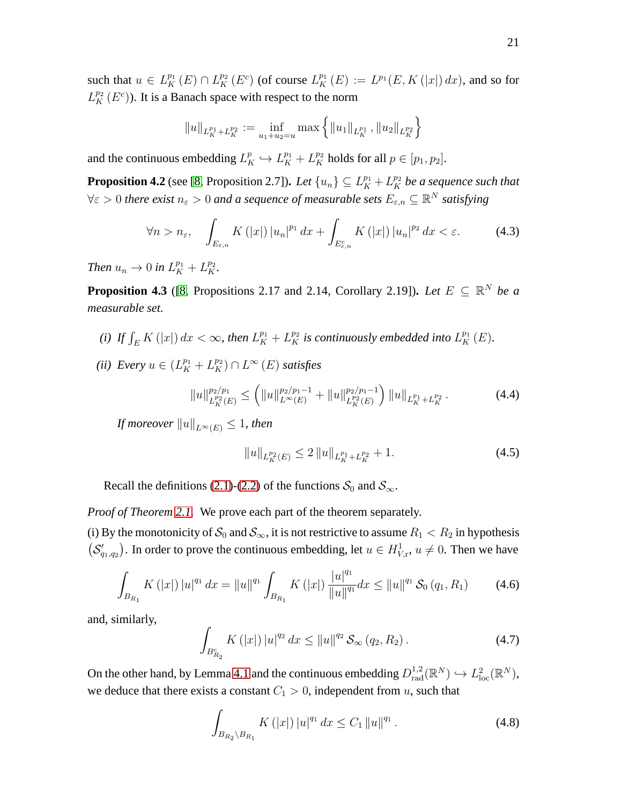such that  $u \in L_K^{p_1}(E) \cap L_K^{p_2}(E^c)$  (of course  $L_K^{p_1}(E) := L^{p_1}(E, K(|x|) dx)$ , and so for  $L_K^{p_2}(E^c)$ ). It is a Banach space with respect to the norm

$$
||u||_{L_K^{p_1}+L_K^{p_2}} := \inf_{u_1+u_2=u} \max\left\{||u_1||_{L_K^{p_1}}, ||u_2||_{L_K^{p_2}}\right\}
$$

and the continuous embedding  $L_K^p \hookrightarrow L_K^{p_1} + L_K^{p_2}$  holds for all  $p \in [p_1, p_2]$ .

<span id="page-20-3"></span>**Proposition 4.2** (see [\[8,](#page-40-7) Proposition 2.7]). Let  $\{u_n\} \subseteq L_K^{p_1} + L_K^{p_2}$  be a sequence such that  $\forall \varepsilon >0$  there exist  $n_\varepsilon >0$  and a sequence of measurable sets  $E_{\varepsilon,n} \subseteq \mathbb{R}^N$  satisfying

$$
\forall n > n_{\varepsilon}, \quad \int_{E_{\varepsilon,n}} K(|x|) |u_n|^{p_1} dx + \int_{E_{\varepsilon,n}^c} K(|x|) |u_n|^{p_2} dx < \varepsilon. \tag{4.3}
$$

*Then*  $u_n \to 0$  *in*  $L_K^{p_1} + L_K^{p_2}$ *.* 

<span id="page-20-4"></span>**Proposition 4.3** ([\[8,](#page-40-7) Propositions 2.17 and 2.14, Corollary 2.19]). Let  $E \subseteq \mathbb{R}^N$  be a *measurable set.*

- *(i)* If  $\int_E K(|x|) dx < \infty$ , then  $L_K^{p_1} + L_K^{p_2}$  is continuously embedded into  $L_K^{p_1}(E)$ .
- (*ii*) Every  $u \in (L_K^{p_1} + L_K^{p_2}) \cap L^{\infty}(E)$  *satisfies*

<span id="page-20-6"></span>
$$
||u||_{L_K^{p_2}(E)}^{p_2/p_1} \le (||u||_{L^{\infty}(E)}^{p_2/p_1-1} + ||u||_{L_K^{p_2}(E)}^{p_2/p_1-1}) ||u||_{L_K^{p_1} + L_K^{p_2}}.
$$
\n(4.4)

*If moreover*  $||u||_{L^{\infty}(E)} \leq 1$ *, then* 

<span id="page-20-5"></span>
$$
||u||_{L_K^{p_2}(E)} \le 2 ||u||_{L_K^{p_1} + L_K^{p_2}} + 1. \tag{4.5}
$$

Recall the definitions [\(2.1\)](#page-5-1)-[\(2.2\)](#page-5-1) of the functions  $S_0$  and  $S_{\infty}$ .

*Proof of Theorem [2.1.](#page-6-0)* We prove each part of the theorem separately.

(i) By the monotonicity of  $S_0$  and  $S_{\infty}$ , it is not restrictive to assume  $R_1 < R_2$  in hypothesis  $(S'_{q_1,q_2})$ . In order to prove the continuous embedding, let  $u \in H^1_{V,r}$ ,  $u \neq 0$ . Then we have

<span id="page-20-0"></span>
$$
\int_{B_{R_1}} K(|x|) |u|^{q_1} dx = ||u||^{q_1} \int_{B_{R_1}} K(|x|) \frac{|u|^{q_1}}{||u||^{q_1}} dx \le ||u||^{q_1} \mathcal{S}_0(q_1, R_1)
$$
(4.6)

and, similarly,

<span id="page-20-1"></span>
$$
\int_{B_{R_2}^c} K(|x|) |u|^{q_2} dx \le ||u||^{q_2} \mathcal{S}_{\infty}(q_2, R_2).
$$
 (4.7)

On the other hand, by Lemma [4.1](#page-18-1) and the continuous embedding  $D_{rad}^{1,2}(\mathbb{R}^N) \hookrightarrow L^2_{loc}(\mathbb{R}^N)$ , we deduce that there exists a constant  $C_1 > 0$ , independent from u, such that

<span id="page-20-2"></span>
$$
\int_{B_{R_2}\setminus B_{R_1}} K(|x|) |u|^{q_1} dx \le C_1 \|u\|^{q_1}.
$$
\n(4.8)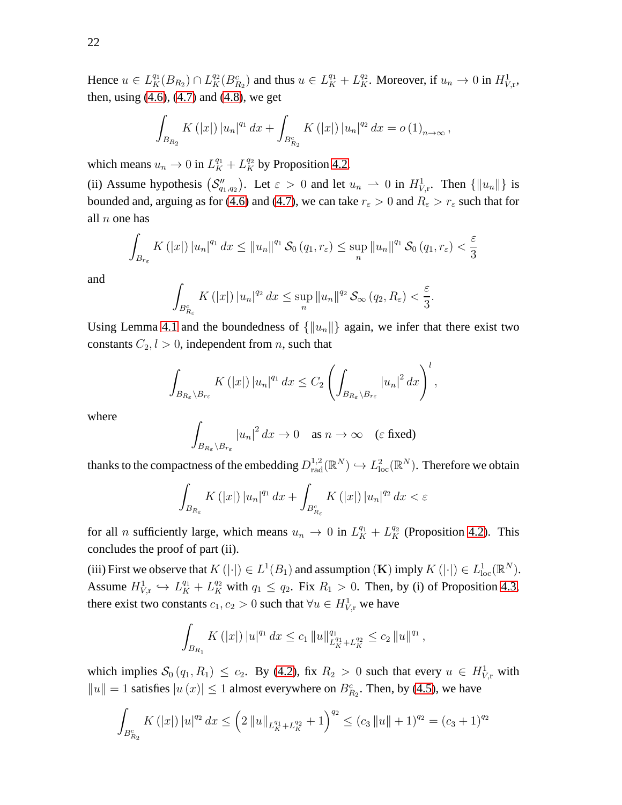Hence  $u \in L_K^{q_1}(B_{R_2}) \cap L_K^{q_2}(B_{R_2}^c)$  and thus  $u \in L_K^{q_1} + L_K^{q_2}$ . Moreover, if  $u_n \to 0$  in  $H^1_{V,\mathbf{r}}$ , then, using  $(4.6)$ ,  $(4.7)$  and  $(4.8)$ , we get

$$
\int_{B_{R_2}} K(|x|) |u_n|^{q_1} dx + \int_{B_{R_2}^c} K(|x|) |u_n|^{q_2} dx = o(1)_{n \to \infty},
$$

which means  $u_n \to 0$  in  $L_K^{q_1} + L_K^{q_2}$  by Proposition [4.2.](#page-20-3)

(ii) Assume hypothesis  $(S_{q_1,q_2}^{\prime\prime})$ . Let  $\varepsilon > 0$  and let  $u_n \rightharpoonup 0$  in  $H^1_{V,\mathbf{r}}$ . Then  $\{\|u_n\|\}$  is bounded and, arguing as for [\(4.6\)](#page-20-0) and [\(4.7\)](#page-20-1), we can take  $r_{\varepsilon} > 0$  and  $R_{\varepsilon} > r_{\varepsilon}$  such that for all  $n$  one has

$$
\int_{B_{r_{\varepsilon}}} K\left(|x|\right) |u_n|^{q_1} dx \le ||u_n||^{q_1} \mathcal{S}_0\left(q_1, r_{\varepsilon}\right) \le \sup_n ||u_n||^{q_1} \mathcal{S}_0\left(q_1, r_{\varepsilon}\right) < \frac{\varepsilon}{3}
$$

and

$$
\int_{B_{R_{\varepsilon}}^c} K\left(|x|\right) |u_n|^{q_2} \, dx \leq \sup_n \|u_n\|^{q_2} \mathcal{S}_{\infty}\left(q_2, R_{\varepsilon}\right) < \frac{\varepsilon}{3}.
$$

Using Lemma [4.1](#page-18-1) and the boundedness of  $\{\|u_n\|\}$  again, we infer that there exist two constants  $C_2$ ,  $l > 0$ , independent from *n*, such that

$$
\int_{B_{R_{\varepsilon}}\setminus B_{r_{\varepsilon}}} K\left(|x|\right) |u_n|^{q_1} dx \leq C_2 \left( \int_{B_{R_{\varepsilon}}\setminus B_{r_{\varepsilon}}} |u_n|^2 dx \right)^l,
$$

where

$$
\int_{B_{R_{\varepsilon}}\setminus B_{r_{\varepsilon}}} |u_n|^2 dx \to 0 \quad \text{as } n \to \infty \quad (\varepsilon \text{ fixed})
$$

thanks to the compactness of the embedding  $D_{\text{rad}}^{1,2}(\mathbb{R}^N) \hookrightarrow L^2_{\text{loc}}(\mathbb{R}^N)$ . Therefore we obtain

$$
\int_{B_{R_{\varepsilon}}} K\left(|x|\right) |u_n|^{q_1} \, dx + \int_{B_{R_{\varepsilon}}^c} K\left(|x|\right) |u_n|^{q_2} \, dx < \varepsilon
$$

for all *n* sufficiently large, which means  $u_n \to 0$  in  $L_K^{q_1} + L_K^{q_2}$  (Proposition [4.2\)](#page-20-3). This concludes the proof of part (ii).

(iii) First we observe that  $K(|\cdot|) \in L^1(B_1)$  and assumption  $(\mathbf{K})$  imply  $K(|\cdot|) \in L^1_{loc}(\mathbb{R}^N)$ . Assume  $H_{V,\mathbf{r}}^1 \hookrightarrow L_K^{q_1} + L_K^{q_2}$  with  $q_1 \leq q_2$ . Fix  $R_1 > 0$ . Then, by (i) of Proposition [4.3,](#page-20-4) there exist two constants  $c_1, c_2 > 0$  such that  $\forall u \in H^1_{V,r}$  we have

$$
\int_{B_{R_1}} K(|x|) |u|^{q_1} dx \leq c_1 \|u\|_{L_K^{q_1} + L_K^{q_2}}^{q_1} \leq c_2 \|u\|^{q_1},
$$

which implies  $S_0(q_1, R_1) \leq c_2$ . By [\(4.2\)](#page-18-2), fix  $R_2 > 0$  such that every  $u \in H^1_{V,r}$  with  $||u|| = 1$  satisfies  $|u(x)| \le 1$  almost everywhere on  $B_{R_2}^c$ . Then, by [\(4.5\)](#page-20-5), we have

$$
\int_{B_{R_2}^c} K(|x|) |u|^{q_2} dx \leq (2 \|u\|_{L_K^{q_1} + L_K^{q_2}} + 1)^{q_2} \leq (c_3 \|u\| + 1)^{q_2} = (c_3 + 1)^{q_2}
$$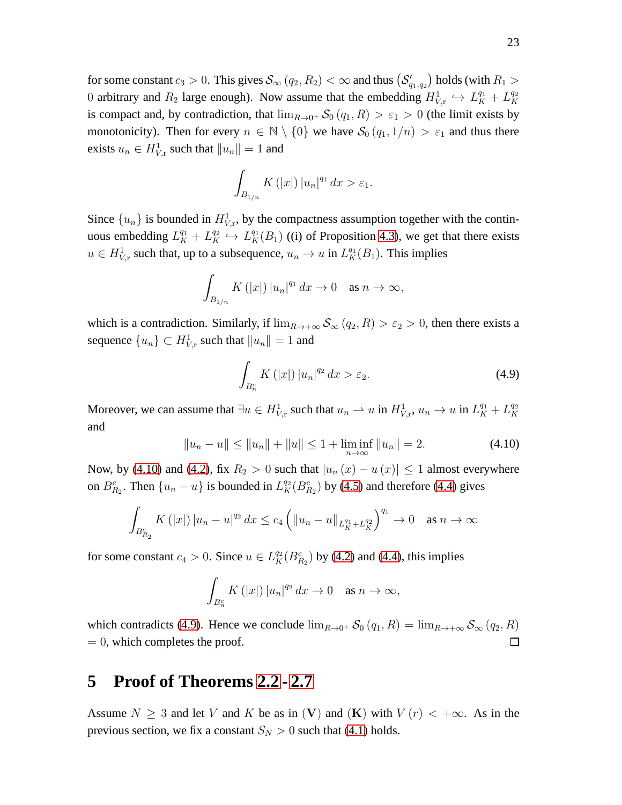for some constant  $c_3 > 0$ . This gives  $\mathcal{S}_\infty(q_2,R_2) < \infty$  and thus  $\left(\mathcal{S}_{q_1,q_2}'\right)$  holds (with  $R_1 >$ 0 arbitrary and  $R_2$  large enough). Now assume that the embedding  $H_{V,\text{r}}^1 \hookrightarrow L_K^{q_1} + L_K^{q_2}$ K is compact and, by contradiction, that  $\lim_{R\to 0^+} S_0(q_1, R) > \varepsilon_1 > 0$  (the limit exists by monotonicity). Then for every  $n \in \mathbb{N} \setminus \{0\}$  we have  $\mathcal{S}_0(q_1, 1/n) > \varepsilon_1$  and thus there exists  $u_n \in H^1_{V,\mathrm{r}}$  such that  $||u_n|| = 1$  and

$$
\int_{B_{1/n}} K(|x|) |u_n|^{q_1} dx > \varepsilon_1.
$$

Since  $\{u_n\}$  is bounded in  $H^1_{V,r}$ , by the compactness assumption together with the continuous embedding  $L_K^{q_1} + L_K^{q_2} \hookrightarrow L_K^{q_1}(B_1)$  ((i) of Proposition [4.3\)](#page-20-4), we get that there exists  $u \in H^1_{V,\mathbf{r}}$  such that, up to a subsequence,  $u_n \to u$  in  $L_K^{\mathfrak{q}_1}(B_1)$ . This implies

$$
\int_{B_{1/n}} K(|x|) |u_n|^{q_1} dx \to 0 \quad \text{as } n \to \infty,
$$

which is a contradiction. Similarly, if  $\lim_{R\to+\infty} S_\infty(q_2, R) > \varepsilon_2 > 0$ , then there exists a sequence  ${u_n} \subset H^1_{V,r}$  such that  $||u_n|| = 1$  and

<span id="page-22-2"></span>
$$
\int_{B_n^c} K\left(|x|\right) |u_n|^{q_2} \, dx > \varepsilon_2. \tag{4.9}
$$

Moreover, we can assume that  $\exists u \in H_{V,\text{r}}^1$  such that  $u_n \rightharpoonup u$  in  $H_{V,\text{r}}^1$ ,  $u_n \rightarrow u$  in  $L_K^{q_1} + L_K^{q_2}$ K and

<span id="page-22-1"></span>
$$
||u_n - u|| \le ||u_n|| + ||u|| \le 1 + \liminf_{n \to \infty} ||u_n|| = 2.
$$
 (4.10)

Now, by [\(4.10\)](#page-22-1) and [\(4.2\)](#page-18-2), fix  $R_2 > 0$  such that  $|u_n(x) - u(x)| \le 1$  almost everywhere on  $B_{R_2}^c$ . Then  $\{u_n - u\}$  is bounded in  $L_K^{q_2}(B_{R_2}^c)$  by [\(4.5\)](#page-20-5) and therefore [\(4.4\)](#page-20-6) gives

$$
\int_{B_{R_2}^c} K(|x|) |u_n - u|^{q_2} dx \le c_4 \left( \|u_n - u\|_{L_K^{q_1} + L_K^{q_2}} \right)^{q_1} \to 0 \quad \text{as } n \to \infty
$$

for some constant  $c_4 > 0$ . Since  $u \in L_K^{q_2}(B_{R_2}^c)$  by [\(4.2\)](#page-18-2) and [\(4.4\)](#page-20-6), this implies

$$
\int_{B_n^c} K(|x|) |u_n|^{q_2} dx \to 0 \quad \text{as } n \to \infty,
$$

which contradicts [\(4.9\)](#page-22-2). Hence we conclude  $\lim_{R\to 0^+} \mathcal{S}_0(q_1, R) = \lim_{R\to +\infty} \mathcal{S}_{\infty}(q_2, R)$  $= 0$ , which completes the proof.  $\Box$ 

### <span id="page-22-0"></span>**5 Proof of Theorems [2.2](#page-7-0) - [2.7](#page-11-0)**

Assume  $N \geq 3$  and let V and K be as in (V) and (K) with  $V(r) < +\infty$ . As in the previous section, we fix a constant  $S_N > 0$  such that [\(4.1\)](#page-18-3) holds.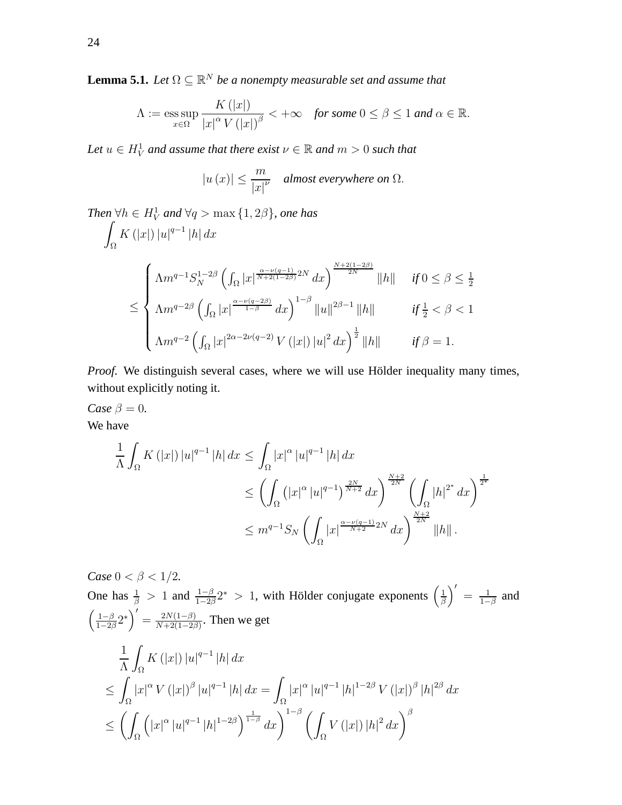<span id="page-23-0"></span>**Lemma 5.1.** *Let*  $\Omega \subseteq \mathbb{R}^N$  *be a nonempty measurable set and assume that* 

$$
\Lambda := \operatorname*{ess\,sup}_{x \in \Omega} \frac{K(|x|)}{|x|^{\alpha} V(|x|)^{\beta}} < +\infty \quad \textit{for some } 0 \le \beta \le 1 \textit{ and } \alpha \in \mathbb{R}.
$$

Let  $u \in H_V^1$  and assume that there exist  $\nu \in \mathbb{R}$  and  $m > 0$  such that

$$
|u(x)| \leq \frac{m}{|x|^{\nu}} \quad \textit{almost everywhere on } \Omega.
$$

Then 
$$
\forall h \in H_V^1
$$
 and  $\forall q > \max \{1, 2\beta\}$ , one has  
\n
$$
\int_{\Omega} K(|x|) |u|^{q-1} |h| dx
$$
\n
$$
\leq \begin{cases}\n\Lambda m^{q-1} S_N^{1-2\beta} \left( \int_{\Omega} |x|^{\frac{\alpha-\nu(q-1)}{N+2(1-2\beta)}} dx \right)^{\frac{N+2(1-2\beta)}{2N}} ||h|| & \text{if } 0 \leq \beta \leq \frac{1}{2} \\
\Lambda m^{q-2\beta} \left( \int_{\Omega} |x|^{\frac{\alpha-\nu(q-2\beta)}{1-\beta}} dx \right)^{1-\beta} ||u||^{2\beta-1} ||h|| & \text{if } \frac{1}{2} < \beta < 1 \\
\Lambda m^{q-2} \left( \int_{\Omega} |x|^{2\alpha-2\nu(q-2)} V(|x|) |u|^2 dx \right)^{\frac{1}{2}} ||h|| & \text{if } \beta = 1.\n\end{cases}
$$

*Proof.* We distinguish several cases, where we will use Hölder inequality many times, without explicitly noting it.

*Case*  $\beta = 0$ *.* We have

$$
\frac{1}{\Lambda} \int_{\Omega} K(|x|) |u|^{q-1} |h| dx \le \int_{\Omega} |x|^{\alpha} |u|^{q-1} |h| dx
$$
  
\n
$$
\le \left( \int_{\Omega} (|x|^{\alpha} |u|^{q-1})^{\frac{2N}{N+2}} dx \right)^{\frac{N+2}{2N}} \left( \int_{\Omega} |h|^{2^*} dx \right)^{\frac{1}{2^*}}
$$
  
\n
$$
\le m^{q-1} S_N \left( \int_{\Omega} |x|^{\frac{\alpha - \nu(q-1)}{N+2} 2N} dx \right)^{\frac{N+2}{2N}} ||h||.
$$

*Case*  $0 < \beta < 1/2$ *.* One has  $\frac{1}{\beta} > 1$  and  $\frac{1-\beta}{1-2\beta}2^* > 1$ , with Hölder conjugate exponents  $\left(\frac{1}{\beta}\right)$  $\frac{1}{\beta}$  $\Big)' = \frac{1}{1-}$  $\frac{1}{1-\beta}$  and  $\left( \underline{1-\beta}$  $\frac{1-\beta}{1-2\beta}2^*$ )' =  $\frac{2N(1-\beta)}{N+2(1-2\beta)}$  $\frac{2N(1-\beta)}{N+2(1-2\beta)}$ . Then we get 1 Λ Z  $\int_{\Omega} K\left(|x|\right)|u|^{q-1}\left|h\right|dx$ ≤ Z  $\int_{\Omega} |x|^{\alpha} V(|x|)^{\beta} |u|^{q-1} |h| dx = \int$  $\int\limits_\Omega {\left| x \right|^{\alpha } \left| u \right|^{q - 1} \left| h \right|^{1 - 2\beta } V\left( {\left| x \right|} \right)^\beta \left| h \right|^{2\beta } dx}$ ≤  $\left( \right)$ Ω  $\left(|x|^{\alpha} |u|^{q-1} |h|^{1-2\beta}\right)^{\frac{1}{1-\beta}} dx\right)^{1-\beta}$  $\int\limits_\Omega V\left(\left|x\right|\right)\left|h\right|^2 dx\bigg)^\beta$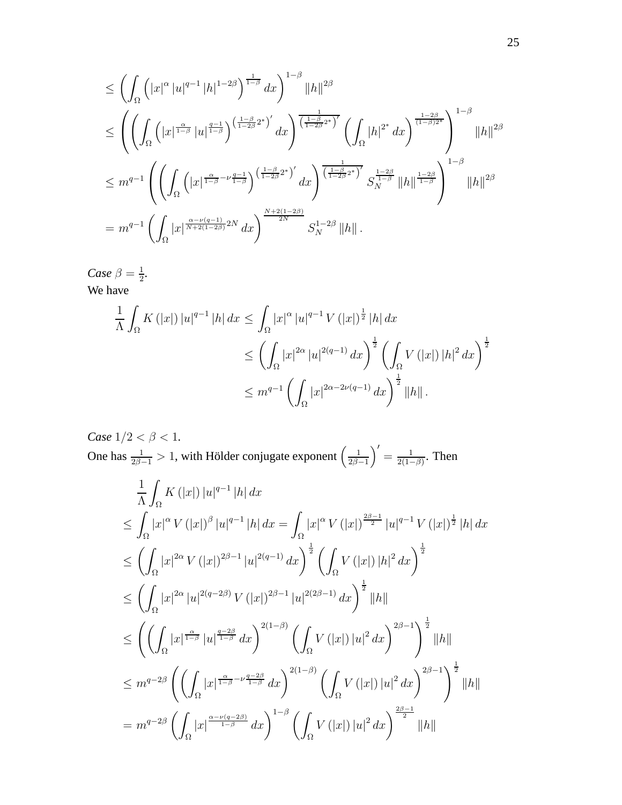$$
\leq \left( \int_{\Omega} \left( |x|^{\alpha} |u|^{q-1} |h|^{1-2\beta} \right)^{\frac{1}{1-\beta}} dx \right)^{1-\beta} ||h||^{2\beta}
$$
  
\n
$$
\leq \left( \left( \int_{\Omega} \left( |x|^{\frac{\alpha}{1-\beta}} |u|^{\frac{q-1}{1-\beta}} \right)^{\left(\frac{1-\beta}{1-2\beta}2^*\right)'} dx \right)^{\frac{1}{\left(\frac{1-\beta}{1-2\beta}2^*\right)'} \left( \int_{\Omega} |h|^{2^*} dx \right)^{\frac{1-2\beta}{(1-\beta)2^*}} \right)^{1-\beta} ||h||^{2\beta}
$$
  
\n
$$
\leq m^{q-1} \left( \left( \int_{\Omega} \left( |x|^{\frac{\alpha}{1-\beta}-\nu\frac{q-1}{1-\beta}} \right)^{\left(\frac{1-\beta}{1-2\beta}2^*\right)'} dx \right)^{\frac{1}{\left(\frac{1-\beta}{1-2\beta}2^*\right)'} S_{N}^{\frac{1-2\beta}{1-\beta}} ||h||^{\frac{1-2\beta}{1-\beta}} \right)^{1-\beta} ||h||^{2\beta}
$$
  
\n
$$
= m^{q-1} \left( \int_{\Omega} |x|^{\frac{\alpha-\nu(q-1)}{N+2(1-2\beta)}2N} dx \right)^{\frac{N+2(1-2\beta)}{2N}} S_{N}^{1-2\beta} ||h||.
$$

*Case*  $\beta = \frac{1}{2}$  $\frac{1}{2}$ . We have

$$
\frac{1}{\Lambda} \int_{\Omega} K(|x|) |u|^{q-1} |h| dx \le \int_{\Omega} |x|^{\alpha} |u|^{q-1} V(|x|)^{\frac{1}{2}} |h| dx
$$
  
\n
$$
\le \left( \int_{\Omega} |x|^{2\alpha} |u|^{2(q-1)} dx \right)^{\frac{1}{2}} \left( \int_{\Omega} V(|x|) |h|^{2} dx \right)^{\frac{1}{2}}
$$
  
\n
$$
\le m^{q-1} \left( \int_{\Omega} |x|^{2\alpha - 2\nu(q-1)} dx \right)^{\frac{1}{2}} ||h||.
$$

*Case*  $1/2 < \beta < 1$ *.* One has  $\frac{1}{2\beta-1} > 1$ , with Hölder conjugate exponent  $\left(\frac{1}{2\beta-1}\right)$  $\frac{1}{2\beta-1}$ <sup>'</sup> =  $\frac{1}{2(1-1)}$  $\frac{1}{2(1-\beta)}$ . Then

$$
\frac{1}{\Lambda} \int_{\Omega} K(|x|) |u|^{q-1} |h| dx
$$
\n
$$
\leq \int_{\Omega} |x|^{\alpha} V(|x|)^{\beta} |u|^{q-1} |h| dx = \int_{\Omega} |x|^{\alpha} V(|x|)^{\frac{2\beta-1}{2}} |u|^{q-1} V(|x|)^{\frac{1}{2}} |h| dx
$$
\n
$$
\leq \left( \int_{\Omega} |x|^{2\alpha} V(|x|)^{2\beta-1} |u|^{2(q-1)} dx \right)^{\frac{1}{2}} \left( \int_{\Omega} V(|x|) |h|^{2} dx \right)^{\frac{1}{2}}
$$
\n
$$
\leq \left( \int_{\Omega} |x|^{2\alpha} |u|^{2(q-2\beta)} V(|x|)^{2\beta-1} |u|^{2(2\beta-1)} dx \right)^{\frac{1}{2}} ||h||
$$
\n
$$
\leq \left( \left( \int_{\Omega} |x|^{\frac{\alpha}{1-\beta}} |u|^{\frac{q-2\beta}{1-\beta}} dx \right)^{2(1-\beta)} \left( \int_{\Omega} V(|x|) |u|^{2} dx \right)^{2\beta-1} \right)^{\frac{1}{2}} ||h||
$$
\n
$$
\leq m^{q-2\beta} \left( \left( \int_{\Omega} |x|^{\frac{\alpha}{1-\beta}-\nu \frac{q-2\beta}{1-\beta}} dx \right)^{2(1-\beta)} \left( \int_{\Omega} V(|x|) |u|^{2} dx \right)^{2\beta-1} \right)^{\frac{1}{2}} ||h||
$$
\n
$$
= m^{q-2\beta} \left( \int_{\Omega} |x|^{\frac{\alpha-\nu(q-2\beta)}{1-\beta}} dx \right)^{1-\beta} \left( \int_{\Omega} V(|x|) |u|^{2} dx \right)^{\frac{2\beta-1}{2}} ||h||
$$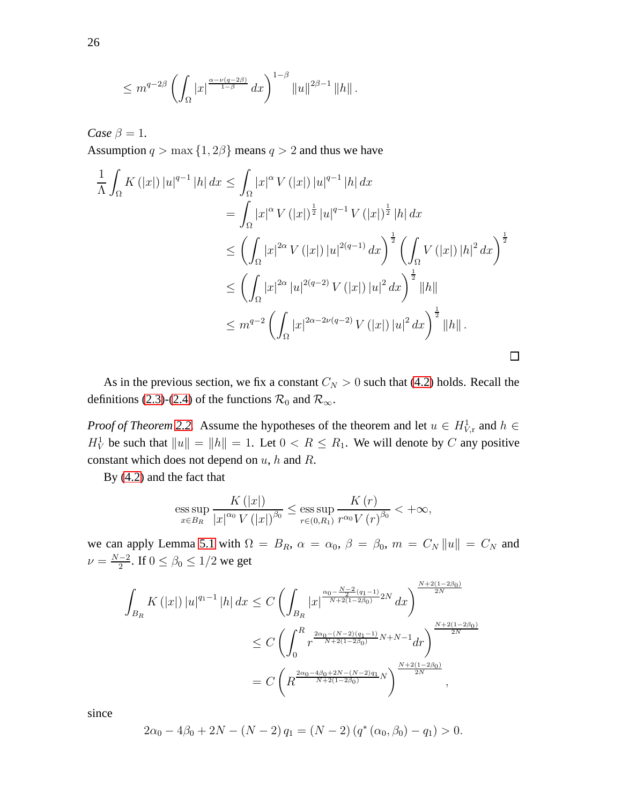$$
\leq m^{q-2\beta}\left(\int_{\Omega}|x|^{\frac{\alpha-\nu(q-2\beta)}{1-\beta}}\,dx\right)^{1-\beta}\|u\|^{2\beta-1}\,\|h\|\,.
$$

*Case*  $\beta = 1$ *.* 

Assumption  $q > \max\{1, 2\beta\}$  means  $q > 2$  and thus we have

$$
\frac{1}{\Lambda} \int_{\Omega} K(|x|) |u|^{q-1} |h| dx \leq \int_{\Omega} |x|^{\alpha} V(|x|) |u|^{q-1} |h| dx
$$
\n
$$
= \int_{\Omega} |x|^{\alpha} V(|x|)^{\frac{1}{2}} |u|^{q-1} V(|x|)^{\frac{1}{2}} |h| dx
$$
\n
$$
\leq \left( \int_{\Omega} |x|^{2\alpha} V(|x|) |u|^{2(q-1)} dx \right)^{\frac{1}{2}} \left( \int_{\Omega} V(|x|) |h|^{2} dx \right)^{\frac{1}{2}}
$$
\n
$$
\leq \left( \int_{\Omega} |x|^{2\alpha} |u|^{2(q-2)} V(|x|) |u|^{2} dx \right)^{\frac{1}{2}} ||h||
$$
\n
$$
\leq m^{q-2} \left( \int_{\Omega} |x|^{2\alpha - 2\nu(q-2)} V(|x|) |u|^{2} dx \right)^{\frac{1}{2}} ||h||.
$$

As in the previous section, we fix a constant  $C_N > 0$  such that [\(4.2\)](#page-18-2) holds. Recall the definitions [\(2.3\)](#page-6-1)-[\(2.4\)](#page-6-1) of the functions  $\mathcal{R}_0$  and  $\mathcal{R}_{\infty}$ .

*Proof of Theorem* [2.2.](#page-7-0) Assume the hypotheses of the theorem and let  $u \in H^1_{V,r}$  and  $h \in$  $H_V^1$  be such that  $||u|| = ||h|| = 1$ . Let  $0 < R \le R_1$ . We will denote by C any positive constant which does not depend on  $u$ ,  $h$  and  $R$ .

By [\(4.2\)](#page-18-2) and the fact that

$$
\operatorname{ess} \sup_{x \in B_R} \frac{K(|x|)}{|x|^{\alpha_0} V(|x|)^{\beta_0}} \le \operatorname{ess} \sup_{r \in (0,R_1)} \frac{K(r)}{r^{\alpha_0} V(r)^{\beta_0}} < +\infty,
$$

we can apply Lemma [5.1](#page-23-0) with  $\Omega = B_R$ ,  $\alpha = \alpha_0$ ,  $\beta = \beta_0$ ,  $m = C_N ||u|| = C_N$  and  $\nu = \frac{N-2}{2}$  $\frac{-2}{2}$ . If  $0 \le \beta_0 \le 1/2$  we get

$$
\int_{B_R} K(|x|) |u|^{q_1-1} |h| dx \leq C \left( \int_{B_R} |x|^{\frac{\alpha_0 - \frac{N-2}{2}(q_1-1)}{N+2(1-2\beta_0)}} 2N dx \right)^{\frac{N+2(1-2\beta_0)}{2N}}
$$
  
\n
$$
\leq C \left( \int_0^R r^{\frac{2\alpha_0 - (N-2)(q_1-1)}{N+2(1-2\beta_0)}} N+N-1} dr \right)^{\frac{N+2(1-2\beta_0)}{2N}}
$$
  
\n
$$
= C \left( R^{\frac{2\alpha_0 - 4\beta_0 + 2N - (N-2)q_1}{N+2(1-2\beta_0)}} N \right)^{\frac{N+2(1-2\beta_0)}{2N}},
$$

since

$$
2\alpha_0 - 4\beta_0 + 2N - (N - 2) q_1 = (N - 2) (q^*(\alpha_0, \beta_0) - q_1) > 0.
$$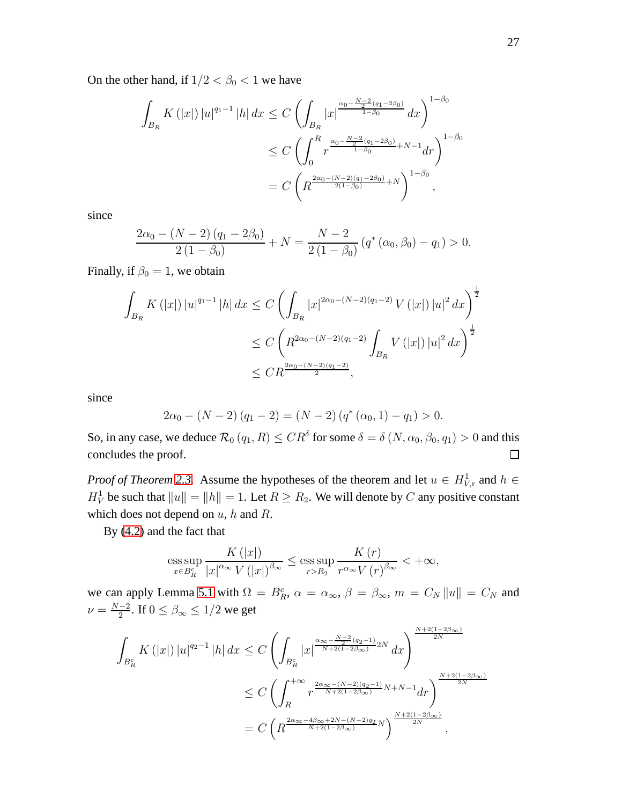On the other hand, if  $1/2 < \beta_0 < 1$  we have

$$
\int_{B_R} K(|x|) |u|^{q_1-1} |h| dx \leq C \left( \int_{B_R} |x|^{\frac{\alpha_0 - \frac{N-2}{2}(q_1 - 2\beta_0)}{1-\beta_0}} dx \right)^{1-\beta_0}
$$
  

$$
\leq C \left( \int_0^R r^{\frac{\alpha_0 - \frac{N-2}{2}(q_1 - 2\beta_0)}{1-\beta_0} + N - 1} dr \right)^{1-\beta_0}
$$
  

$$
= C \left( R^{\frac{2\alpha_0 - (N-2)(q_1 - 2\beta_0)}{2(1-\beta_0)} + N} \right)^{1-\beta_0},
$$

since

$$
\frac{2\alpha_0 - (N-2)(q_1 - 2\beta_0)}{2(1-\beta_0)} + N = \frac{N-2}{2(1-\beta_0)}(q^*(\alpha_0, \beta_0) - q_1) > 0.
$$

Finally, if  $\beta_0 = 1$ , we obtain

$$
\int_{B_R} K(|x|) |u|^{q_1-1} |h| dx \le C \left( \int_{B_R} |x|^{2\alpha_0 - (N-2)(q_1-2)} V(|x|) |u|^2 dx \right)^{\frac{1}{2}}
$$
  
\n
$$
\le C \left( R^{2\alpha_0 - (N-2)(q_1-2)} \int_{B_R} V(|x|) |u|^2 dx \right)^{\frac{1}{2}}
$$
  
\n
$$
\le C R^{\frac{2\alpha_0 - (N-2)(q_1-2)}{2}},
$$

since

$$
2\alpha_0 - (N-2)(q_1 - 2) = (N-2)(q^*(\alpha_0, 1) - q_1) > 0.
$$

So, in any case, we deduce  $\mathcal{R}_0(q_1, R) \leq CR^{\delta}$  for some  $\delta = \delta(N, \alpha_0, \beta_0, q_1) > 0$  and this concludes the proof.  $\Box$ 

*Proof of Theorem [2.3.](#page-7-1)* Assume the hypotheses of the theorem and let  $u \in H^1_{V,r}$  and  $h \in$  $H_V^1$  be such that  $||u|| = ||h|| = 1$ . Let  $R \ge R_2$ . We will denote by C any positive constant which does not depend on  $u$ ,  $h$  and  $R$ .

By [\(4.2\)](#page-18-2) and the fact that

$$
\operatorname{ess} \sup_{x \in B_R^c} \frac{K(|x|)}{|x|^{\alpha_\infty} V(|x|)^{\beta_\infty}} \le \operatorname{ess} \sup_{r > R_2} \frac{K(r)}{r^{\alpha_\infty} V(r)^{\beta_\infty}} < +\infty,
$$

we can apply Lemma [5.1](#page-23-0) with  $\Omega = B_R^c$ ,  $\alpha = \alpha_{\infty}$ ,  $\beta = \beta_{\infty}$ ,  $m = C_N ||u|| = C_N$  and  $\nu = \frac{N-2}{2}$  $\frac{-2}{2}$ . If  $0 \le \beta_{\infty} \le 1/2$  we get

$$
\int_{B_R^c} K(|x|) |u|^{q_2-1} |h| dx \leq C \left( \int_{B_R^c} |x|^{\frac{\alpha_{\infty} - \frac{N-2}{2}(q_2-1)}{N+2(1-2\beta_{\infty})} 2N} dx \right)^{\frac{N+2(1-2\beta_{\infty})}{2N}}
$$
\n
$$
\leq C \left( \int_{R}^{+\infty} r^{\frac{2\alpha_{\infty} - (N-2)(q_2-1)}{N+2(1-2\beta_{\infty})} N+N-1} dr \right)^{\frac{N+2(1-2\beta_{\infty})}{2N}}
$$
\n
$$
= C \left( R^{\frac{2\alpha_{\infty} - 4\beta_{\infty} + 2N - (N-2)q_2}{N+2(1-2\beta_{\infty})} N} \right)^{\frac{N+2(1-2\beta_{\infty})}{2N}},
$$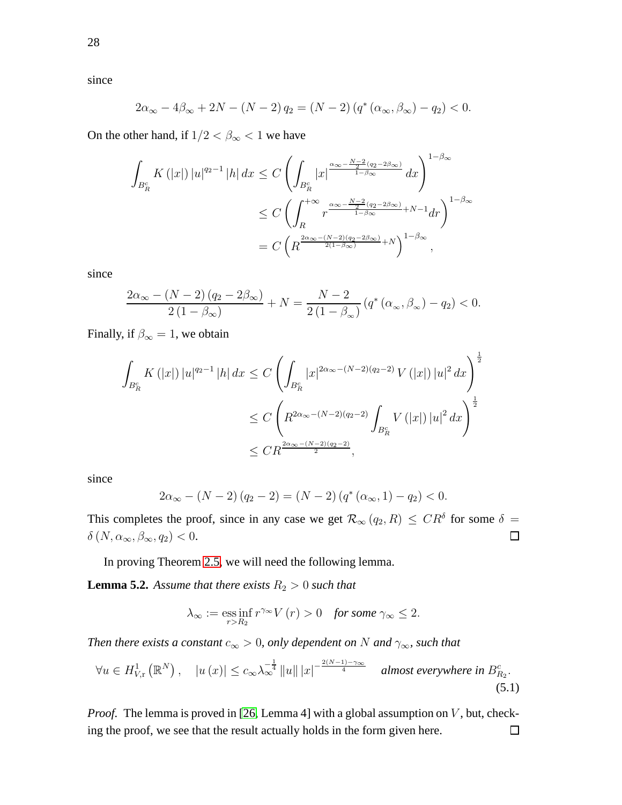since

$$
2\alpha_{\infty} - 4\beta_{\infty} + 2N - (N - 2) q_2 = (N - 2) (q^* (\alpha_{\infty}, \beta_{\infty}) - q_2) < 0.
$$

On the other hand, if  $1/2 < \beta_{\infty} < 1$  we have

$$
\int_{B_R^c} K(|x|) |u|^{q_2-1} |h| dx \leq C \left( \int_{B_R^c} |x|^{\frac{\alpha_\infty - \frac{N-2}{2}(q_2 - 2\beta_\infty)}{1-\beta_\infty}} dx \right)^{1-\beta_\infty}
$$
  

$$
\leq C \left( \int_R^{+\infty} r^{\frac{\alpha_\infty - \frac{N-2}{2}(q_2 - 2\beta_\infty)}{1-\beta_\infty} + N - 1} dr \right)^{1-\beta_\infty}
$$
  

$$
= C \left( R^{\frac{2\alpha_\infty - (N-2)(q_2 - 2\beta_\infty)}{2(1-\beta_\infty)} + N} \right)^{1-\beta_\infty},
$$

since

$$
\frac{2\alpha_{\infty} - (N-2)(q_2 - 2\beta_{\infty})}{2(1-\beta_{\infty})} + N = \frac{N-2}{2(1-\beta_{\infty})} \left( q^* \left( \alpha_{\infty}, \beta_{\infty} \right) - q_2 \right) < 0.
$$

Finally, if  $\beta_{\infty} = 1$ , we obtain

$$
\int_{B_R^c} K(|x|) |u|^{q_2-1} |h| dx \le C \left( \int_{B_R^c} |x|^{2\alpha_{\infty}-(N-2)(q_2-2)} V(|x|) |u|^2 dx \right)^{\frac{1}{2}}
$$
  

$$
\le C \left( R^{2\alpha_{\infty}-(N-2)(q_2-2)} \int_{B_R^c} V(|x|) |u|^2 dx \right)^{\frac{1}{2}}
$$
  

$$
\le C R^{\frac{2\alpha_{\infty}-(N-2)(q_2-2)}{2}},
$$

since

$$
2\alpha_{\infty} - (N - 2)(q_2 - 2) = (N - 2)(q^*(\alpha_{\infty}, 1) - q_2) < 0.
$$

This completes the proof, since in any case we get  $\mathcal{R}_{\infty}(q_2, R) \leq CR^{\delta}$  for some  $\delta =$  $\delta\left(N,\alpha_{\infty},\beta_{\infty},q_2\right)<0.$  $\Box$ 

In proving Theorem [2.5,](#page-8-0) we will need the following lemma.

**Lemma 5.2.** *Assume that there exists*  $R_2 > 0$  *such that* 

$$
\lambda_{\infty} := \underset{r>R_2}{\operatorname{ess\,inf}}\, r^{\gamma_{\infty}} V(r) > 0 \quad \text{for some } \gamma_{\infty} \leq 2.
$$

*Then there exists a constant*  $c_{\infty} > 0$ *, only dependent on* N *and*  $\gamma_{\infty}$ *, such that* 

<span id="page-27-0"></span>
$$
\forall u \in H_{V,\mathrm{r}}^{1}(\mathbb{R}^{N}), \quad |u(x)| \leq c_{\infty} \lambda_{\infty}^{-\frac{1}{4}} \|u\| |x|^{-\frac{2(N-1)-\gamma_{\infty}}{4}} \quad \textit{almost everywhere in } B_{R_{2}}^{c}.
$$
\n
$$
(5.1)
$$

*Proof.* The lemma is proved in [26, Lemma 4] with a global assumption on V, but, checking the proof, we see that the result actually holds in the form given here. $\Box$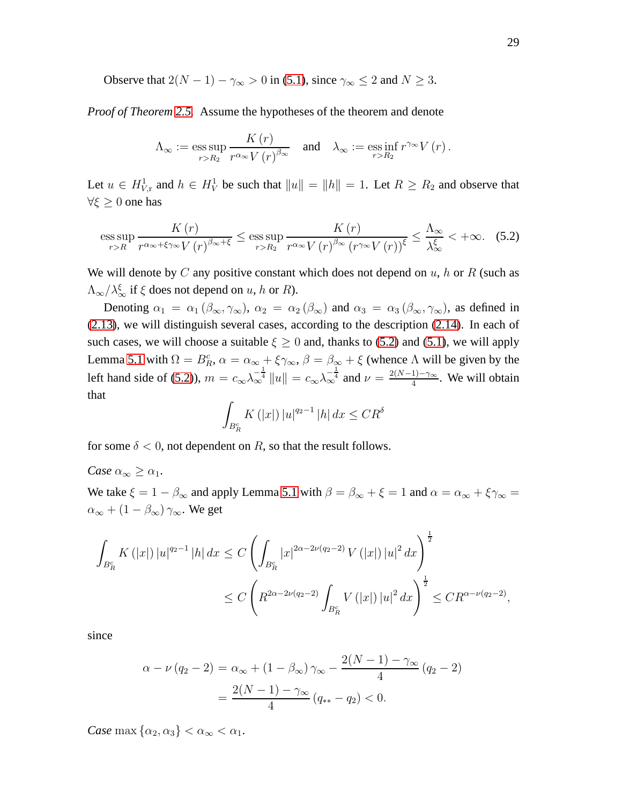Observe that  $2(N - 1) - \gamma_{\infty} > 0$  in [\(5.1\)](#page-27-0), since  $\gamma_{\infty} \le 2$  and  $N \ge 3$ .

*Proof of Theorem [2.5.](#page-8-0)* Assume the hypotheses of the theorem and denote

$$
\Lambda_{\infty} := \operatorname{ess} \operatorname{sup}_{r > R_2} \frac{K(r)}{r^{\alpha_{\infty}} V(r)^{\beta_{\infty}}} \quad \text{and} \quad \lambda_{\infty} := \operatorname{ess} \operatorname{inf}_{r > R_2} r^{\gamma_{\infty}} V(r).
$$

Let  $u \in H^1_{V,\text{r}}$  and  $h \in H^1_V$  be such that  $||u|| = ||h|| = 1$ . Let  $R \ge R_2$  and observe that  $\forall \xi \geq 0$  one has

<span id="page-28-0"></span>
$$
\underset{r>R}{\operatorname{ess\,sup}}\,\frac{K\left(r\right)}{r^{\alpha_{\infty}+\xi\gamma_{\infty}}V\left(r\right)^{\beta_{\infty}+\xi}}\leq\underset{r>R_{2}}{\operatorname{ess\,sup}}\,\frac{K\left(r\right)}{r^{\alpha_{\infty}}V\left(r\right)^{\beta_{\infty}}\left(r^{\gamma_{\infty}}V\left(r\right)\right)^{\xi}}\leq\frac{\Lambda_{\infty}}{\lambda_{\infty}^{\xi}}<+\infty.\tag{5.2}
$$

We will denote by C any positive constant which does not depend on  $u$ ,  $h$  or  $R$  (such as  $\Lambda_{\infty}/\lambda_{\infty}^{\xi}$  if  $\xi$  does not depend on  $u$ ,  $h$  or  $R$ ).

Denoting  $\alpha_1 = \alpha_1 (\beta_\infty, \gamma_\infty)$ ,  $\alpha_2 = \alpha_2 (\beta_\infty)$  and  $\alpha_3 = \alpha_3 (\beta_\infty, \gamma_\infty)$ , as defined in [\(2.13\)](#page-9-5), we will distinguish several cases, according to the description [\(2.14\)](#page-9-4). In each of such cases, we will choose a suitable  $\xi \ge 0$  and, thanks to [\(5.2\)](#page-28-0) and [\(5.1\)](#page-27-0), we will apply Lemma [5.1](#page-23-0) with  $\Omega = B_R^c$ ,  $\alpha = \alpha_\infty + \xi \gamma_\infty$ ,  $\beta = \beta_\infty + \xi$  (whence  $\Lambda$  will be given by the left hand side of [\(5.2\)](#page-28-0)),  $m = c_{\infty} \lambda_{\infty}^{-\frac{1}{4}} ||u|| = c_{\infty} \lambda_{\infty}^{-\frac{1}{4}}$  and  $\nu = \frac{2(N-1)-\gamma_{\infty}}{4}$  $\frac{11-\gamma_{\infty}}{4}$ . We will obtain that

$$
\int_{B_R^c} K(|x|) |u|^{q_2 - 1} |h| dx \leq C R^{\delta}
$$

for some  $\delta$  < 0, not dependent on R, so that the result follows.

*Case*  $\alpha_{\infty} \geq \alpha_1$ *.* 

We take  $\xi = 1 - \beta_{\infty}$  and apply Lemma [5.1](#page-23-0) with  $\beta = \beta_{\infty} + \xi = 1$  and  $\alpha = \alpha_{\infty} + \xi \gamma_{\infty} =$  $\alpha_{\infty} + (1 - \beta_{\infty}) \gamma_{\infty}$ . We get

$$
\int_{B_R^c} K(|x|) |u|^{q_2-1} |h| dx \le C \left( \int_{B_R^c} |x|^{2\alpha - 2\nu(q_2-2)} V(|x|) |u|^2 dx \right)^{\frac{1}{2}}
$$
  

$$
\le C \left( R^{2\alpha - 2\nu(q_2-2)} \int_{B_R^c} V(|x|) |u|^2 dx \right)^{\frac{1}{2}} \le C R^{\alpha - \nu(q_2-2)},
$$

since

$$
\alpha - \nu (q_2 - 2) = \alpha_{\infty} + (1 - \beta_{\infty}) \gamma_{\infty} - \frac{2(N - 1) - \gamma_{\infty}}{4} (q_2 - 2)
$$

$$
= \frac{2(N - 1) - \gamma_{\infty}}{4} (q_{**} - q_2) < 0.
$$

*Case* max  $\{\alpha_2, \alpha_3\} < \alpha_{\infty} < \alpha_1$ .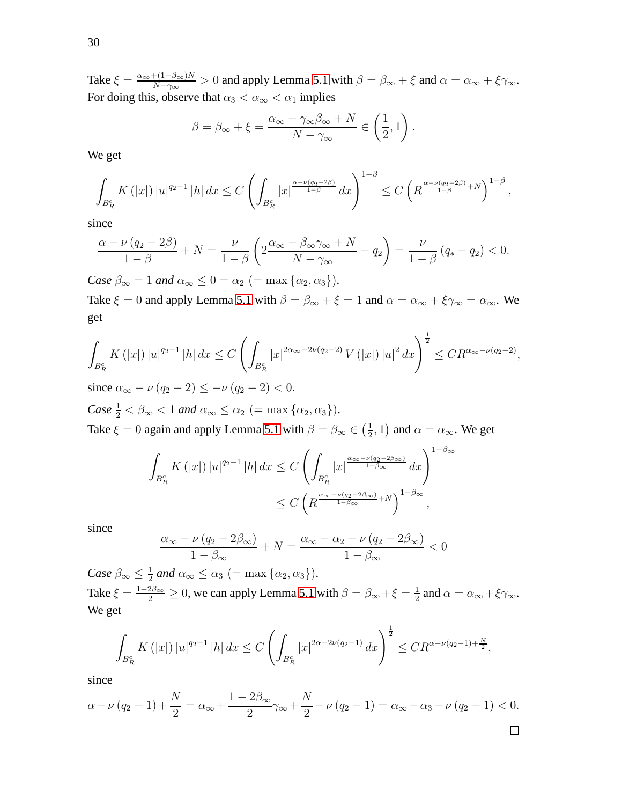Take  $\xi = \frac{\alpha_{\infty} + (1-\beta_{\infty})N}{N-\gamma_{\infty}}$  $\frac{f(1-\beta_{\infty})N}{N-\gamma_{\infty}}>0$  and apply Lemma [5.1](#page-23-0) with  $\beta=\beta_{\infty}+\xi$  and  $\alpha=\alpha_{\infty}+\xi\gamma_{\infty}$ . For doing this, observe that  $\alpha_3 < \alpha_\infty < \alpha_1$  implies

$$
\beta = \beta_{\infty} + \xi = \frac{\alpha_{\infty} - \gamma_{\infty}\beta_{\infty} + N}{N - \gamma_{\infty}} \in \left(\frac{1}{2}, 1\right).
$$

We get

$$
\int_{B_R^c} K(|x|) |u|^{q_2-1} |h| dx \leq C \left( \int_{B_R^c} |x|^{\frac{\alpha-\nu(q_2-2\beta)}{1-\beta}} dx \right)^{1-\beta} \leq C \left( R^{\frac{\alpha-\nu(q_2-2\beta)}{1-\beta}+N} \right)^{1-\beta},
$$

since

$$
\frac{\alpha - \nu (q_2 - 2\beta)}{1 - \beta} + N = \frac{\nu}{1 - \beta} \left( 2 \frac{\alpha_{\infty} - \beta_{\infty} \gamma_{\infty} + N}{N - \gamma_{\infty}} - q_2 \right) = \frac{\nu}{1 - \beta} (q_* - q_2) < 0.
$$

*Case*  $\beta_{\infty} = 1$  *and*  $\alpha_{\infty} \leq 0 = \alpha_2$  (= max { $\alpha_2, \alpha_3$ }). Take  $\xi = 0$  and apply Lemma [5.1](#page-23-0) with  $\beta = \beta_{\infty} + \xi = 1$  and  $\alpha = \alpha_{\infty} + \xi \gamma_{\infty} = \alpha_{\infty}$ . We get

$$
\int_{B_R^c} K(|x|) |u|^{q_2-1} |h| dx \le C \left( \int_{B_R^c} |x|^{2\alpha_{\infty}-2\nu(q_2-2)} V(|x|) |u|^2 dx \right)^{\frac{1}{2}} \le C R^{\alpha_{\infty}-\nu(q_2-2)},
$$

since  $\alpha_{\infty} - \nu (q_2 - 2) \leq -\nu (q_2 - 2) < 0$ .

*Case*  $\frac{1}{2} < \beta_{\infty} < 1$  *and*  $\alpha_{\infty} \le \alpha_2$  (= max { $\alpha_2, \alpha_3$ }). Take  $\xi = 0$  again and apply Lemma [5.1](#page-23-0) with  $\beta = \beta_{\infty} \in \left(\frac{1}{2}\right)$  $(\frac{1}{2}, 1)$  and  $\alpha = \alpha_{\infty}$ . We get

$$
\int_{B_R^c} K(|x|) |u|^{q_2-1} |h| dx \leq C \left( \int_{B_R^c} |x|^{\frac{\alpha_{\infty} - \nu(q_2 - 2\beta_{\infty})}{1 - \beta_{\infty}}} dx \right)^{1 - \beta_{\infty}}
$$
  

$$
\leq C \left( R^{\frac{\alpha_{\infty} - \nu(q_2 - 2\beta_{\infty})}{1 - \beta_{\infty}}} + N \right)^{1 - \beta_{\infty}},
$$

since

$$
\frac{\alpha_{\infty} - \nu (q_2 - 2\beta_{\infty})}{1 - \beta_{\infty}} + N = \frac{\alpha_{\infty} - \alpha_2 - \nu (q_2 - 2\beta_{\infty})}{1 - \beta_{\infty}} < 0
$$

*Case*  $\beta_{\infty} \leq \frac{1}{2}$  $\frac{1}{2}$  and  $\alpha_{\infty} \leq \alpha_3$  (= max { $\alpha_2, \alpha_3$ }). Take  $\xi = \frac{1-2\beta_{\infty}}{2} \ge 0$ , we can apply Lemma [5.1](#page-23-0) with  $\beta = \beta_{\infty} + \xi = \frac{1}{2}$  $\frac{1}{2}$  and  $\alpha = \alpha_{\infty} + \xi \gamma_{\infty}$ . We get

$$
\int_{B_R^c} K(|x|) |u|^{q_2-1} |h| dx \le C \left( \int_{B_R^c} |x|^{2\alpha - 2\nu(q_2-1)} dx \right)^{\frac{1}{2}} \le C R^{\alpha - \nu(q_2-1) + \frac{N}{2}},
$$

since

$$
\alpha - \nu (q_2 - 1) + \frac{N}{2} = \alpha_{\infty} + \frac{1 - 2\beta_{\infty}}{2} \gamma_{\infty} + \frac{N}{2} - \nu (q_2 - 1) = \alpha_{\infty} - \alpha_3 - \nu (q_2 - 1) < 0.
$$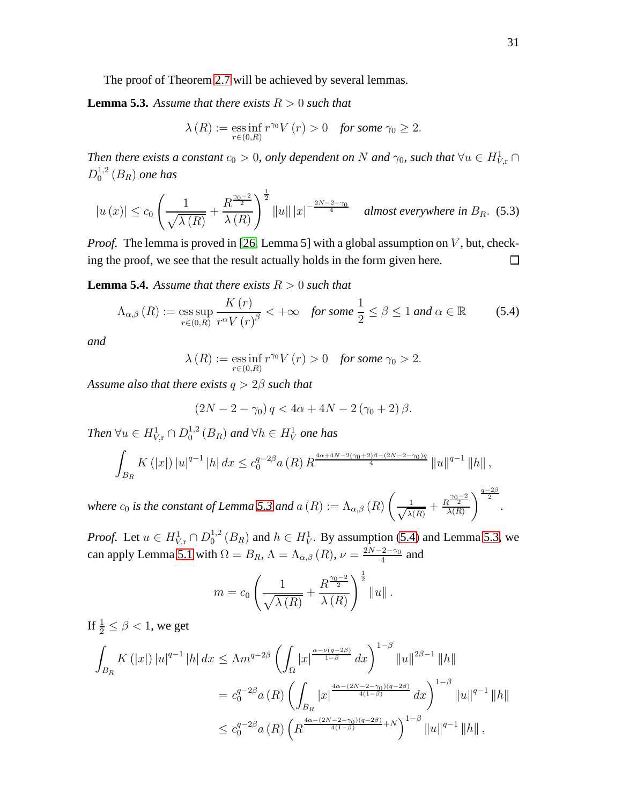The proof of Theorem [2.7](#page-11-0) will be achieved by several lemmas.

<span id="page-30-0"></span>**Lemma 5.3.** Assume that there exists  $R > 0$  such that

$$
\lambda(R) := \operatorname*{ess\,inf}_{r \in (0,R)} r^{\gamma_0} V(r) > 0 \quad \text{for some } \gamma_0 \ge 2.
$$

*Then there exists a constant*  $c_0 > 0$ , only dependent on N and  $\gamma_0$ , such that  $\forall u \in H^1_{V,r} \cap$  $D_0^{1,2}$  $_0^{1,2}(B_R)$  one has

$$
|u(x)| \leq c_0 \left(\frac{1}{\sqrt{\lambda(R)}} + \frac{R^{\frac{\gamma_0 - 2}{2}}}{\lambda(R)}\right)^{\frac{1}{2}} ||u|| \, |x|^{-\frac{2N - 2 - \gamma_0}{4}} \quad \text{almost everywhere in } B_R. \tag{5.3}
$$

*Proof.* The lemma is proved in [26, Lemma 5] with a global assumption on V, but, checking the proof, we see that the result actually holds in the form given here.  $\Box$ 

<span id="page-30-2"></span>**Lemma 5.4.** Assume that there exists  $R > 0$  such that

<span id="page-30-1"></span>
$$
\Lambda_{\alpha,\beta}(R) := \underset{r \in (0,R)}{\operatorname{ess\,sup}} \frac{K(r)}{r^{\alpha}V(r)^{\beta}} < +\infty \quad \text{for some } \frac{1}{2} \le \beta \le 1 \text{ and } \alpha \in \mathbb{R} \tag{5.4}
$$

*and*

$$
\lambda(R) := \operatorname*{ess\,inf}_{r \in (0,R)} r^{\gamma_0} V(r) > 0 \quad \text{for some } \gamma_0 > 2.
$$

*Assume also that there exists* q > 2β *such that*

$$
(2N - 2 - \gamma_0) q < 4\alpha + 4N - 2(\gamma_0 + 2)\beta.
$$

*Then*  $\forall u \in H^1_{V,\mathrm{r}} \cap D_0^{1,2}$  $^{1,2}_0(B_R)$  and  $\forall h \in H_V^1$  one has

$$
\int_{B_R} K(|x|) |u|^{q-1} |h| dx \leq c_0^{q-2\beta} a(R) R^{\frac{4\alpha + 4N - 2(\gamma_0 + 2)\beta - (2N - 2 - \gamma_0)q}{4}} ||u||^{q-1} ||h||,
$$

*where*  $c_0$  *is the constant of Lemma* [5.3](#page-30-0) *and*  $a(R) := \Lambda_{\alpha,\beta}(R)$   $\left($  $\frac{1}{\sqrt{\lambda}}$  $\frac{1}{\lambda(R)} + \frac{R^{\frac{\gamma_0-2}{2}}}{\lambda(R)}$  $\lambda(R)$  $\bigg\{\frac{q-2\beta}{2}.$ 

*Proof.* Let  $u \in H^1_{V,r} \cap D_0^{1,2}$  $^{1,2}_{0}(B_R)$  and  $h \in H_V^1$ . By assumption [\(5.4\)](#page-30-1) and Lemma [5.3,](#page-30-0) we can apply Lemma [5.1](#page-23-0) with  $\Omega = B_R$ ,  $\Lambda = \Lambda_{\alpha,\beta}(R)$ ,  $\nu = \frac{2N-2-\gamma_0}{4}$  $rac{12-\gamma_0}{4}$  and

$$
m = c_0 \left( \frac{1}{\sqrt{\lambda(R)}} + \frac{R^{\frac{\gamma_0 - 2}{2}}}{\lambda(R)} \right)^{\frac{1}{2}} \|u\|.
$$

If  $\frac{1}{2} \le \beta < 1$ , we get

$$
\int_{B_R} K(|x|) |u|^{q-1} |h| dx \leq \Lambda m^{q-2\beta} \left( \int_{\Omega} |x|^{\frac{\alpha - \nu(q-2\beta)}{1-\beta}} dx \right)^{1-\beta} ||u||^{2\beta - 1} ||h||
$$
  

$$
= c_0^{q-2\beta} a(R) \left( \int_{B_R} |x|^{\frac{4\alpha - (2N - 2 - \gamma_0)(q-2\beta)}{4(1-\beta)}} dx \right)^{1-\beta} ||u||^{q-1} ||h||
$$
  

$$
\leq c_0^{q-2\beta} a(R) \left( R^{\frac{4\alpha - (2N - 2 - \gamma_0)(q-2\beta)}{4(1-\beta)} + N} \right)^{1-\beta} ||u||^{q-1} ||h||,
$$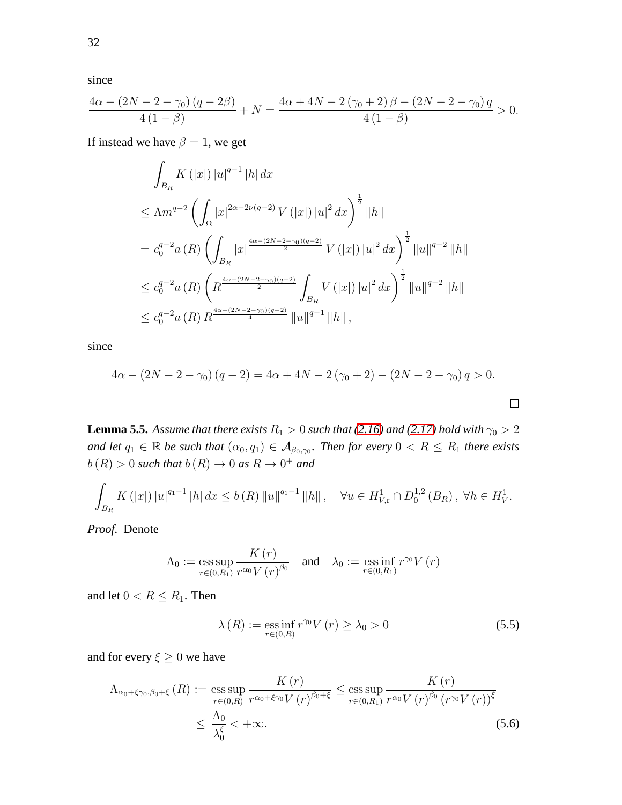since

$$
\frac{4\alpha - (2N - 2 - \gamma_0)(q - 2\beta)}{4(1 - \beta)} + N = \frac{4\alpha + 4N - 2(\gamma_0 + 2)\beta - (2N - 2 - \gamma_0)q}{4(1 - \beta)} > 0.
$$

If instead we have  $\beta = 1$ , we get

$$
\int_{B_R} K(|x|) |u|^{q-1} |h| dx
$$
\n
$$
\leq \Lambda m^{q-2} \left( \int_{\Omega} |x|^{2\alpha - 2\nu(q-2)} V(|x|) |u|^2 dx \right)^{\frac{1}{2}} ||h||
$$
\n
$$
= c_0^{q-2} a(R) \left( \int_{B_R} |x|^{4\alpha - (2N-2-\gamma_0)(q-2)} V(|x|) |u|^2 dx \right)^{\frac{1}{2}} ||u||^{q-2} ||h||
$$
\n
$$
\leq c_0^{q-2} a(R) \left( R^{\frac{4\alpha - (2N-2-\gamma_0)(q-2)}{2}} \int_{B_R} V(|x|) |u|^2 dx \right)^{\frac{1}{2}} ||u||^{q-2} ||h||
$$
\n
$$
\leq c_0^{q-2} a(R) R^{\frac{4\alpha - (2N-2-\gamma_0)(q-2)}{4}} ||u||^{q-1} ||h||,
$$

since

$$
4\alpha - (2N - 2 - \gamma_0)(q - 2) = 4\alpha + 4N - 2(\gamma_0 + 2) - (2N - 2 - \gamma_0)q > 0.
$$

<span id="page-31-2"></span>**Lemma 5.5.** *Assume that there exists*  $R_1 > 0$  *such that* [\(2.16\)](#page-11-4) *and* [\(2.17\)](#page-11-3) *hold with*  $\gamma_0 > 2$ and let  $q_1 \in \mathbb{R}$  be such that  $(\alpha_0, q_1) \in A_{\beta_0, \gamma_0}$ . Then for every  $0 < R \le R_1$  there exists  $b(R) > 0$  such that  $b(R) \to 0$  as  $R \to 0^+$  and

$$
\int_{B_R} K(|x|) |u|^{q_1-1} |h| dx \le b(R) ||u||^{q_1-1} ||h||, \quad \forall u \in H^1_{V,\mathbf{r}} \cap D_0^{1,2}(B_R), \ \forall h \in H^1_V.
$$

*Proof.* Denote

$$
\Lambda_0 := \operatorname{ess} \operatorname{sup}_{r \in (0,R_1)} \frac{K(r)}{r^{\alpha_0} V(r)^{\beta_0}} \quad \text{and} \quad \lambda_0 := \operatorname{ess} \operatorname{inf}_{r \in (0,R_1)} r^{\gamma_0} V(r)
$$

and let  $0 < R \leq R_1$ . Then

<span id="page-31-1"></span>
$$
\lambda(R) := \operatorname*{ess\,inf}_{r \in (0,R)} r^{\gamma_0} V(r) \ge \lambda_0 > 0 \tag{5.5}
$$

 $\Box$ 

and for every  $\xi \geq 0$  we have

<span id="page-31-0"></span>
$$
\Lambda_{\alpha_0+\xi\gamma_0,\beta_0+\xi}\left(R\right) := \underset{r\in(0,R)}{\text{ess sup}}\frac{K\left(r\right)}{r^{\alpha_0+\xi\gamma_0}V\left(r\right)^{\beta_0+\xi}} \le \underset{r\in(0,R_1)}{\text{ess sup}}\frac{K\left(r\right)}{r^{\alpha_0}V\left(r\right)^{\beta_0}\left(r^{\gamma_0}V\left(r\right)\right)^{\xi}} \le \frac{\Lambda_0}{\lambda_0^{\xi}} < +\infty.
$$
\n(5.6)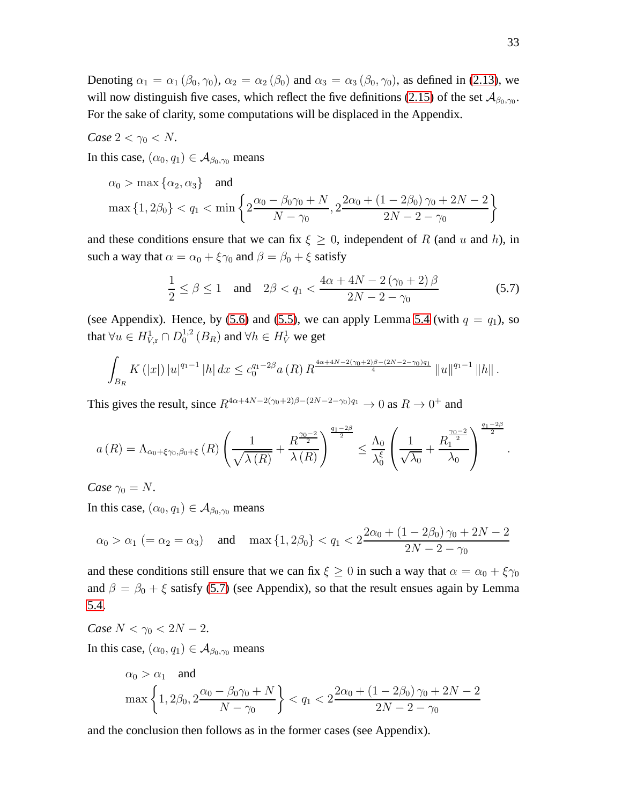Denoting  $\alpha_1 = \alpha_1 (\beta_0, \gamma_0)$ ,  $\alpha_2 = \alpha_2 (\beta_0)$  and  $\alpha_3 = \alpha_3 (\beta_0, \gamma_0)$ , as defined in [\(2.13\)](#page-9-5), we will now distinguish five cases, which reflect the five definitions [\(2.15\)](#page-10-1) of the set  $\mathcal{A}_{\beta_0,\gamma_0}$ . For the sake of clarity, some computations will be displaced in the Appendix.

Case 
$$
2 < \gamma_0 < N
$$
.

In this case,  $(\alpha_0, q_1) \in A_{\beta_0, \gamma_0}$  means

$$
\alpha_0 > \max\left\{\alpha_2, \alpha_3\right\} \text{ and}
$$
\n
$$
\max\left\{1, 2\beta_0\right\} < q_1 < \min\left\{2\frac{\alpha_0 - \beta_0\gamma_0 + N}{N - \gamma_0}, 2\frac{2\alpha_0 + (1 - 2\beta_0)\gamma_0 + 2N - 2}{2N - 2 - \gamma_0}\right\}
$$

and these conditions ensure that we can fix  $\xi \geq 0$ , independent of R (and u and h), in such a way that  $\alpha = \alpha_0 + \xi \gamma_0$  and  $\beta = \beta_0 + \xi$  satisfy

<span id="page-32-0"></span>
$$
\frac{1}{2} \le \beta \le 1 \quad \text{and} \quad 2\beta < q_1 < \frac{4\alpha + 4N - 2\left(\gamma_0 + 2\right)\beta}{2N - 2 - \gamma_0} \tag{5.7}
$$

(see Appendix). Hence, by [\(5.6\)](#page-31-0) and [\(5.5\)](#page-31-1), we can apply Lemma [5.4](#page-30-2) (with  $q = q_1$ ), so that  $\forall u \in H^1_{V,\mathrm{r}} \cap D_0^{1,2}$  $^{1,2}_0(B_R)$  and  $\forall h \in H^1_V$  we get

$$
\int_{B_R} K(|x|) |u|^{q_1-1} |h| dx \leq c_0^{q_1-2\beta} a(R) R^{\frac{4\alpha+4N-2(\gamma_0+2)\beta-(2N-2-\gamma_0)q_1}{4}} ||u||^{q_1-1} ||h||.
$$

This gives the result, since  $R^{4\alpha+4N-2(\gamma_0+2)\beta-(2N-2-\gamma_0)q_1} \to 0$  as  $R \to 0^+$  and

$$
a(R) = \Lambda_{\alpha_0 + \xi\gamma_0, \beta_0 + \xi}(R) \left(\frac{1}{\sqrt{\lambda(R)}} + \frac{R^{\frac{\gamma_0 - 2}{2}}}{\lambda(R)}\right)^{\frac{q_1 - 2\beta}{2}} \le \frac{\Lambda_0}{\lambda_0^{\xi}} \left(\frac{1}{\sqrt{\lambda_0}} + \frac{R_1^{\frac{\gamma_0 - 2}{2}}}{\lambda_0}\right)^{\frac{q_1 - 2\beta}{2}}
$$

*Case*  $\gamma_0 = N$ .

In this case,  $(\alpha_0, q_1) \in A_{\beta_0, \gamma_0}$  means

$$
\alpha_0 > \alpha_1 \ (= \alpha_2 = \alpha_3)
$$
 and  $\max\{1, 2\beta_0\} < q_1 < 2 \frac{2\alpha_0 + (1 - 2\beta_0)\gamma_0 + 2N - 2}{2N - 2 - \gamma_0}$ 

and these conditions still ensure that we can fix  $\xi \ge 0$  in such a way that  $\alpha = \alpha_0 + \xi \gamma_0$ and  $\beta = \beta_0 + \xi$  satisfy [\(5.7\)](#page-32-0) (see Appendix), so that the result ensues again by Lemma [5.4.](#page-30-2)

Case 
$$
N < \gamma_0 < 2N - 2
$$
.

In this case,  $(\alpha_0, q_1) \in A_{\beta_0, \gamma_0}$  means

$$
\alpha_0 > \alpha_1 \quad \text{and}
$$
\n
$$
\max\left\{1, 2\beta_0, 2\frac{\alpha_0 - \beta_0\gamma_0 + N}{N - \gamma_0}\right\} < q_1 < 2\frac{2\alpha_0 + (1 - 2\beta_0)\gamma_0 + 2N - 2}{2N - 2 - \gamma_0}
$$

and the conclusion then follows as in the former cases (see Appendix).

.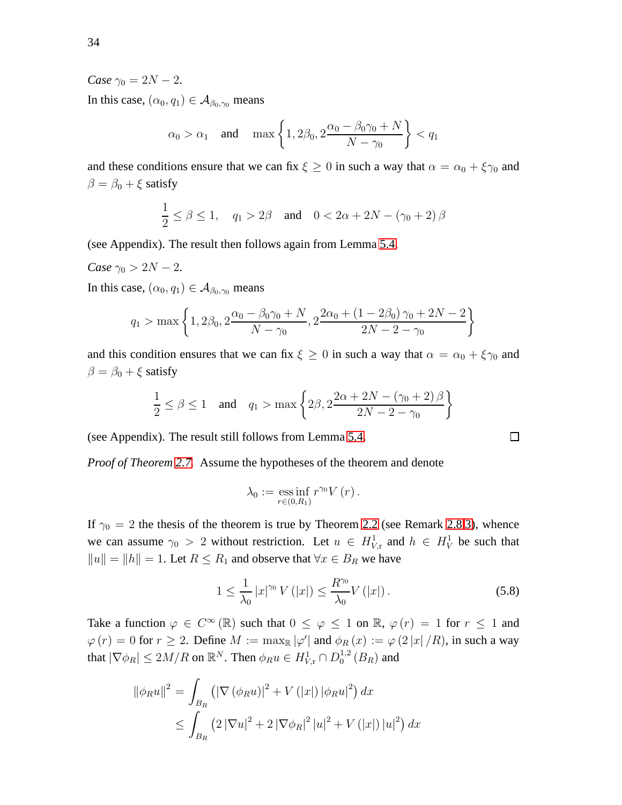#### *Case*  $\gamma_0 = 2N - 2$ .

In this case,  $(\alpha_0, q_1) \in A_{\beta_0, \gamma_0}$  means

$$
\alpha_0 > \alpha_1
$$
 and  $\max \left\{ 1, 2\beta_0, 2\frac{\alpha_0 - \beta_0\gamma_0 + N}{N - \gamma_0} \right\} < q_1$ 

and these conditions ensure that we can fix  $\xi \geq 0$  in such a way that  $\alpha = \alpha_0 + \xi \gamma_0$  and  $\beta = \beta_0 + \xi$  satisfy

$$
\frac{1}{2} \le \beta \le 1, \quad q_1 > 2\beta \quad \text{and} \quad 0 < 2\alpha + 2N - (\gamma_0 + 2)\beta
$$

(see Appendix). The result then follows again from Lemma [5.4.](#page-30-2)

*Case*  $\gamma_0 > 2N - 2$ .

In this case,  $(\alpha_0, q_1) \in A_{\beta_0, \gamma_0}$  means

$$
q_1 > \max\left\{1, 2\beta_0, 2\frac{\alpha_0 - \beta_0\gamma_0 + N}{N - \gamma_0}, 2\frac{2\alpha_0 + (1 - 2\beta_0)\gamma_0 + 2N - 2}{2N - 2 - \gamma_0}\right\}
$$

and this condition ensures that we can fix  $\xi \geq 0$  in such a way that  $\alpha = \alpha_0 + \xi \gamma_0$  and  $\beta = \beta_0 + \xi$  satisfy

$$
\frac{1}{2} \le \beta \le 1 \quad \text{and} \quad q_1 > \max\left\{2\beta, 2\frac{2\alpha + 2N - (\gamma_0 + 2)\beta}{2N - 2 - \gamma_0}\right\}
$$

(see Appendix). The result still follows from Lemma [5.4.](#page-30-2)

*Proof of Theorem [2.7.](#page-11-0)* Assume the hypotheses of the theorem and denote

$$
\lambda_0 := \operatorname*{ess\,inf}_{r \in (0,R_1)} r^{\gamma_0} V(r).
$$

If  $\gamma_0 = 2$  the thesis of the theorem is true by Theorem [2.2](#page-7-0) (see Remark [2.8](#page-11-1)[.3\)](#page-12-2), whence we can assume  $\gamma_0 > 2$  without restriction. Let  $u \in H^1_{V,r}$  and  $h \in H^1_V$  be such that  $||u|| = ||h|| = 1$ . Let  $R \le R_1$  and observe that  $\forall x \in B_R$  we have

<span id="page-33-0"></span>
$$
1 \le \frac{1}{\lambda_0} |x|^{\gamma_0} V(|x|) \le \frac{R^{\gamma_0}}{\lambda_0} V(|x|).
$$
 (5.8)

Take a function  $\varphi \in C^{\infty}(\mathbb{R})$  such that  $0 \leq \varphi \leq 1$  on  $\mathbb{R}, \varphi(r) = 1$  for  $r \leq 1$  and  $\varphi(r) = 0$  for  $r \ge 2$ . Define  $M := \max_{\mathbb{R}} |\varphi'|$  and  $\phi_R(x) := \varphi(2|x|/R)$ , in such a way that  $|\nabla \phi_R| \le 2M/R$  on  $\mathbb{R}^N$ . Then  $\phi_R u \in H^1_{V,\mathrm{r}} \cap D_0^{1,2}$  $_0^{1,2}(B_R)$  and

$$
\|\phi_R u\|^2 = \int_{B_R} \left( |\nabla (\phi_R u)|^2 + V(|x|) |\phi_R u|^2 \right) dx
$$
  

$$
\leq \int_{B_R} \left( 2 |\nabla u|^2 + 2 |\nabla \phi_R|^2 |u|^2 + V(|x|) |u|^2 \right) dx
$$

$$
\Box
$$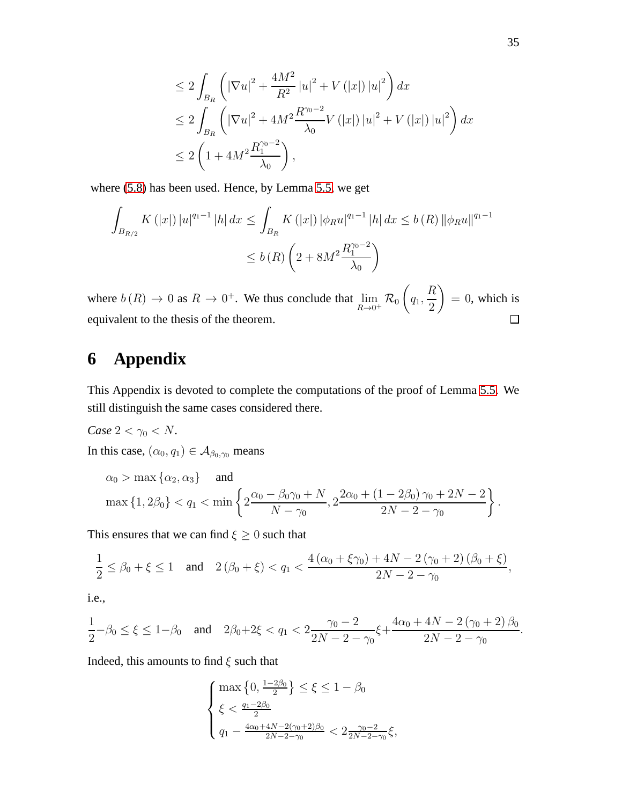$$
\leq 2 \int_{B_R} \left( |\nabla u|^2 + \frac{4M^2}{R^2} |u|^2 + V(|x|) |u|^2 \right) dx
$$
  
\n
$$
\leq 2 \int_{B_R} \left( |\nabla u|^2 + 4M^2 \frac{R^{\gamma_0 - 2}}{\lambda_0} V(|x|) |u|^2 + V(|x|) |u|^2 \right) dx
$$
  
\n
$$
\leq 2 \left( 1 + 4M^2 \frac{R_1^{\gamma_0 - 2}}{\lambda_0} \right),
$$

where [\(5.8\)](#page-33-0) has been used. Hence, by Lemma [5.5,](#page-31-2) we get

$$
\int_{B_{R/2}} K(|x|) |u|^{q_1-1} |h| dx \le \int_{B_R} K(|x|) |\phi_R u|^{q_1-1} |h| dx \le b(R) ||\phi_R u||^{q_1-1}
$$
  

$$
\le b(R) \left(2 + 8M^2 \frac{R_1^{\gamma_0 - 2}}{\lambda_0}\right)
$$

 $\sqrt{ }$ R  $= 0$ , which is where  $b(R) \to 0$  as  $R \to 0^+$ . We thus conclude that  $\lim_{R \to 0^+} \mathcal{R}_0$  $q_1$ , 2 equivalent to the thesis of the theorem.  $\Box$ 

# **6 Appendix**

This Appendix is devoted to complete the computations of the proof of Lemma [5.5.](#page-31-2) We still distinguish the same cases considered there.

*Case*  $2 < \gamma_0 < N$ *.* In this case,  $(\alpha_0, q_1) \in A_{\beta_0, \gamma_0}$  means

$$
\alpha_0 > \max \left\{ \alpha_2, \alpha_3 \right\} \quad \text{and} \quad \max \left\{ 1, 2\beta_0 \right\} < q_1 < \min \left\{ 2 \frac{\alpha_0 - \beta_0 \gamma_0 + N}{N - \gamma_0}, 2 \frac{2\alpha_0 + \left( 1 - 2\beta_0 \right) \gamma_0 + 2N - 2}{2N - 2 - \gamma_0} \right\}.
$$

This ensures that we can find  $\xi \geq 0$  such that

$$
\frac{1}{2} \le \beta_0 + \xi \le 1 \quad \text{and} \quad 2\left(\beta_0 + \xi\right) < q_1 < \frac{4\left(\alpha_0 + \xi\gamma_0\right) + 4N - 2\left(\gamma_0 + 2\right)\left(\beta_0 + \xi\right)}{2N - 2 - \gamma_0},
$$

i.e.,

$$
\frac{1}{2}-\beta_0\leq \xi\leq 1-\beta_0 \quad \text{and} \quad 2\beta_0+2\xi< q_1<2\frac{\gamma_0-2}{2N-2-\gamma_0}\xi+\frac{4\alpha_0+4N-2\left(\gamma_0+2\right)\beta_0}{2N-2-\gamma_0}.
$$

Indeed, this amounts to find  $\xi$  such that

$$
\left\{\begin{aligned} & \max\left\{0,\tfrac{1-2\beta_0}{2}\right\}\leq \xi\leq 1-\beta_0\\ & \xi<\tfrac{q_1-2\beta_0}{2}\\ & q_1-\tfrac{4\alpha_0+4N-2(\gamma_0+2)\beta_0}{2N-2-\gamma_0}<2\tfrac{\gamma_0-2}{2N-2-\gamma_0}\xi, \end{aligned}\right.
$$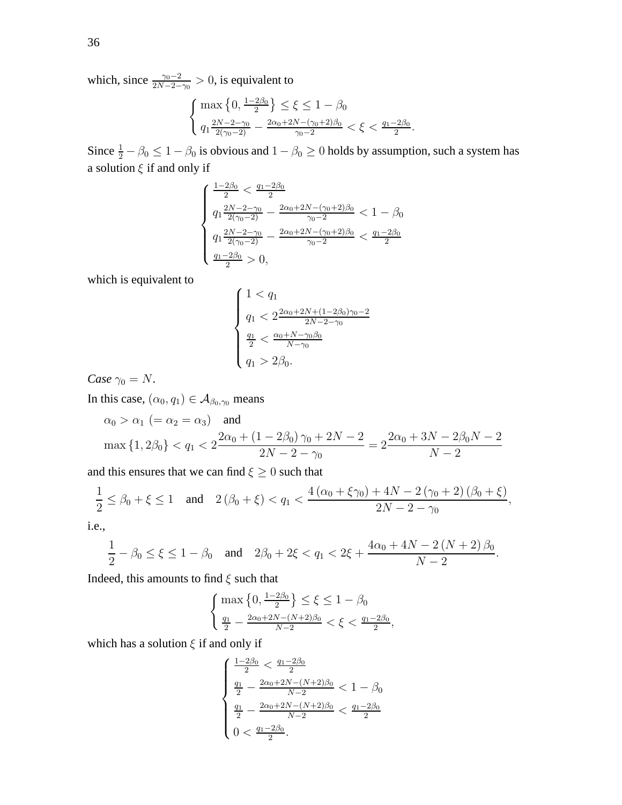which, since  $\frac{\gamma_0 - 2}{2N - 2 - \gamma_0} > 0$ , is equivalent to

$$
\begin{cases} \max\left\{0, \frac{1-2\beta_0}{2}\right\} \le \xi \le 1-\beta_0\\ q_1 \frac{2N-2-\gamma_0}{2(\gamma_0-2)} - \frac{2\alpha_0+2N-(\gamma_0+2)\beta_0}{\gamma_0-2} < \xi < \frac{q_1-2\beta_0}{2}.\end{cases}
$$

Since  $\frac{1}{2} - \beta_0 \leq 1 - \beta_0$  is obvious and  $1 - \beta_0 \geq 0$  holds by assumption, such a system has a solution  $\xi$  if and only if

$$
\left\{\begin{array}{l} \frac{1-2\beta_0}{2} < \frac{q_1-2\beta_0}{2} \\[1mm] q_1\frac{2N-2-\gamma_0}{2(\gamma_0-2)} - \frac{2\alpha_0+2N-(\gamma_0+2)\beta_0}{\gamma_0-2} < 1-\beta_0 \\[1mm] q_1\frac{2N-2-\gamma_0}{2(\gamma_0-2)} - \frac{2\alpha_0+2N-(\gamma_0+2)\beta_0}{\gamma_0-2} < \frac{q_1-2\beta_0}{2} \\[1mm] \frac{q_1-2\beta_0}{2} > 0, \end{array}\right.
$$

which is equivalent to

$$
\begin{cases} 1 < q_1 \\ q_1 < 2 \frac{2\alpha_0 + 2N + (1 - 2\beta_0)\gamma_0 - 2}{2N - 2 - \gamma_0} \\ \frac{q_1}{2} < \frac{\alpha_0 + N - \gamma_0 \beta_0}{N - \gamma_0} \\ q_1 > 2\beta_0. \end{cases}
$$

*Case*  $\gamma_0 = N$ .

In this case,  $(\alpha_0, q_1) \in A_{\beta_0, \gamma_0}$  means

$$
\alpha_0 > \alpha_1
$$
 (=  $\alpha_2 = \alpha_3$ ) and  
\n
$$
\max\{1, 2\beta_0\} < q_1 < 2\frac{2\alpha_0 + (1 - 2\beta_0)\gamma_0 + 2N - 2}{2N - 2 - \gamma_0} = 2\frac{2\alpha_0 + 3N - 2\beta_0N - 2}{N - 2}
$$

and this ensures that we can find  $\xi \geq 0$  such that

$$
\frac{1}{2} \le \beta_0 + \xi \le 1 \quad \text{and} \quad 2\left(\beta_0 + \xi\right) < q_1 < \frac{4\left(\alpha_0 + \xi\gamma_0\right) + 4N - 2\left(\gamma_0 + 2\right)\left(\beta_0 + \xi\right)}{2N - 2 - \gamma_0},
$$

i.e.,

$$
\frac{1}{2} - \beta_0 \le \xi \le 1 - \beta_0 \quad \text{and} \quad 2\beta_0 + 2\xi < q_1 < 2\xi + \frac{4\alpha_0 + 4N - 2\left(N + 2\right)\beta_0}{N - 2}.
$$

Indeed, this amounts to find  $\xi$  such that

$$
\begin{cases} \max\left\{0, \frac{1-2\beta_0}{2}\right\} \le \xi \le 1 - \beta_0\\ \frac{q_1}{2} - \frac{2\alpha_0 + 2N - (N+2)\beta_0}{N-2} < \xi < \frac{q_1 - 2\beta_0}{2}, \end{cases}
$$

which has a solution  $\xi$  if and only if

$$
\begin{cases} \frac{1-2\beta_0}{2} < \frac{q_1-2\beta_0}{2} \\ \frac{q_1}{2} - \frac{2\alpha_0+2N-(N+2)\beta_0}{N-2} < 1-\beta_0 \\ \frac{q_1}{2} - \frac{2\alpha_0+2N-(N+2)\beta_0}{N-2} < \frac{q_1-2\beta_0}{2} \\ 0 < \frac{q_1-2\beta_0}{2}. \end{cases}
$$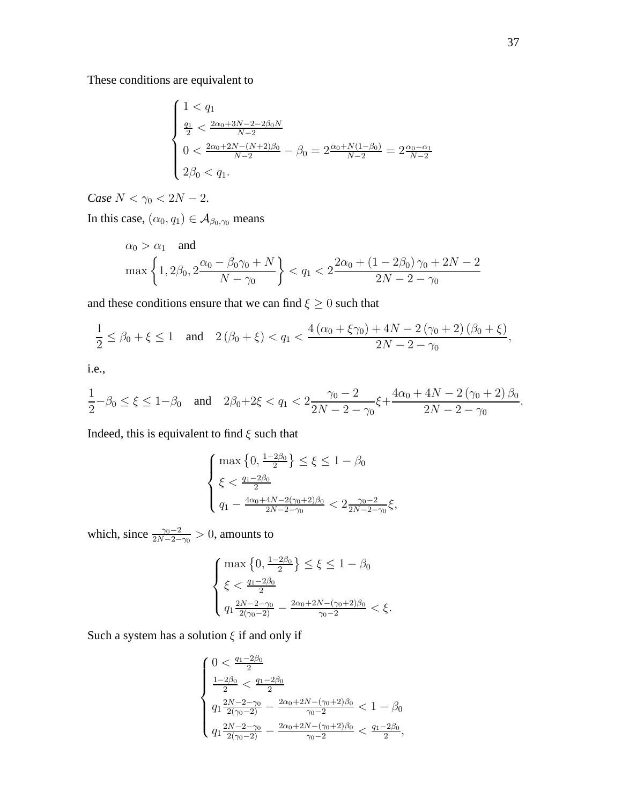These conditions are equivalent to

$$
\begin{cases} 1 < q_1 \\ \frac{q_1}{2} < \frac{2\alpha_0 + 3N - 2 - 2\beta_0 N}{N - 2} \\ 0 < \frac{2\alpha_0 + 2N - (N + 2)\beta_0}{N - 2} - \beta_0 = 2\frac{\alpha_0 + N(1 - \beta_0)}{N - 2} = 2\frac{\alpha_0 - \alpha_1}{N - 2} \\ 2\beta_0 < q_1. \end{cases}
$$

*Case*  $N < \gamma_0 < 2N - 2$ .

In this case,  $(\alpha_0, q_1) \in A_{\beta_0, \gamma_0}$  means

$$
\alpha_0 > \alpha_1 \quad \text{and}
$$
\n
$$
\max\left\{1, 2\beta_0, 2\frac{\alpha_0 - \beta_0\gamma_0 + N}{N - \gamma_0}\right\} < q_1 < 2\frac{2\alpha_0 + (1 - 2\beta_0)\gamma_0 + 2N - 2}{2N - 2 - \gamma_0}
$$

and these conditions ensure that we can find  $\xi\geq 0$  such that

$$
\frac{1}{2} \le \beta_0 + \xi \le 1 \quad \text{and} \quad 2(\beta_0 + \xi) < q_1 < \frac{4(\alpha_0 + \xi \gamma_0) + 4N - 2(\gamma_0 + 2)(\beta_0 + \xi)}{2N - 2 - \gamma_0},
$$

i.e.,

$$
\frac{1}{2} - \beta_0 \le \xi \le 1 - \beta_0 \quad \text{and} \quad 2\beta_0 + 2\xi < q_1 < 2\frac{\gamma_0 - 2}{2N - 2 - \gamma_0} \xi + \frac{4\alpha_0 + 4N - 2\left(\gamma_0 + 2\right)\beta_0}{2N - 2 - \gamma_0}.
$$

Indeed, this is equivalent to find  $\xi$  such that

$$
\left\{\begin{aligned} & \max\left\{0,\tfrac{1-2\beta_0}{2}\right\}\leq \xi\leq 1-\beta_0\\ & \xi<\tfrac{q_1-2\beta_0}{2}\\ & q_1-\tfrac{4\alpha_0+4N-2(\gamma_0+2)\beta_0}{2N-2-\gamma_0}<2\tfrac{\gamma_0-2}{2N-2-\gamma_0}\xi, \end{aligned}\right.
$$

which, since  $\frac{\gamma_0 - 2}{2N - 2 - \gamma_0} > 0$ , amounts to

$$
\begin{cases} \max\left\{0, \frac{1-2\beta_0}{2}\right\} \le \xi \le 1 - \beta_0\\ \xi < \frac{q_1 - 2\beta_0}{2} \\ q_1 \frac{2N - 2 - \gamma_0}{2(\gamma_0 - 2)} - \frac{2\alpha_0 + 2N - (\gamma_0 + 2)\beta_0}{\gamma_0 - 2} < \xi. \end{cases}
$$

Such a system has a solution  $\xi$  if and only if

$$
\begin{cases} 0 < \frac{q_1 - 2\beta_0}{2} \\ \frac{1 - 2\beta_0}{2} < \frac{q_1 - 2\beta_0}{2} \\ q_1 \frac{2N - 2 - \gamma_0}{2(\gamma_0 - 2)} - \frac{2\alpha_0 + 2N - (\gamma_0 + 2)\beta_0}{\gamma_0 - 2} < 1 - \beta_0 \\ q_1 \frac{2N - 2 - \gamma_0}{2(\gamma_0 - 2)} - \frac{2\alpha_0 + 2N - (\gamma_0 + 2)\beta_0}{\gamma_0 - 2} < \frac{q_1 - 2\beta_0}{2}, \end{cases}
$$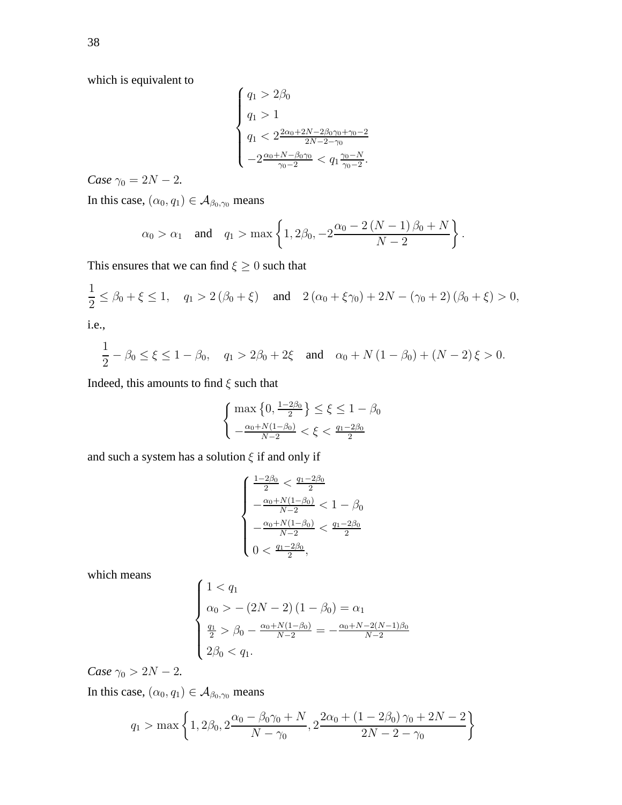which is equivalent to

$$
\begin{cases}\n q_1 > 2\beta_0 \\
 q_1 > 1 \\
 q_1 < 2 \frac{2\alpha_0 + 2N - 2\beta_0\gamma_0 + \gamma_0 - 2}{2N - 2 - \gamma_0} \\
 -2 \frac{\alpha_0 + N - \beta_0\gamma_0}{\gamma_0 - 2} < q_1 \frac{\gamma_0 - N}{\gamma_0 - 2}.\n\end{cases}
$$

*Case*  $\gamma_0 = 2N - 2$ *.* 

In this case,  $(\alpha_0, q_1) \in A_{\beta_0, \gamma_0}$  means

$$
\alpha_0 > \alpha_1
$$
 and  $q_1 > \max \left\{ 1, 2\beta_0, -2 \frac{\alpha_0 - 2(N - 1)\beta_0 + N}{N - 2} \right\}.$ 

This ensures that we can find  $\xi \geq 0$  such that

$$
\frac{1}{2} \le \beta_0 + \xi \le 1, \quad q_1 > 2(\beta_0 + \xi) \quad \text{and} \quad 2(\alpha_0 + \xi \gamma_0) + 2N - (\gamma_0 + 2)(\beta_0 + \xi) > 0,
$$

i.e.,

$$
\frac{1}{2} - \beta_0 \le \xi \le 1 - \beta_0, \quad q_1 > 2\beta_0 + 2\xi \quad \text{and} \quad \alpha_0 + N\left(1 - \beta_0\right) + (N - 2)\xi > 0.
$$

Indeed, this amounts to find  $\xi$  such that

$$
\begin{cases} \max\left\{0, \frac{1-2\beta_0}{2}\right\} \le \xi \le 1 - \beta_0\\ -\frac{\alpha_0 + N(1-\beta_0)}{N-2} < \xi < \frac{q_1 - 2\beta_0}{2} \end{cases}
$$

and such a system has a solution  $\xi$  if and only if

$$
\begin{cases} \frac{1-2\beta_0}{2} < \frac{q_1-2\beta_0}{2} \\ -\frac{\alpha_0+N(1-\beta_0)}{N-2} < 1-\beta_0 \\ -\frac{\alpha_0+N(1-\beta_0)}{N-2} < \frac{q_1-2\beta_0}{2} \\ 0 < \frac{q_1-2\beta_0}{2}, \end{cases}
$$

which means

$$
\begin{cases}\n1 < q_1 \\
\alpha_0 > - (2N - 2)(1 - \beta_0) = \alpha_1 \\
\frac{q_1}{2} > \beta_0 - \frac{\alpha_0 + N(1 - \beta_0)}{N - 2} = -\frac{\alpha_0 + N - 2(N - 1)\beta_0}{N - 2} \\
2\beta_0 < q_1.\n\end{cases}
$$

*Case*  $\gamma_0 > 2N - 2$ *.* 

In this case,  $(\alpha_0, q_1) \in A_{\beta_0, \gamma_0}$  means

$$
q_1 > \max\left\{1, 2\beta_0, 2\frac{\alpha_0 - \beta_0\gamma_0 + N}{N - \gamma_0}, 2\frac{2\alpha_0 + (1 - 2\beta_0)\gamma_0 + 2N - 2}{2N - 2 - \gamma_0}\right\}
$$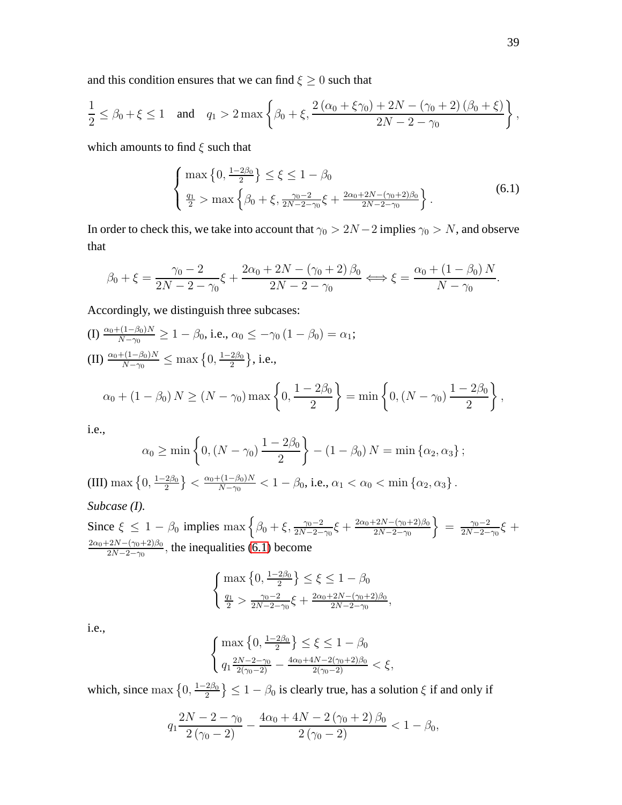and this condition ensures that we can find  $\xi \geq 0$  such that

$$
\frac{1}{2} \leq \beta_0 + \xi \leq 1 \quad \text{and} \quad q_1 > 2 \max \left\{ \beta_0 + \xi, \frac{2 (\alpha_0 + \xi \gamma_0) + 2N - (\gamma_0 + 2) (\beta_0 + \xi)}{2N - 2 - \gamma_0} \right\},
$$

which amounts to find  $\xi$  such that

<span id="page-38-0"></span>
$$
\begin{cases} \max\left\{0, \frac{1-2\beta_0}{2}\right\} \le \xi \le 1 - \beta_0\\ \frac{q_1}{2} > \max\left\{\beta_0 + \xi, \frac{\gamma_0 - 2}{2N - 2 - \gamma_0}\xi + \frac{2\alpha_0 + 2N - (\gamma_0 + 2)\beta_0}{2N - 2 - \gamma_0}\right\}.\end{cases}
$$
(6.1)

In order to check this, we take into account that  $\gamma_0 > 2N - 2$  implies  $\gamma_0 > N$ , and observe that

$$
\beta_0 + \xi = \frac{\gamma_0 - 2}{2N - 2 - \gamma_0} \xi + \frac{2\alpha_0 + 2N - (\gamma_0 + 2)\beta_0}{2N - 2 - \gamma_0} \Longleftrightarrow \xi = \frac{\alpha_0 + (1 - \beta_0)N}{N - \gamma_0}.
$$

Accordingly, we distinguish three subcases:

(I) 
$$
\frac{\alpha_0 + (1 - \beta_0)N}{N - \gamma_0} \ge 1 - \beta_0
$$
, i.e.,  $\alpha_0 \le -\gamma_0 (1 - \beta_0) = \alpha_1$ ;  
\n(II)  $\frac{\alpha_0 + (1 - \beta_0)N}{N - \gamma_0} \le \max\left\{0, \frac{1 - 2\beta_0}{2}\right\}$ , i.e.,  
\n $\alpha_0 + (1 - \beta_0) N \ge (N - \gamma_0) \max\left\{0, \frac{1 - 2\beta_0}{2}\right\} = \min\left\{0, (N - \gamma_0) \frac{1 - 2\beta_0}{2}\right\}$ ,

i.e.,

$$
\alpha_0 \ge \min \left\{ 0, (N - \gamma_0) \frac{1 - 2\beta_0}{2} \right\} - (1 - \beta_0) N = \min \left\{ \alpha_2, \alpha_3 \right\};
$$
  
(III) max  $\left\{ 0, \frac{1 - 2\beta_0}{2} \right\} < \frac{\alpha_0 + (1 - \beta_0)N}{N - \gamma_0} < 1 - \beta_0$ , i.e.,  $\alpha_1 < \alpha_0 < \min \left\{ \alpha_2, \alpha_3 \right\}$ .

#### *Subcase (I).*

Since  $\xi \le 1 - \beta_0$  implies  $\max \left\{ \beta_0 + \xi, \frac{\gamma_0 - 2}{2N - 2 - \gamma_0} \xi + \frac{2\alpha_0 + 2N - (\gamma_0 + 2)\beta_0}{2N - 2 - \gamma_0} \right\}$  $2N-2-\gamma_0$  $\Big\} = \frac{\gamma_0 - 2}{2N - 2}$  $\frac{\gamma_0 - 2}{2N - 2 - \gamma_0} \xi +$  $2\alpha_0+2N-(\gamma_0+2)\beta_0$  $\frac{2N-(\gamma_0+2)\beta_0}{2N-2-\gamma_0}$ , the inequalities [\(6.1\)](#page-38-0) become

$$
\begin{cases} \max\left\{0, \frac{1-2\beta_0}{2}\right\} \le \xi \le 1-\beta_0\\ \frac{q_1}{2} > \frac{\gamma_0 - 2}{2N - 2 - \gamma_0} \xi + \frac{2\alpha_0 + 2N - (\gamma_0 + 2)\beta_0}{2N - 2 - \gamma_0}, \end{cases}
$$

i.e.,

$$
\begin{cases} \max\left\{0, \frac{1-2\beta_0}{2}\right\} \le \xi \le 1-\beta_0\\ q_1 \frac{2N-2-\gamma_0}{2(\gamma_0-2)} - \frac{4\alpha_0+4N-2(\gamma_0+2)\beta_0}{2(\gamma_0-2)} < \xi, \end{cases}
$$

which, since max  $\{0, \frac{1-2\beta_0}{2}\}$  $\left\{\frac{2\beta_0}{2}\right\} \leq 1 - \beta_0$  is clearly true, has a solution  $\xi$  if and only if

$$
q_1 \frac{2N - 2 - \gamma_0}{2(\gamma_0 - 2)} - \frac{4\alpha_0 + 4N - 2(\gamma_0 + 2)\beta_0}{2(\gamma_0 - 2)} < 1 - \beta_0,
$$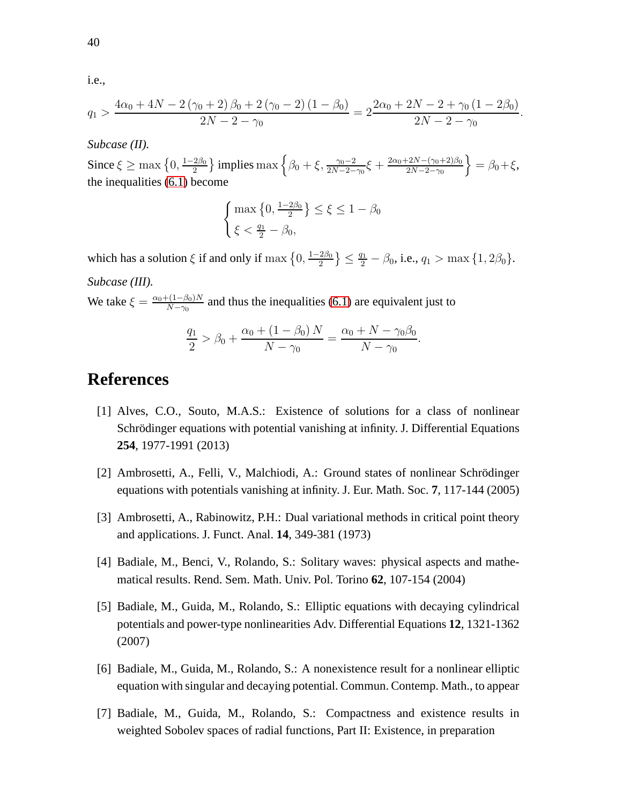i.e.,

$$
q_1 > \frac{4\alpha_0 + 4N - 2(\gamma_0 + 2)\beta_0 + 2(\gamma_0 - 2)(1 - \beta_0)}{2N - 2 - \gamma_0} = 2\frac{2\alpha_0 + 2N - 2 + \gamma_0(1 - 2\beta_0)}{2N - 2 - \gamma_0}.
$$

#### *Subcase (II).*

Since  $\xi \ge \max\left\{0, \frac{1-2\beta_0}{2}\right\}$  $\frac{2\beta_0}{2}$ } implies max  $\left\{\beta_0 + \xi, \frac{\gamma_0 - 2}{2N - 2 - \gamma_0}$ ξ +  $\frac{2\alpha_0 + 2N - (\gamma_0 + 2)\beta_0}{2N - 2 - \gamma_0}$  $2N-2-\gamma_0$  $\Big\} = \beta_0 + \xi,$ the inequalities [\(6.1\)](#page-38-0) become

$$
\begin{cases} \max\left\{0, \frac{1-2\beta_0}{2}\right\} \le \xi \le 1 - \beta_0\\ \xi < \frac{q_1}{2} - \beta_0, \end{cases}
$$

which has a solution  $\xi$  if and only if  $\max\left\{0,\frac{1-2\beta_0}{2}\right\}$  $\left\{\frac{2\beta_0}{2}\right\}\leq \frac{q_1}{2}-\beta_0$ , i.e.,  $q_1 > \max\big\{1, 2\beta_0\big\}$ . *Subcase (III).*

We take  $\xi = \frac{\alpha_0 + (1 - \beta_0)N}{N - \alpha_0}$  $\frac{N-\gamma_0}{N-\gamma_0}$  and thus the inequalities [\(6.1\)](#page-38-0) are equivalent just to

$$
\frac{q_1}{2} > \beta_0 + \frac{\alpha_0 + (1 - \beta_0) N}{N - \gamma_0} = \frac{\alpha_0 + N - \gamma_0 \beta_0}{N - \gamma_0}
$$

.

### <span id="page-39-2"></span>**References**

- [1] Alves, C.O., Souto, M.A.S.: Existence of solutions for a class of nonlinear Schrödinger equations with potential vanishing at infinity. J. Differential Equations **254**, 1977-1991 (2013)
- <span id="page-39-3"></span><span id="page-39-1"></span>[2] Ambrosetti, A., Felli, V., Malchiodi, A.: Ground states of nonlinear Schrödinger equations with potentials vanishing at infinity. J. Eur. Math. Soc. **7**, 117-144 (2005)
- <span id="page-39-0"></span>[3] Ambrosetti, A., Rabinowitz, P.H.: Dual variational methods in critical point theory and applications. J. Funct. Anal. **14**, 349-381 (1973)
- <span id="page-39-4"></span>[4] Badiale, M., Benci, V., Rolando, S.: Solitary waves: physical aspects and mathematical results. Rend. Sem. Math. Univ. Pol. Torino **62**, 107-154 (2004)
- [5] Badiale, M., Guida, M., Rolando, S.: Elliptic equations with decaying cylindrical potentials and power-type nonlinearities Adv. Differential Equations **12**, 1321-1362 (2007)
- <span id="page-39-6"></span><span id="page-39-5"></span>[6] Badiale, M., Guida, M., Rolando, S.: A nonexistence result for a nonlinear elliptic equation with singular and decaying potential. Commun. Contemp. Math., to appear
- [7] Badiale, M., Guida, M., Rolando, S.: Compactness and existence results in weighted Sobolev spaces of radial functions, Part II: Existence, in preparation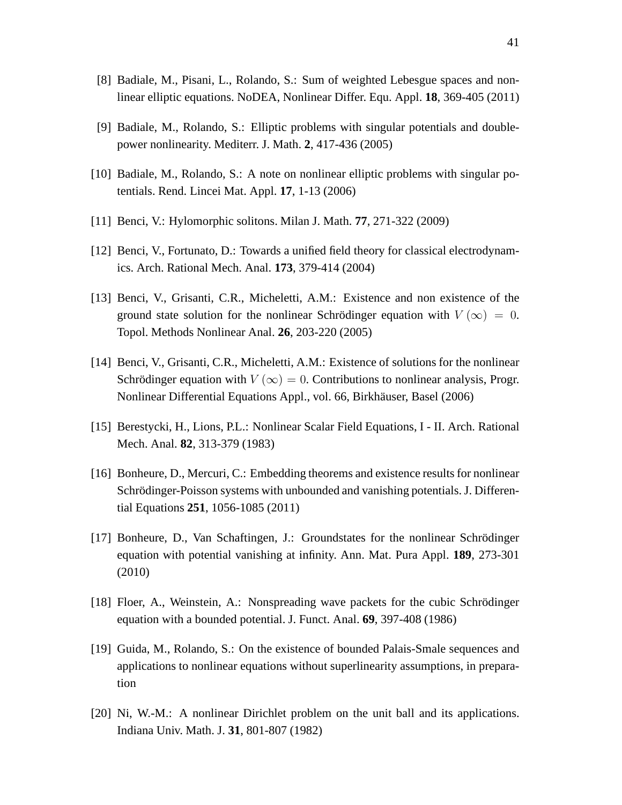- <span id="page-40-7"></span><span id="page-40-3"></span>[8] Badiale, M., Pisani, L., Rolando, S.: Sum of weighted Lebesgue spaces and nonlinear elliptic equations. NoDEA, Nonlinear Differ. Equ. Appl. **18**, 369-405 (2011)
- <span id="page-40-9"></span>[9] Badiale, M., Rolando, S.: Elliptic problems with singular potentials and doublepower nonlinearity. Mediterr. J. Math. **2**, 417-436 (2005)
- <span id="page-40-0"></span>[10] Badiale, M., Rolando, S.: A note on nonlinear elliptic problems with singular potentials. Rend. Lincei Mat. Appl. **17**, 1-13 (2006)
- <span id="page-40-8"></span>[11] Benci, V.: Hylomorphic solitons. Milan J. Math. **77**, 271-322 (2009)
- <span id="page-40-4"></span>[12] Benci, V., Fortunato, D.: Towards a unified field theory for classical electrodynamics. Arch. Rational Mech. Anal. **173**, 379-414 (2004)
- [13] Benci, V., Grisanti, C.R., Micheletti, A.M.: Existence and non existence of the ground state solution for the nonlinear Schrödinger equation with  $V(\infty) = 0$ . Topol. Methods Nonlinear Anal. **26**, 203-220 (2005)
- [14] Benci, V., Grisanti, C.R., Micheletti, A.M.: Existence of solutions for the nonlinear Schrödinger equation with  $V(\infty) = 0$ . Contributions to nonlinear analysis, Progr. Nonlinear Differential Equations Appl., vol. 66, Birkhäuser, Basel (2006)
- <span id="page-40-5"></span><span id="page-40-1"></span>[15] Berestycki, H., Lions, P.L.: Nonlinear Scalar Field Equations, I - II. Arch. Rational Mech. Anal. **82**, 313-379 (1983)
- [16] Bonheure, D., Mercuri, C.: Embedding theorems and existence results for nonlinear Schrödinger-Poisson systems with unbounded and vanishing potentials. J. Differential Equations **251**, 1056-1085 (2011)
- <span id="page-40-6"></span>[17] Bonheure, D., Van Schaftingen, J.: Groundstates for the nonlinear Schrödinger equation with potential vanishing at infinity. Ann. Mat. Pura Appl. **189**, 273-301 (2010)
- <span id="page-40-10"></span><span id="page-40-2"></span>[18] Floer, A., Weinstein, A.: Nonspreading wave packets for the cubic Schrödinger equation with a bounded potential. J. Funct. Anal. **69**, 397-408 (1986)
- [19] Guida, M., Rolando, S.: On the existence of bounded Palais-Smale sequences and applications to nonlinear equations without superlinearity assumptions, in preparation
- <span id="page-40-11"></span>[20] Ni, W.-M.: A nonlinear Dirichlet problem on the unit ball and its applications. Indiana Univ. Math. J. **31**, 801-807 (1982)